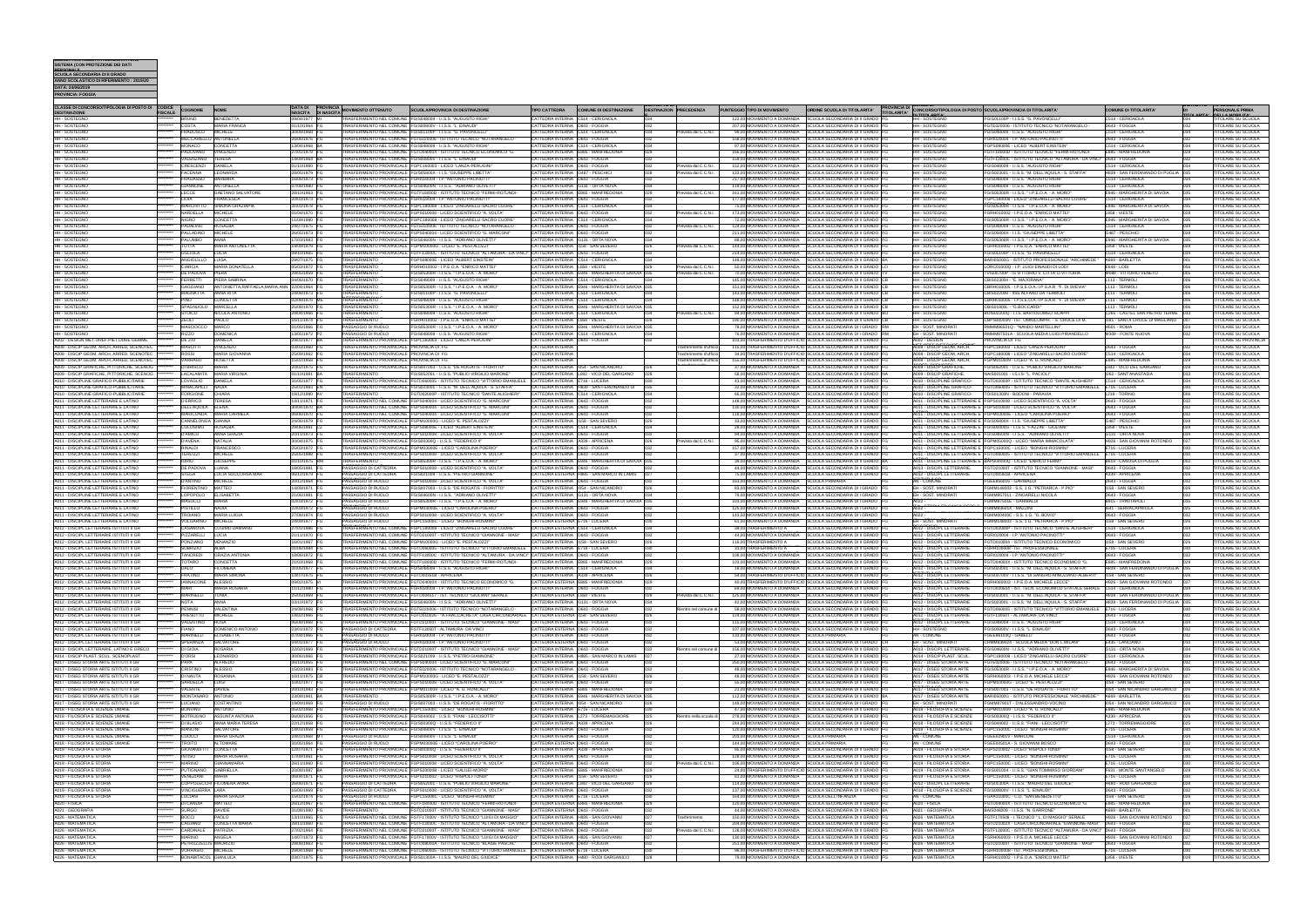| DATA: 24/06/2019<br>PROVINCIA: FOGGIA                                                |                |                                           |                                                   |                                |                                                              |                                                                                                                                                                                           |                                                                       |                                                                                         |                                 |                                                 |                                                                                                                                    |                                                                                 |                                                                                                                                                 |                                                                          |               |                                                        |
|--------------------------------------------------------------------------------------|----------------|-------------------------------------------|---------------------------------------------------|--------------------------------|--------------------------------------------------------------|-------------------------------------------------------------------------------------------------------------------------------------------------------------------------------------------|-----------------------------------------------------------------------|-----------------------------------------------------------------------------------------|---------------------------------|-------------------------------------------------|------------------------------------------------------------------------------------------------------------------------------------|---------------------------------------------------------------------------------|-------------------------------------------------------------------------------------------------------------------------------------------------|--------------------------------------------------------------------------|---------------|--------------------------------------------------------|
|                                                                                      |                |                                           |                                                   |                                |                                                              |                                                                                                                                                                                           |                                                                       |                                                                                         |                                 |                                                 |                                                                                                                                    |                                                                                 |                                                                                                                                                 |                                                                          |               |                                                        |
| CLASSE DI CONCORSO/TIPOLOGIA DI POSTO DI CODICE COGNOME<br><b>DESTINAZIONE</b>       | <b>FISCALE</b> |                                           | <b>NOME</b>                                       | NASCITA DI NASCITA             | DATA DI PROVINCIA MOVIMENTO OTTENUTO                         | <b>SCUOLA/PROVINCIA DI DESTINAZIONE</b>                                                                                                                                                   | <b>TIPO CATTEDRA</b>                                                  | <b>COMUNE DI DESTINAZIONE</b>                                                           | <b>DESTINAZION PRECEDENZA</b>   | PUNTEGGIO TIPO DI MOVIMENTO                     | ORDINE SCUOLA DI TITOLARITA'                                                                                                       | <b>PROVINCIA DI CONCORSO/TIPOLOGIA DI POSTO SCUOLA/PROVINCIA DI TITOLARITA'</b> |                                                                                                                                                 | COMUNE DI TITOLARITA'                                                    |               | <b>PERSONALE PRIMA</b>                                 |
| <b>HH-SOSTEGNO</b>                                                                   |                | <b>BRUNO</b>                              | <b>BENEDETTA</b>                                  | 09/04/1977                     |                                                              | TRASFERIMENTO NEL COMUNE FGIS048009 - I.I.S.S. "AUGUSTO RIGH                                                                                                                              |                                                                       | CATTEDRA INTERNA C514 - CERIGNOLA                                                       |                                 | 122,00 MOVIMENTO A DOMANDA                      | SCUOLA SECONDARIA DI II GRADO                                                                                                      | <b>RITTOLARITA'</b>                                                             | GIS01100P - I.I.S.S. "G. PAVONCELLI                                                                                                             | C514 - CERIGNOLA                                                         |               | <b>DELLA MOBILITA!</b><br>TITOLARE SU SCUOLA           |
| HH - SOSTEGNO<br>HH - SOSTEGNO                                                       |                | COSTA<br>FRADUSCO                         | MARIA FRANCA<br>MICHELE                           | 01/10/1964 FG<br>30/09/1968 FG | TRASFERIMENTO NEL COMUNE FGIS00800V - I.I.S.S. "L. EINAUDI"  | TRASFERIMENTO NEL COMUNE FGIS01100P - I.I.S.S. "G. PAVONCELLI                                                                                                                             | CATTEDRA INTERNA D643 - FOGGIA<br>CATTEDRA INTERNA C514 - CERIGNOLA   |                                                                                         | 032<br>034                      |                                                 | 207,00 MOVIMENTO A DOMANDA SCUOLA SECONDARIA DI II GRADO FG<br>99,00 MOVIMENTO A DOMANDA SCUOLA SECONDARIA DI II GRADO FG          | <b>HH-SOSTEGNO</b><br><b>HH-SOSTEGNO</b>                                        | FGTE020006 - ISTITUTO TECNICO "NOTARANGELO -<br>FGIS048009 - I.I.S.S. "AUGUSTO RIGHI"                                                           | D643 - FOGGIA<br>C514 - CERIGNOLA                                        | 032<br>034    | TOLARE SU SCUOLA<br>TOLARE SU SCUOLA                   |
| HH - SOSTEGNO                                                                        |                | MECCARIELLO ANTONELLA                     |                                                   | 26/06/1976 FG                  |                                                              | TRASFERIMENTO NEL COMUNE FGTE020006 - ISTITUTO TECNICO "NOTARANGELO                                                                                                                       | CATTEDRA INTERNA D643 - FOGGIA                                        |                                                                                         | revista dal C.C.N.I.            |                                                 | 158,00 MOVIMENTO A DOMANDA SCUOLA SECONDARIA DI II GRADO FG                                                                        | HH - SOSTEGNO                                                                   | FGRI020004 - I.P."ANTONIO PACINOTT                                                                                                              | D643 - FOGGIA                                                            |               | TOLARE SU SCUOLA                                       |
| HH - SOSTEGNO                                                                        |                | MONACO CONCETTA                           |                                                   | 13/04/1968 BA                  |                                                              | TRASFERIMENTO NEL COMUNE FGIS048009 - I.I.S.S. "AUGUSTO RIGHI"                                                                                                                            |                                                                       | CATTEDRA INTERNA C514 - CERIGNOLA                                                       | 034                             |                                                 | 97,00 MOVIMENTO A DOMANDA SCUOLA SECONDARIA DI II GRADO FG                                                                         | HH - SOSTEGNO                                                                   | FGPS08000E - LICEO "ALBERT EINSTEIN"                                                                                                            | C514 - CERIGNOLA                                                         | 034           | TOLARE SU SCUOLA                                       |
| HH - SOSTEGNO                                                                        |                | PADOVANO VINCENZO                         |                                                   | 27/01/1978 FG                  |                                                              | TRASFERIMENTO NEL COMUNE FGTD04000X - ISTITUTO TECNICO ECONOMICO "G.                                                                                                                      |                                                                       | CATTEDRA INTERNA E885 - MANFREDONIA                                                     | 029                             |                                                 | 166.00 MOVIMENTO A DOMANDA SCUOLA SECONDARIA DI II GRADO FG                                                                        | HH - SOSTEGNO                                                                   | FGTF18000D - ISTITUTO TECNICO "FERMI-ROTUNDI-                                                                                                   | E885 - MANFREDONIA                                                       | 029           | TOLARE SU SCUOLA                                       |
| HH - SOSTEGNO<br>HH - SOSTEGNO                                                       |                | VALENZANO TERESA<br>CRESCENZI DANIELA     |                                                   | 14/09/1964 BA<br>01/10/1980 FG |                                                              | TRASFERIMENTO NEL COMUNE FGIS00800V - I.I.S.S. "L. EINAUDI"<br>TRASFERIMENTO PROVINCIALE FGPC160003 - LICEO "LANZA-PERUGINI                                                               | CATTEDRA INTERNA D643 - FOGGIA<br>CATTEDRA INTERNA D643 - FOGGIA      |                                                                                         | revista dal C.C.N.I.            |                                                 | 159,00 MOVIMENTO A DOMANDA SCUOLA SECONDARIA DI II GRADO FG<br>152,00 MOVIMENTO A DOMANDA SCUOLA SECONDARIA DI II GRADO FG         | HH - SOSTEGNO<br>HH - SOSTEGNO                                                  | FGTF13000C - ISTITUTO TECNICO "ALTAMURA - DA VINCI" D643 - FOGGIA<br>GIS048009 - I.I.S.S. "AUGUSTO RIGHI"                                       | C514 - CERIGNOLA                                                         | 032           | TOLARE SU SCUOLA<br>TOLARE SU SCUOLA                   |
| HH - SOSTEGNO                                                                        |                | FACENNA LEONARDA                          |                                                   | 28/05/1979 FG                  |                                                              | TRASFERIMENTO PROVINCIALE FGIS05800X - I.I.S. "GIUSEPPE LIBETTA"                                                                                                                          | CATTEDRA INTERNA G487 - PESCHICI                                      |                                                                                         | Prevista dal C.C.N.I.<br>028    |                                                 | 133,00 MOVIMENTO A DOMANDA SCUOLA SECONDARIA DI II GRADO FG                                                                        | HH - SOSTEGNO                                                                   | FGIS023001 - I.I.S.S. "M. DELL'AQUILA - S. STAFFA"                                                                                              | H839 - SAN FERDINANDO DI PUGLIA 035                                      |               | TOLARE SU SCUOLA                                       |
| <b>HH - SOSTEGNO</b>                                                                 |                | <b>FRAGASSO BARBARA</b>                   |                                                   | 16/06/1973 FG                  |                                                              | TRASFERIMENTO PROVINCIALE FGRI020004 - I.P. ANTONIO PACINOTTI                                                                                                                             | CATTEDRA INTERNA D643 - FOGGIA                                        |                                                                                         |                                 |                                                 | 217,00 MOVIMENTO A DOMANDA SCUOLA SECONDARIA DI II GRADO FG                                                                        | <b>HH-SOSTEGNO</b>                                                              | GIS048009 - I.I.S.S. "AUGUSTO RIGHI"                                                                                                            | C514 - CERIGNOLA                                                         |               | TOLARE SU SCUOLA                                       |
| HH - SOSTEGNO                                                                        |                | GIANNONE ANTONELLA                        |                                                   | 07/08/1980 FG                  |                                                              | TRASFERIMENTO PROVINCIALE FGIS04600N - I.I.S.S. "ADRIANO OLIVETTI                                                                                                                         | CATTEDRA INTERNA G131 - ORTA NOVA                                     |                                                                                         |                                 |                                                 | 119,00 MOVIMENTO A DOMANDA SCUOLA SECONDARIA DI II GRADO FG                                                                        | HH-SOSTEGNO                                                                     | GIS048009 - I.I.S.S. "AUGUSTO RIGHI"                                                                                                            | C514 - CERIGNOLA                                                         |               | TOLARE SU SCUOLA                                       |
| - SOSTEGNO<br>HH - SOSTEGNO                                                          |                | LECCE<br>LIOIA                            | GAETANO SALVATORE<br>FRANCESCA                    | 28/10/1963 FG<br>20/03/1973 FG |                                                              | TRASFERIMENTO PROVINCIALE FGTF18000D - ISTITUTO TECNICO "FERMI-ROTUNDI-<br>TRASFERIMENTO PROVINCIALE FGRI020004 - I.P."ANTONIO PACINOTTI"                                                 | CATTEDRA INTERNA D643 - FOGGIA                                        | CATTEDRA INTERNA E885 - MANFREDONIA                                                     | 029<br>revista dal C.C.N.I.     |                                                 | 161,00 MOVIMENTO A DOMANDA SCUOLA SECONDARIA DI II GRADO FG<br>177,00 MOVIMENTO A DOMANDA SCUOLA SECONDARIA DI II GRADO FG         | HH-SOSTEGNO<br>HH - SOSTEGNO                                                    | FGIS05300R - I.I.S.S. " I.P.E.O.A. - A. MORO'<br>FGPC180008 - LICEO "ZINGARELLI-SACRO CUORE"                                                    | E946 - MARGHERITA DI SAVOIA<br>C514 - CERIGNOLA                          | 035           | <b>TOLARE SU SCUOLA</b><br><b>TOLARE SU SCUOLA</b>     |
| HH - SOSTEGNO                                                                        |                |                                           | MARCHITTO SIMONA GRAZIAPIA                        | 31/01/1978 FG                  |                                                              | TRASFERIMENTO PROVINCIALE FGPC180008 - LICEO "ZINGARELLI-SACRO CUORE"                                                                                                                     | CATTEDRA INTERNA C514 - CERIGNOLA                                     |                                                                                         |                                 |                                                 | 75,00 MOVIMENTO A DOMANDA SCUOLA SECONDARIA DI II GRADO FG                                                                         | HH - SOSTEGNO                                                                   | FGIS05300R - I.I.S.S. " I.P.E.O.A. - A. MORO'                                                                                                   | E946 - MARGHERITA DI SAVOIA                                              | 1035          | <b>TOLARE SU SCUOLA</b>                                |
| HH - SOSTEGNO                                                                        |                | NARDELLA MICHELE                          |                                                   | 01/04/1970 FG                  |                                                              | TRASFERIMENTO PROVINCIALE FGPS010008 - LICEO SCIENTIFICO "A. VOLTA"                                                                                                                       | CATTEDRA INTERNA D643 - FOGGIA                                        |                                                                                         | 032<br>Prevista dal C.C.N.I.    |                                                 | 173,00 MOVIMENTO A DOMANDA SCUOLA SECONDARIA DI II GRADO FG                                                                        | HH - SOSTEGNO                                                                   | FGRH010002 - I.P.E.O.A. "ENRICO MATTEI"                                                                                                         | L858 - VIESTE                                                            | 028           | TOLARE SU SCUOLA                                       |
| - SOSTEGNO<br>- SOSTEGNO                                                             |                | <b>NIGRO</b><br>PADALINO                  | <b>CONCETTA</b><br>ROSALBA                        | 1/09/1980 FG<br>24/07/1975 FG  |                                                              | TRASFERIMENTO PROVINCIALE FGPC180008 - LICEO "ZINGARELLI-SACRO CUORE"<br>TRASFERIMENTO PROVINCIALE FGTE020006 - ISTITUTO TECNICO "NOTARANGELO -                                           | CATTEDRA INTERNA C514 - CERIGNOLA<br>CATTEDRA INTERNA D643 - FOGGIA   |                                                                                         | revista dal C.C.N.I.            |                                                 | 72,00 MOVIMENTO A DOMANDA SCUOLA SECONDARIA DI II GRADO FG<br>124,00 MOVIMENTO A DOMANDA SCUOLA SECONDARIA DI II GRADO FG          | HH - SOSTEGNO<br><b>HH-SOSTEGNO</b>                                             | FGIS05300R - I.I.S.S. " I.P.E.O.A. - A. MORO'<br>FGIS048009 - I.I.S.S. "AUGUSTO RIGHI"                                                          | E946 - MARGHERITA DI SAVOIA<br>C514 - CERIGNOLA                          | 035           | TOLARE SU SCUOLA<br>TOLARE SU SCUOLA                   |
| HH - SOSTEGNO                                                                        |                | PALLADINO MICHELE                         |                                                   | 26/05/1973 FG                  |                                                              | TRASFERIMENTO PROVINCIALE FGPS040004 - LICEO SCIENTIFICO "G. MARCONI"                                                                                                                     | CATTEDRA INTERNA D643 - FOGGIA                                        |                                                                                         | 032                             |                                                 | 211.00 MOVIMENTO A DOMANDA SCUOLA SECONDARIA DI II GRADO FG                                                                        | HH - SOSTEGNO                                                                   | FGIS05800X - I.I.S. "GIUSEPPE LIBETTA"                                                                                                          | G487 - PESCHICI                                                          | 028           | TOLARE SU SCUOLA                                       |
| HH - SOSTEGNO                                                                        |                | PALUMBO                                   | ANNA                                              | 17/03/1983 FG                  |                                                              | TRASFERIMENTO PROVINCIALE FGIS04600N - I.I.S.S. "ADRIANO OLIVETTI                                                                                                                         | CATTEDRA INTERNA G131 - ORTA NOVA                                     |                                                                                         | 034                             |                                                 | 88.00 MOVIMENTO A DOMANDA SCUOLA SECONDARIA DI II GRADO FG                                                                         | HH - SOSTEGNO                                                                   | FGIS05300R - I.I.S.S. " I.P.E.O.A. - A. MORO"                                                                                                   | E946 - MARGHERITA DI SAVOIA                                              | $ 035\rangle$ | TOLARE SU SCUOLA                                       |
| HH - SOSTEGNO                                                                        |                | <b>TOTTA</b>                              | <b>MARIA ANTONIETTA</b>                           | 19/09/1978 FG                  |                                                              | TRASFERIMENTO PROVINCIALE FGPM10000G - LICEO "E. PESTALOZZI"                                                                                                                              | CATTEDRA INTERNA 1158 - SAN SEVERO                                    |                                                                                         | Prevista dal C.C.N.I.<br>026    |                                                 | 144.00 MOVIMENTO A DOMANDA SCUOLA SECONDARIA DI II GRADO FG                                                                        | HH - SOSTEGNO                                                                   | FGRH010002 - I.P.E.O.A. "ENRICO MATTEI                                                                                                          | L858 - VIESTE                                                            | 028           | OLARE SU SCUOLA                                        |
| HH - SOSTEGNO<br>HH - SOSTEGNO                                                       |                | <b>UGLIOLA</b><br>ANGIOLILLO LUISA        | LUCIA                                             | 09/10/1965 FG<br>29/07/1975 FG | <b>TRASFERIMENTO</b>                                         | TRASFERIMENTO PROVINCIALE FGTF13000C - ISTITUTO TECNICO "ALTAMURA - DA VINCI" CATTEDRA INTERNA D643 - FOGGIA<br>FGPS08000E - LICEO "ALBERT EINSTEIN"                                      | CATTEDRA INTERNA C514 - CERIGNOLA                                     |                                                                                         | 034                             |                                                 | 214,00 MOVIMENTO A DOMANDA SCUOLA SECONDARIA DI II GRADO FG<br>148,00 MOVIMENTO A DOMANDA SCUOLA SECONDARIA DI II GRADO BA         | HH - SOSTEGNO<br>HH - SOSTEGNO                                                  | FGIS01100P - I.I.S.S. "G. PAVONCELLI"<br>BARI05000G - ISTITUTO PROFESSIONALE "ARCHIMEDE "                                                       | C514 - CERIGNOLA<br>A669 - BARLETTA                                      | 034<br>1001   | TOLARE SU SCUOLA<br><b>TOLARE SU SCUOLA</b>            |
| <b>HH - SOSTEGNO</b>                                                                 |                | <b>CIARCIA</b>                            | MARIA DONATELLA                                   | 05/03/1972 FG                  | TRASFERIMENTO                                                | GRH010002 - I.P.E.O.A. "ENRICO MATTEI"                                                                                                                                                    | CATTEDRA INTERNA L858 - VIESTE                                        |                                                                                         | revista dal C.C.N.I             |                                                 | 50,00 MOVIMENTO A DOMANDA SCUOLA SECONDARIA DI II GRADO LO                                                                         | <b>HH-SOSTEGNO</b>                                                              | LORC01000Q - I.P. LUIGI EINAUDI DI LODI                                                                                                         | $E648 - LODI$                                                            |               | TOLARE SU SCUOLA                                       |
| HH - SOSTEGNO                                                                        |                | DE PADOVA                                 | PIERA                                             | 29/05/1959 FG                  | TRASFERIMENTO                                                | GIS05300R - I.I.S.S. " I.P.E.O.A. - A. MORO"                                                                                                                                              |                                                                       | CATTEDRA INTERNA E946 - MARGHERITA DI SAVOIA 035                                        | vista dal C.C.N.I.              |                                                 | 70,00 MOVIMENTO A DOMANDA SCUOLA SECONDARIA DI II GRADO TV                                                                         | <b>HH-SOSTEGNO</b>                                                              | VIS00700P - IS VITTORIO V. CITTA' D.VITTORIA                                                                                                    | <b>M089 - VITTORIO VENETO</b>                                            |               | OLARE SU SCUOLA                                        |
| HH - SOSTEGNO                                                                        |                | FERRETTI                                  | PIERA SABRINA<br>ANTONIETTA, RAFFAELA, MARIA, ANN | 04/06/1970 FG                  | TRASFERIMENTO<br><b>TRASFERIMENTO</b>                        | FGIS048009 - I.I.S.S. "AUGUSTO RIGHI"                                                                                                                                                     | CATTEDRA INTERNA C514 - CERIGNOLA                                     | CATTEDRA INTERNA E946 - MARGHERITA DI SAVOIA 035                                        |                                 |                                                 | 145,00 MOVIMENTO A DOMANDA SCUOLA SECONDARIA DI II GRADO CB<br>151,00 MOVIMENTO A DOMANDA SCUOLA SECONDARIA DI II GRADO CB         | HH - SOSTEGNO                                                                   | CBIS023004 - "E. MAJORANA'                                                                                                                      | L113 - TERMOLI                                                           |               | <b>TOLARE SU SCUOLA</b>                                |
| HH - SOSTEGNO<br>HH - SOSTEGNO                                                       |                | <b>GAGGIANO</b><br>MAGNATTA               | <b>ANNA RITA</b>                                  | 22/04/1964 FG<br>24/08/1973 FG | <b>TRASFERIMENTO</b>                                         | FGIS05300R - I.I.S.S. " I.P.E.O.A. - A. MORO"<br>FGIS01100P - I.I.S.S. "G. PAVONCELLI                                                                                                     | CATTEDRA INTERNA C514 - CERIGNOLA                                     |                                                                                         |                                 |                                                 | 143,00 MOVIMENTO A DOMANDA SCUOLA SECONDARIA DI II GRADO CB                                                                        | <b>HH-SOSTEGNO</b><br>HH - SOSTEGNO                                             | CBRH010005 - I.P.S.E.O.A.-I.P.S.A.R. "F. DI SVEVIA"<br>CBIS022008 - IISS ALFANO DA TERMOLI                                                      | L113 - TERMOLI<br>113 - TERMOLI                                          |               | <b>TOLARE SU SCUOLA</b><br>TOLARE SU SCUOLA            |
| HH - SOSTEGNO                                                                        |                | <b>PINO</b>                               | CONCETTA                                          | 02/08/1976 ME                  | TRASFERIMENTO                                                | FGIS048009 - I.I.S.S. "AUGUSTO RIGHI"                                                                                                                                                     | CATTEDRA INTERNA C514 - CERIGNOLA                                     |                                                                                         |                                 |                                                 | 148,00 MOVIMENTO A DOMANDA SCUOLA SECONDARIA DI II GRADO CB                                                                        | HH-SOSTEGNO                                                                     | CBRH010005 - I.P.S.E.O.A.-I.P.S.A.R. "F. DI SVEVIA"                                                                                             | L113 - TERMOLI                                                           | 006           | TOLARE SU SCUOLA                                       |
| HH - SOSTEGNO                                                                        |                | SPAGNUOLO                                 | MARCELLA                                          | 25/08/1970 FG                  | <b>TRASFERIMENTO</b>                                         | FGIS05300R - I.I.S.S. " I.P.E.O.A. - A. MORO"                                                                                                                                             |                                                                       | CATTEDRA INTERNA E946 - MARGHERITA DI SAVOIA 035                                        |                                 |                                                 | 152,00 MOVIMENTO A DOMANDA SCUOLA SECONDARIA DI II GRADO CB                                                                        | HH - SOSTEGNO                                                                   | CBIS01800L - "G.BOCCARDI"                                                                                                                       | 113 - TERMOLI                                                            |               | TOLARE SU SCUOLA                                       |
| HH - SOSTEGNO<br>HH - SOSTEGNO                                                       |                | <b>STOICO</b><br>ZEOLI                    | NICOLA ANTONIO<br>PAOLO                           | 29/04/1966 FG<br>16/11/1974 FG | <b>TRASFERIMENTO</b><br><b>TRASFERIMENTO</b>                 | FGIS048009 - I.I.S.S. "AUGUSTO RIGHI"<br>FGRH010002 - I.P.E.O.A. "ENRICO MATTEI"                                                                                                          | CATTEDRA INTERNA C514 - CERIGNOLA<br>CATTEDRA INTERNA L858 - VIESTE   |                                                                                         | revista dal C.C.N.I.            |                                                 | 94,00 MOVIMENTO A DOMANDA SCUOLA SECONDARIA DI II GRADO BO<br>190.00 MOVIMENTO A DOMANDA SCUOLA SECONDARIA DI II GRADO CB          | HH - SOSTEGNO<br>HH - SOSTEGNO                                                  | BOIS02200Q - I.I.S. BARTOLOMEO SCAPPI<br>CBPS08000N - IST. OMNICOMPR. - S. CROCE DI M.                                                          | C265 - CASTEL SAN PIETRO TERME 033<br>1181 - SANTA CROCE DI MAGLIANO 007 |               | TOLARE SU SCUOLA<br>TOLARE SU SCUOLA                   |
| HH - SOSTEGNO                                                                        |                | MASCIOCCO                                 | <b>MARCO</b>                                      | 01/05/1966 FG                  | PASSAGGIO DI RUOLO                                           | FGIS05300R - I.I.S.S. " I.P.E.O.A. - A. MORO"                                                                                                                                             |                                                                       | CATTEDRA INTERNA E946 - MARGHERITA DI SAVOIA 035                                        |                                 |                                                 | 78,00 MOVIMENTO A DOMANDA SCUOLA SECONDARIA DI I GRADO RM                                                                          | <b>EH - SOST. MINORATI</b>                                                      | RMMM86501Q - "NANDO MARTELLINI"                                                                                                                 | 1501 - ROMA                                                              |               | <b>TOLARE SU SCUOLA</b>                                |
| HH-SOSTEGNO                                                                          |                | <b>RIZZO</b>                              | <b>DOMENICA</b>                                   | 13/05/1972 PZ                  | PASSAGGIO DI RUOLO                                           | FGIS048009 - I.I.S.S. "AUGUSTO RIGHI"                                                                                                                                                     |                                                                       | CATTEDRA INTERNA C514 - CERIGNOLA                                                       | 034                             |                                                 | 76,00 MOVIMENTO A DOMANDA SCUOLA SECONDARIA DI I GRADO RM                                                                          | EH - SOST, MINORATI                                                             | RMMM87501A - SCUOLA MEDIA LUIGI PIRANDELLO                                                                                                      | M309 - FONTE NUOVA                                                       | 032           | <b>TITOLARE SU SCUOLA</b>                              |
| A002 - DESIGN MET.OREF.PIET.DURE GEMME<br>A008 - DISCIP GEOM, ARCH, ARRED, SCENOTEC  |                | DE ZIO<br>MASCITTI                        | DANIFI A<br><b>VINCENZO</b>                       | 29/01/1977 BA<br>03/03/1960 FG | TRASFERIMENTO PROVINCIALE PROVINCIA DI FG                    | TRASFERIMENTO PROVINCIALE FGPC160003 - LICEO "LANZA-PERUGINI                                                                                                                              | CATTEDRA INTERNA D643 - FOGGIA<br>CATTEDRA INTERNA                    |                                                                                         | rasferimento d'ufficio          |                                                 | 103,00 TRASFERIMENTO D'UFFICIO SCUOLA SECONDARIA DI II GRADO FG<br>115,00 TRASFERIMENTO D'UFFICIO SCUOLA SECONDARIA DI II GRADO FG | A002 - DESIGN<br>A008 - DISCIP GEOM, ARCH,                                      | PROVINCIA DI FG<br>FGPC160003 - LICEO "LANZA-PERUGINI"                                                                                          | D643 - FOGGIA                                                            |               | TOLARE SU PROVINCIA                                    |
| A008 - DISCIP GEOM, ARCH, ARRED, SCENOTEC                                            |                | <b>ROSSI</b>                              | <b>MARIA GIOVANNA</b>                             | 25/09/1962 FG                  | TRASFERIMENTO PROVINCIALE PROVINCIA DI FG                    |                                                                                                                                                                                           | CATTEDRA INTERNA                                                      |                                                                                         | Trasferimento d'ufficio         |                                                 | 34,00 TRASFERIMENTO D'UFFICIO SCUOLA SECONDARIA DI II GRADO FG                                                                     | A008 - DISCIP GEOM, ARCH,                                                       | FGPC180008 - LICEO "ZINGARELLI-SACRO CUORE"                                                                                                     | C514 - CERIGNOLA                                                         | 034           | <b>TOLARE SU SCUOLA</b><br><b>ITOLARE SU SCUOLA</b>    |
| A008 - DISCIP GEOM, ARCH, ARRED, SCENOTEC                                            |                | VARRASO                                   | ROSETTA                                           | 15/02/1958 FG                  | TRASFERIMENTO PROVINCIALE PROVINCIA DI FG                    |                                                                                                                                                                                           | CATTEDRA INTERNA                                                      |                                                                                         | asferimento d'ufficio           |                                                 | 155,00 TRASFERIMENTO D'UFFICIO SCUOLA SECONDARIA DI II GRADO FG                                                                    | A008 - DISCIP GEOM, ARCH,                                                       | FGPM010009 - LICEO "A. G. RONCALLI                                                                                                              | E885 - MANFREDONIA                                                       |               | <b>TOLARE SU SCUOLA</b>                                |
| A009 - DISCIP GRAFICHE, PITTORICHE, SCENOG                                           |                | <b>DI BRISCO</b>                          | <b>MARIA</b>                                      | 20/02/1975 FG                  |                                                              | TRASFERIMENTO PROVINCIALE FGIS007003 - I.I.S.S. "DE ROGATIS - FIORITTO                                                                                                                    |                                                                       | CATTEDRA INTERNA 1054 - SAN NICANDRO                                                    |                                 |                                                 | 37,00 MOVIMENTO A DOMANDA SCUOLA SECONDARIA DI II GRADO FG                                                                         | A009 - DISCIP GRAFICHE,                                                         | FGIS052001 - I.I.S.S. "PUBLIO VIRGILIO MARONE"                                                                                                  | L842 - VICO DEL GARGANO                                                  |               | <b>ITOLARE SU SCUOLA</b>                               |
| A009 - DISCIP GRAFICHE, PITTORICHE, SCENOG                                           |                |                                           | LACALAMITA MARIA VIRGINIA                         | 01/10/1981 BA                  | <b>TRASFERIMENTO</b>                                         | GIS052001 - I.I.S.S. "PUBLIO VIRGILIO MARONE"                                                                                                                                             |                                                                       | CATTEDRA INTERNA L842 - VICO DEL GARGANO                                                | 028                             |                                                 | 58,00 MOVIMENTO A DOMANDA SCUOLA SECONDARIA DI II GRADO NA                                                                         | A009 - DISCIP GRAFICHE,                                                         | NAIS001001 - I.S.I.S- "L. PACIOLI"                                                                                                              | <b>I262 - SANT'ANASTASIA</b>                                             | 033           | <b>ITOLARE SU SCUOLA</b>                               |
| 4010 - DISCIPLINE GRAFICO-PUBBLICITARIE<br>A010 - DISCIPLINE GRAFICO-PUBBLICITARIE   |                | LOVAGLIO<br>MINACAPILLI NADIA             | DANIELA                                           | 31/05/1977 FG<br>25/01/1983 EN |                                                              | TRASFERIMENTO PROVINCIALE FGTD060005 - ISTITUTO TECNICO "VITTORIO EMANUELE CATTEDRA INTERNA E716 - LUCERA<br>TRASFERIMENTO PROVINCIALE FGIS023001 - I.I.S.S. "M. DELL'AQUILA - S. STAFFA" |                                                                       | CATTEDRA INTERNA H839 - SAN FERDINANDO DI                                               |                                 |                                                 | 43,00 MOVIMENTO A DOMANDA SCUOLA SECONDARIA DI II GRADO FG<br>32.00 MOVIMENTO A DOMANDA SCUOLA SECONDARIA DI II GRADO FG           | A010 - DISCIPLINE GRAFICO-<br>A010 - DISCIPLINE GRAFICO-                        | FGTD02000P - ISTITUTO TECNICO "DANTE ALIGHIERI"<br>FGTD060005 - ISTITUTO TECNICO "VITTORIO EMANUELE E716 - LUCERA                               | C514 - CERIGNOLA                                                         |               | <b>ITOLARE SU SCUOLA</b><br><b>TTOLARE SU SCUOLA</b>   |
| A010 - DISCIPLINE GRAFICO-PUBBLICITARIE                                              |                | FORGIONE CHIARA                           |                                                   | 19/12/1980 AV                  | <b>TRASFERIMENTO</b>                                         | FGTD02000P - ISTITUTO TECNICO "DANTE ALIGHIERI"                                                                                                                                           |                                                                       | CATTEDRA INTERNA C514 - CERIGNOLA                                                       | 034                             |                                                 | 66.00 MOVIMENTO A DOMANDA SCUOLA SECONDARIA DI II GRADO TO                                                                         |                                                                                 | A010 - DISCIPLINE GRAFICO- TOIS01300N - BODONI - PARAVIA                                                                                        | L219 - TORINO                                                            | 006           | TOLARE SU SCUOLA                                       |
| 4011 - DISCIPLINE LETTERARIE E LATINO                                                |                | D'ERRICO TERESA                           |                                                   | 14/11/1971 FG                  |                                                              | TRASFERIMENTO NEL COMUNE FGPS040004 - LICEO SCIENTIFICO "G. MARCONI"                                                                                                                      | CATTEDRA INTERNA D643 - FOGGIA                                        |                                                                                         | 032                             |                                                 | 148.00 MOVIMENTO A DOMANDA SCUOLA SECONDARIA DI II GRADO FG                                                                        |                                                                                 | A011 - DISCIPLINE LETTERARIE E FGPS010008 - LICEO SCIENTIFICO "A. VOLTA"                                                                        | D643 - FOGGIA                                                            | 032           | <b>TOLARE SU SCUOLA</b>                                |
| A011 - DISCIPLINE LETTERARIE E LATINO<br>4011 - DISCIPLINE LETTERARIE E LATINO       |                | DELL'AQUILA ELENA                         | MARICONDA MARIA CARMELA                           | 30/04/1970 BA<br>06/06/1970 FG |                                                              | TRASFERIMENTO NEL COMUNE FGPS040004 - LICEO SCIENTIFICO "G. MARCONI"<br>TRASFERIMENTO NEL COMUNE FGPS040004 - LICEO SCIENTIFICO "G. MARCONI"                                              | CATTEDRA INTERNA D643 - FOGGIA<br>CATTEDRA INTERNA D643 - FOGGIA      |                                                                                         | 032                             |                                                 | 130,00 MOVIMENTO A DOMANDA SCUOLA SECONDARIA DI II GRADO FG<br>118,00 MOVIMENTO A DOMANDA SCUOLA SECONDARIA DI II GRADO FG         |                                                                                 | A011 - DISCIPLINE LETTERARIE E FGPS010008 - LICEO SCIENTIFICO "A. VOLTA"<br>A011 - DISCIPLINE LETTERARIE E FGPM03000E - LICEO "CAROLINA POERIO" | D643 - FOGGIA                                                            | 032           | TOLARE SU SCUOLA                                       |
| A011 - DISCIPLINE LETTERARIE E LATINO                                                |                | CANNELONGA GIANNA                         |                                                   | 24/06/1979 FG                  |                                                              | TRASFERIMENTO PROVINCIALE FGPM10000G - LICEO "E. PESTALOZZI"                                                                                                                              |                                                                       | CATTEDRA INTERNA 1158 - SAN SEVERO                                                      | 026                             |                                                 | 33,00 MOVIMENTO A DOMANDA SCUOLA SECONDARIA DI II GRADO FG                                                                         |                                                                                 | A011 - DISCIPLINE LETTERARIE E FGIS05800X - I.I.S. "GIUSEPPE LIBETTA"                                                                           | D643 - FOGGIA<br>G487 - PESCHICI                                         | 032<br>028    | TOLARE SU SCUOLA<br><b>TOLARE SU SCUOLA</b>            |
| A011 - DISCIPLINE LETTERARIE E LATINO                                                |                | COLOSIMO ROSALBA                          |                                                   | 29/06/1981 CZ                  |                                                              | TRASFERIMENTO PROVINCIALE FGPS08000E - LICEO "ALBERT EINSTEIN"                                                                                                                            | CATTEDRA INTERNA C514 - CERIGNOLA                                     |                                                                                         |                                 |                                                 | 28.00 MOVIMENTO A DOMANDA SCUOLA SECONDARIA DI II GRADO FG                                                                         |                                                                                 | A011 - DISCIPLINE LETTERARIE E FGIS00400G - I.I.S.S. "FAZZINI - GIULIANI"                                                                       | L858 - VIESTE                                                            |               | TOLARE SU SCUOLA                                       |
| A011 - DISCIPLINE LETTERARIE E LATINO                                                |                | D'AMICO                                   | ANNA GRAZIA                                       | 20/11/1973 FG                  |                                                              | TRASFERIMENTO PROVINCIALE FGPS010008 - LICEO SCIENTIFICO "A. VOLTA"                                                                                                                       | CATTEDRA INTERNA D643 - FOGGIA                                        |                                                                                         |                                 |                                                 | 94,00 MOVIMENTO A DOMANDA SCUOLA SECONDARIA DI II GRADO FG                                                                         |                                                                                 | A011 - DISCIPLINE LETTERARIE E FGIS04600N - I.I.S.S. "ADRIANO OLIVETTI"                                                                         | G131 - ORTA NOVA                                                         |               | TOLARE SU SCUOLA                                       |
| A011 - DISCIPLINE LETTERARIE E LATINO<br>A011 - DISCIPLINE LETTERARIE E LATINO       |                | D'AVENA<br>RINALDI                        | NATALIA<br><b>FRANCESCO</b>                       | 30/04/1975 FG<br>25/03/1972 FG |                                                              | TRASFERIMENTO PROVINCIALE FGIS00300Q - I.I.S.S. "FEDERICO II"<br>TRASFERIMENTO PROVINCIALE FGPM03000E - LICEO "CAROLINA POERIC                                                            | CATTEDRA INTERNA A339 - APRICENA<br>CATTEDRA INTERNA D643 - FOGGIA    |                                                                                         | vista dal C.C.N.I.              |                                                 | 95,00 MOVIMENTO A DOMANDA SCUOLA SECONDARIA DI II GRADO FG<br>157,00 MOVIMENTO A DOMANDA SCUOLA SECONDARIA DI II GRADO FG          |                                                                                 | A011 - DISCIPLINE LETTERARIE E FGPM05000Q - LICEO "MARIA IMMACOLATA"<br>A011 - DISCIPLINE LETTERARIE E FGPC15000C - LICEO "BONGHI-ROSMINI"      | H926 - SAN GIOVANNI ROTONDO<br>E716 - LUCERA                             | 027           | <b>TOLARE SU SCUOLA</b><br>TOLARE SU SCUOLA            |
| 4011 - DISCIPLINE LETTERARIE E LATINO                                                |                | <b>TERLIZZI</b>                           | <b>MICHELE</b>                                    | 25/05/1988 FG                  |                                                              | TRASFERIMENTO PROVINCIALE FGPS010008 - LICEO SCIENTIFICO "A. VOLTA"                                                                                                                       | CATTEDRA INTERNA D643 - FOGGIA                                        |                                                                                         |                                 |                                                 | 37,00 MOVIMENTO A DOMANDA SCUOLA SECONDARIA DI II GRADO FG                                                                         |                                                                                 | A011 - DISCIPLINE LETTERARIE E FGTD060005 - ISTITUTO TECNICO "VITTORIO EMANUELE                                                                 | E716 - LUCERA                                                            |               | TOLARE SU SCUOLA                                       |
| A011 - DISCIPLINE LETTERARIE E LATINO                                                |                | <b>IORIO</b>                              | <b>GIUSEPPE</b>                                   | 01/10/1975 RM                  | <b>TRASFERIMENTO</b>                                         | GIS05300R - I.I.S.S. " I.P.E.O.A. - A. MORO"                                                                                                                                              |                                                                       | CATTEDRA INTERNA E946 - MARGHERITA DI SAVOIA 035                                        |                                 |                                                 | 39,00 MOVIMENTO A DOMANDA SCUOLA SECONDARIA DI II GRADO BA                                                                         |                                                                                 | A011 - DISCIPLINE LETTERARIE E BAPS04000Q - LICEO "ENRICO FERMI"                                                                                | B619 - CANOSA DI PUGLIA                                                  | 002           | <b>TOLARE SU SCUOLA</b>                                |
| 4011 - DISCIPLINE LETTERARIE E LATINO                                                |                | DE PADOVA                                 | LUANA                                             | 18/05/1981 FG                  | PASSAGGIO DI CATTEDRA                                        | FGPS010008 - LICEO SCIENTIFICO "A. VOLTA                                                                                                                                                  | CATTEDRA INTERNA D643 - FOGGIA                                        |                                                                                         |                                 |                                                 | 44,00 MOVIMENTO A DOMANDA SCUOLA SECONDARIA DI II GRADO FG                                                                         |                                                                                 | A013 - DISCIPL LETTERARIE, FGTD21000T - ISTITUTO TECNICO "GIANNONE - MASI                                                                       | D643 - FOGGIA                                                            |               | TOLARE SU SCUOLA                                       |
| 4011 - DISCIPLINE LETTERARIE E LATINO<br>A011 - DISCIPLINE LETTERARIE E LATINO       |                | <b>STEGA</b><br>D'ANTINO                  | <b>LUCIA SOCCORSA MAR</b><br><b>MICHELE</b>       | 06/12/1979 FG<br>20/12/1964 FG | PASSAGGIO DI CATTEDRA<br>PASSAGGIO DI RUOLO                  | FGIS021009 - I.I.S.S. "PIETRO GIANNONE"<br>FGPS010008 - LICEO SCIENTIFICO "A. VOLTA"                                                                                                      | CATTEDRA INTERNA D643 - FOGGIA                                        | CATTEDRA ESTERNA H985 - SAN MARCO IN LAMIS                                              | 027<br>1032                     | 163,00 MOVIMENTO A DOMANDA SCUOLA PRIMARIA      | 75,00 MOVIMENTO A DOMANDA SCUOLA SECONDARIA DI II GRADO FG                                                                         | A012 - DISCIPL LETTERARIE<br>AN - COMUNE                                        | FGTD00351B - APRICENA<br>FGEE856016 - GARIBALDI                                                                                                 | A339 - APRICENA<br>D643 - FOGGIA                                         | 032           | TOLARE SU SCUOLA<br>TOLARE SU SCUOLA                   |
| A011 - DISCIPLINE LETTERARIE E LATINO                                                |                | FIORENTINO MATTEO                         |                                                   | 14/09/1971 FG                  | PASSAGGIO DI RUOLO                                           | FGIS007003 - I.I.S.S. "DE ROGATIS - FIORITTO"                                                                                                                                             |                                                                       | CATTEDRA INTERNA 1054 - SAN NICANDRO                                                    | 026                             |                                                 | 83,00 MOVIMENTO A DOMANDA SCUOLA SECONDARIA DI I GRADO FG                                                                          | EH - SOST. MINORATI                                                             | FGMM148003 - S.S. 1 G. "PETRARCA - P.PIO"                                                                                                       | 1158 - SAN SEVERO                                                        | 026           | TOLARE SU SCUOLA                                       |
| A011 - DISCIPLINE LETTERARIE E LATINO                                                |                | LOPOPOLO ELISABETTA                       |                                                   | 21/06/1981 FG                  | PASSAGGIO DI RUOLO                                           | FGIS04600N - I.I.S.S. "ADRIANO OLIVETTI"                                                                                                                                                  |                                                                       | CATTEDRA INTERNA G131 - ORTA NOVA                                                       |                                 |                                                 | 79,00 MOVIMENTO A DOMANDA SCUOLA SECONDARIA DI I GRADO FG                                                                          | <b>EH - SOST. MINORATI</b>                                                      | GMM857011 - ZINGARELLI NICOLA                                                                                                                   | D643 - FOGGIA                                                            | 032           | TOLARE SU SCUOLA                                       |
| A011 - DISCIPLINE LETTERARIE E LATINO<br>A011 - DISCIPLINE LETTERARIE E LATINO       |                | <b>MASUCCL</b><br>PISTILLO                | MARIA                                             | 02/03/1972 FG                  | PASSAGGIO DI RUOLO<br>PASSAGGIO DI RUOLO                     | FGIS05300R - I.I.S.S. " I.P.E.O.A. - A. MORO"                                                                                                                                             | CATTEDRA INTERNA D643 - FOGGIA                                        | CATTEDRA INTERNA E946 - MARGHERITA DI SAVOIA 035                                        |                                 |                                                 | 103.00 MOVIMENTO A DOMANDA SCUOLA SECONDARIA DI I GRADO FG<br>125,00 MOVIMENTO A DOMANDA SCUOLA SECONDARIA DI I GRADO FG           | A022-                                                                           | FGMM87501E - GARIBALDI<br>GMM83601X - MAZZINI                                                                                                   | <b>B915 - TRINITAPOLI</b><br><b>1641 - SERRACAPRIOLA</b>                 | 035           | TOLARE SU SCUOLA                                       |
| A011 - DISCIPLINE LETTERARIE E LATINO                                                |                | <b>TROIANO</b>                            | <b>NADIA</b><br><b>MARIA LUIGIA</b>               | 22/03/1972 FG<br>7/06/1974 FG  | PASSAGGIO DI RUOLO                                           | FGPM03000E - LICEO "CAROLINA POERIO"<br>GPS010008 - LICEO SCIENTIFICO "A. VOLTA                                                                                                           | CATTEDRA INTERNA D643 - FOGGIA                                        |                                                                                         | 032                             |                                                 | 143,50 MOVIMENTO A DOMANDA SCUOLA SECONDARIA DI I GRADO FG                                                                         | A022<br>A022                                                                    | GMM00400C - S.S. 1 G. "G. BOVIO"                                                                                                                | D643 - FOGGIA                                                            | 025           | TOLARE SU SCUOLA<br>TOLARE SU SCUOLA                   |
| A011 - DISCIPLINE LETTERARIE E LATINO                                                |                | VOLGARINO MICHELE                         |                                                   | 24/09/1977 FG                  | PASSAGGIO DI RUOLO                                           | GPC15000C - LICEO "BONGHI-ROSMINI"                                                                                                                                                        | CATTEDRA ESTERNA E716 - LUCERA                                        |                                                                                         |                                 |                                                 | 61,00 MOVIMENTO A DOMANDA SCUOLA SECONDARIA DI I GRADO FG                                                                          | EH - SOST. MINORATI                                                             | FGMM148003 - S.S. 1 G. "PETRARCA - P.PIO"                                                                                                       | 1158 - SAN SEVERO                                                        | 026           | TOLARE SU SCUOLA                                       |
| A012 - DISCIPL LETTERARIE ISTITUTI II GR                                             |                |                                           | CASANOVA COSIMO DAMIANO                           | 27/01/1986 FG                  |                                                              | TRASFERIMENTO NEL COMUNE FGPC180008 - LICEO "ZINGARELLI-SACRO CUORE"                                                                                                                      | CATTEDRA ESTERNA C514 - CERIGNOLA                                     |                                                                                         | 034                             | 39,00 TRASFERIMENTO A                           | SCUOLA SECONDARIA DI II GRADO FG                                                                                                   | A012 - DISCIPL LETTERARIE                                                       | FGTD02000P - ISTITUTO TECNICO "DANTE ALIGHIERI"                                                                                                 | C514 - CERIGNOLA                                                         | 034           | <b>ITOLARE SU SCUOLA</b>                               |
| A012 - DISCIPL LETTERARIE ISTITUTI II GR<br>A012 - DISCIPL LETTERARIE ISTITUTI II GR |                | PIZZARELLI LUCIA                          |                                                   | 21/11/1970 FG                  |                                                              | TRASFERIMENTO NEL COMUNE FGTD21000T - ISTITUTO TECNICO "GIANNONE - MASI"                                                                                                                  | CATTEDRA INTERNA D643 - FOGGIA                                        |                                                                                         |                                 | 44,00 MOVIMENTO A DOMANDA                       | SCUOLA SECONDARIA DI II GRADO FG                                                                                                   | A012 - DISCIPL LETTERARIE                                                       | FGRI020004 - I.P."ANTONIO PACINOTTI"                                                                                                            | D643 - FOGGIA                                                            |               | TOLARE SU SCUOLA                                       |
| A012 - DISCIPL LETTERARIE ISTITUTI II GR                                             |                | PONZIANO<br><b>SUBRIZIO</b>               | VENANZIO<br>ALBA                                  | 16/01/1967 FG<br>01/06/1984 FG |                                                              | TRASFERIMENTO NEL COMUNE FGPM10000G - LICEO "E. PESTALOZZI<br>TRASFERIMENTO NEL COMUNE FGTD060005 - ISTITUTO TECNICO "VITTORIO EMANUELE CATTEDRA INTERNA E716 - LUCERA                    | CATTEDRA INTERNA 1158 - SAN SEVERC                                    |                                                                                         | 030                             | 116,00 TRASFERIMENTO A<br>31,00 TRASFERIMENTO A | SCUOLA SECONDARIA DI II GRADO FG<br>SCUOLA SECONDARIA DI II GRADO FG                                                               | A012 - DISCIPL LETTERARIE<br>A012 - DISCIPL LETTERARIE                          | FGTD010004 - ISTITUTO TECNICO ECONOMICO<br>FGRH100008 - IST, PROFESSIONALE                                                                      | 1158 - SAN SEVERO<br>E716 - LUCERA                                       | 026<br>030    | TOLARE SU SCUOLA<br>TOLARE SU SCUOLA                   |
| A012 - DISCIPL LETTERARIE ISTITUTI II GR                                             |                | <b>TANCREDI</b>                           | <b>GRAZIA ANTONIA</b>                             | 18/06/1972 FG                  |                                                              | TRASFERIMENTO NEL COMUNE FGTF13000C - ISTITUTO TECNICO "ALTAMURA - DA VINCI" CATTEDRA INTERNA D643 - FOGGIA                                                                               |                                                                       |                                                                                         |                                 |                                                 | 108,00 MOVIMENTO A DOMANDA SCUOLA SECONDARIA DI II GRADO FG                                                                        | A012 - DISCIPL LETTERARIE                                                       | FGRI020004 - I.P. "ANTONIO PACINOTT                                                                                                             | D643 - FOGGIA                                                            |               | TOLARE SU SCUOLA                                       |
| A012 - DISCIPL LETTERARIE ISTITUTI II GR                                             |                | <b>TOTARO</b>                             | CONCETTA                                          | 21/03/1968 FG                  |                                                              | TRASFERIMENTO NEL COMUNE FGTF18000D - ISTITUTO TECNICO "FERMI-ROTUNDI-                                                                                                                    |                                                                       | CATTEDRA INTERNA E885 - MANFREDONIA                                                     | lo <sub>29</sub>                |                                                 | 103,00 MOVIMENTO A DOMANDA SCUOLA SECONDARIA DI II GRADO FG                                                                        | A012 - DISCIPL LETTERARIE                                                       | FGTD04000X - ISTITUTO TECNICO ECONOMICO "G.                                                                                                     | <b>E885 - MANEREDONIA</b>                                                | 029           | TOLARE SU SCUOLA                                       |
| A012 - DISCIPL LETTERARIE ISTITUTI II GR<br>A012 - DISCIPL LETTERARIE ISTITUTI II GR |                | DALO'<br>FRATINO                          | <b>FILOMENA</b><br><b>MARIA SIMONA</b>            | 31/05/1977 FG<br>13/07/1975 FG | TRASFERIMENTO PROVINCIALE FGTD00351B - APRICENA              | TRASFERIMENTO PROVINCIALE FGIS048009 - I.I.S.S. "AUGUSTO RIGHI"                                                                                                                           | CATTEDRA INTERNA C514 - CERIGNOLA<br>CATTEDRA INTERNA A339 - APRICENA |                                                                                         |                                 |                                                 | 18,00 MOVIMENTO A DOMANDA SCUOLA SECONDARIA DI II GRADO FG<br>54.00 TRASFERIMENTO D'UFFICIO SCUOLA SECONDARIA DI II GRADO FG       | A012 - DISCIPL LETTERARIE                                                       | FGIS023001 - I.I.S.S. "M. DELL'AQUILA - S. STAFFA"<br>A012 - DISCIPL LETTERARIE FGIS03700V - I.I.S.S. "DI SANGRO-MINUZIANO-ALBERTI"             | H839 - SAN FERDINANDO DI PUGLIA 035<br>1158 - SAN SEVERO                 | 026           | <b>ITOLARE SU SCUOLA</b><br><b>ITOLARE SU SCUOLA</b>   |
| A012 - DISCIPL LETTERARIE ISTITUTI II GR                                             |                | IANNACONE ALESSIO                         |                                                   | 09/02/1975 VI                  |                                                              | TRASFERIMENTO PROVINCIALE FGTD04000X - ISTITUTO TECNICO ECONOMICO "G.                                                                                                                     |                                                                       | CATTEDRA ESTERNA E885 - MANFREDONIA                                                     | 029                             |                                                 | 40,00 TRASFERIMENTO D'UFFICIO SCUOLA SECONDARIA DI II GRADO FG                                                                     | A012 - DISCIPL LETTERARIE                                                       | FGRH060003 - I.P.E.O.A. MICHELE LECCE*                                                                                                          | H926 - SAN GIOVANNI ROTONDO                                              | 027           | TITOLARE SU SCUOLA                                     |
| A012 - DISCIPL LETTERARIE ISTITUTI II GR                                             |                |                                           | <b>MARIA ROSARIA</b>                              | 11/12/1980 FG                  |                                                              | TRASFERIMENTO PROVINCIALE FGRI020004 - I.P. "ANTONIO PACINOTTI"                                                                                                                           | CATTEDRA INTERNA D643 - FOGGIA                                        |                                                                                         |                                 |                                                 | 69,00 MOVIMENTO A DOMANDA SCUOLA SECONDARIA DI II GRADO FG                                                                         | A012 - DISCIPL LETTERARIE                                                       | FGTD020504 - IST. TECN. ECONOMICO STATALE SERALE C514 - CERIGNOLA                                                                               |                                                                          |               | <b>TOLARE SU SCUOLA</b>                                |
| A012 - DISCIPL LETTERARIE ISTITUTI II GR                                             |                | MARINELLI                                 | <b>TONIA</b>                                      | 25/05/1969 FG                  |                                                              | TRASFERIMENTO PROVINCIALE FGTD004517 - IST. TECNICO "GIULIANI" SERALE                                                                                                                     | CATTEDRA ESTERNA L858 - VIESTE                                        |                                                                                         | wista dal C.C.N.I.              |                                                 | 125,00 MOVIMENTO A DOMANDA SCUOLA SECONDARIA DI II GRADO FG                                                                        | A012 - DISCIPL LETTERARIE                                                       | FGIS023001 - I.I.S.S. 'M. DELL'AQUILA - S. STAFFA'                                                                                              | H839 - SAN FERDINANDO DI PUGLIA 035                                      |               | TOLARE SU SCUOLA                                       |
| A012 - DISCIPL LETTERARIE ISTITUTI II GR<br>A012 - DISCIPL LETTERARIE ISTITUTI II GR |                | <b>NOTA</b><br>PENNISI                    | ANNA<br>VALENTINA                                 | 03/10/1972 FG<br>24/08/1968 FG |                                                              | TRASFERIMENTO PROVINCIALE FGIS04600N - I.I.S.S. "ADRIANO OLIVETTI"<br>TRASFERIMENTO PROVINCIALE FGTE020006 - ISTITUTO TECNICO "NOTARANGELO                                                | CATTEDRA INTERNA G131 - ORTA NOVA<br>CATTEDRA INTERNA D643 - FOGGIA   |                                                                                         | ientro nel comune di            |                                                 | 42,00 MOVIMENTO A DOMANDA SCUOLA SECONDARIA DI II GRADO FG<br>58,00 MOVIMENTO A DOMANDA SCUOLA SECONDARIA DI II GRADO FG           | A012 - DISCIPL LETTERARIE<br>A012 - DISCIPL LETTERARIE                          | FGIS023001 - I.I.S.S. 'M. DELL'AQUILA - S. STAFFA"<br>FGTD060005 - ISTITUTO TECNICO "VITTORIO EMANUELE E716 - LUCERA                            | H839 - SAN FERDINANDO DI PUGLIA 1035                                     |               | <b>TOLARE SU SCUOLA</b><br>TOLARE SU SCUOLA            |
| A012 - DISCIPL LETTERARIE ISTITUTI II GR                                             |                | PRESUTTO                                  | <b>MICHELE</b>                                    | 14/02/1966 FG                  |                                                              | TRASFERIMENTO PROVINCIALE FGTD010026 - "A.FRACCACRETA" CASA CIRCONDARIALE CATTEDRA ESTERNA 1158 - SAN SEVERO                                                                              |                                                                       |                                                                                         |                                 |                                                 | 124,00 MOVIMENTO A DOMANDA SCUOLA SECONDARIA DI II GRADO FG                                                                        | A012 - DISCIPL LETTERARIE                                                       | FGTF13050T - ALTAMURA- DA VINCI                                                                                                                 | 0643 - FOGGIA                                                            |               | <b>TOLARE SU SCUOLA</b>                                |
| A012 - DISCIPL LETTERARIE ISTITUTI II GR                                             |                | VALENTINO                                 | <b>ROSA</b>                                       | 06/08/1968 FG                  |                                                              | TRASFERIMENTO PROVINCIALE FGTD21000T - ISTITUTO TECNICO "GIANNONE - MASI" CATTEDRA INTERNA D643 - FOGGIA                                                                                  |                                                                       |                                                                                         | 032                             |                                                 | 115,00 MOVIMENTO A DOMANDA SCUOLA SECONDARIA DI II GRADO FG                                                                        | A012 - DISCIPL LETTERARIE                                                       | FGIS048009 - I.I.S.S. "AUGUSTO RIGHI"                                                                                                           | C514 - CERIGNOLA                                                         | 034           | <b>ITOLARE SU SCUOLA</b>                               |
| A012 - DISCIPL LETTERARIE ISTITUTI II GR<br>A012 - DISCIPL LETTERARIE ISTITUTI II GR |                | <b>FIANO</b><br>MARINELLI                 | DOMENICO ANTONIO<br>ELISABETTA                    | 23/01/1972 FG<br>07/04/1966 FG | PASSAGGIO DI CATTEDRA<br>PASSAGGIO DI RUOLO                  | FGTF13050T - ALTAMURA- DA VINCI<br>FGRI020004 - I.P. "ANTONIO PACINOTTI                                                                                                                   | CATTEDRA ESTERNA D643 - FOGGIA<br>CATTEDRA INTERNA D643 - FOGGIA      |                                                                                         |                                 | 133,00 MOVIMENTO A DOMANDA SCUOLA PRIMARIA      | 107,00 MOVIMENTO A DOMANDA SCUOLA SECONDARIA DI II GRADO FG                                                                        | HH - SOSTEGNO<br>AN - COMUNE                                                    | GIS00800V - I.I.S.S. "L. EINAUDI"<br>FGEE86103Q - GABELLI                                                                                       | D643 - FOGGIA<br>D643 - FOGGIA                                           |               | <b>TOLARE SU SCUOLA</b><br><b>TTOLARE SU SCUOLA</b>    |
| A012 - DISCIPL LETTERARIE ISTITUTI II GR                                             |                | SPERANZA SALVATORE                        |                                                   | 04/01/1977 FG                  | PASSAGGIO DI RUOLO                                           | FGRI020004 - I.P."ANTONIO PACINOTTI"                                                                                                                                                      | CATTEDRA ESTERNA D643 - FOGGIA                                        |                                                                                         | 032                             |                                                 | 53.00 MOVIMENTO A DOMANDA SCUOLA SECONDARIA DI I GRADO CH                                                                          | EH - SOST, MINORATI                                                             | CHMM839024 - SCUOLA MEDIA "DON L.MILANI"                                                                                                        | E435 - LANCIANO                                                          | 010           | <b>TITOLARE SU SCUOLA</b>                              |
| A013 - DISCIPL LETTERARIE, LATINO E GRECO                                            |                | DI GIOIA                                  | <b>ROSARIA</b>                                    | 22/02/1969 FG                  |                                                              | TRASFERIMENTO PROVINCIALE FGTD21000T - ISTITUTO TECNICO "GIANNONE - MASI"                                                                                                                 | CATTEDRA INTERNA D643 - FOGGIA                                        |                                                                                         | 032<br>Rientro nel comune di l  |                                                 | 156,00 MOVIMENTO A DOMANDA SCUOLA SECONDARIA DI II GRADO FG                                                                        | A013 - DISCIPL LETTERARIE.                                                      | FGIS04600N - I.I.S.S. "ADRIANO OLIVETTI"                                                                                                        | G131 - ORTA NOVA                                                         |               | <b>ITOLARE SU SCUOLA</b>                               |
| A014 - DISCIP PLAST. SCUL. SCENOPLAST.                                               |                | <b>D'ORSI</b>                             | LEONARDO                                          | 30/06/1966 FG                  |                                                              | TRASFERIMENTO PROVINCIALE FGIS021009 - I.I.S.S. "PIETRO GIANNONE"                                                                                                                         |                                                                       | CATTEDRA INTERNA H985 - SAN MARCO IN LAMIS 027                                          |                                 |                                                 | 27,00 MOVIMENTO A DOMANDA SCUOLA SECONDARIA DI II GRADO FG                                                                         | A014 - DISCIP PLAST. SCUL.                                                      | FGPC180008 - LICEO "ZINGARELLI-SACRO CUORE"                                                                                                     | C514 - CERIGNOLA                                                         |               | <b>TOLARE SU SCUOLA</b>                                |
| A017 - DISEG STORIA ARTE ISTITUTI II GR<br>A017 - DISEG STORIA ARTE ISTITUTI II GR   |                | PAPA<br>CRISTINO                          | ALFREDO<br><b>ALESSIO</b>                         | 06/10/1955 FG<br>15/03/1983 FG |                                                              | TRASFERIMENTO NEL COMUNE FGPS040004 - LICEO SCIENTIFICO "G. MARCONI"<br>TRASFERIMENTO PROVINCIALE FGTE020006 - ISTITUTO TECNICO "NOTARANGELO -                                            | CATTEDRA INTERNA D643 - FOGGIA<br>CATTEDRA INTERNA D643 - FOGGIA      |                                                                                         | 032<br>032                      |                                                 | 250,00 MOVIMENTO A DOMANDA SCUOLA SECONDARIA DI II GRADO FG<br>48,00 MOVIMENTO A DOMANDA SCUOLA SECONDARIA DI II GRADO FG          | A017 - DISEG STORIA ARTE<br>A017 - DISEG STORIA ARTE                            | FGTE020006 - ISTITUTO TECNICO "NOTARANGELO -<br>FGIS05300R - I.I.S.S. " I.P.E.O.A. - A. MORO"                                                   | D643 - FOGGIA<br>E946 - MARGHERITA DI SAVOIA                             | 032<br>035    | <b>ITOLARE SU SCUOLA</b><br><b>ITOLARE SU SCUOLA</b>   |
| A017 - DISEG STORIA ARTE ISTITUTI II GR                                              |                | <b>DI NAUTA</b>                           | ROSANNA                                           | 10/11/1975 CB                  |                                                              | TRASFERIMENTO PROVINCIALE FGPM10000G - LICEO "E. PESTALOZZI"                                                                                                                              | CATTEDRA INTERNA 1158 - SAN SEVERO                                    |                                                                                         |                                 |                                                 | 48,00 MOVIMENTO A DOMANDA SCUOLA SECONDARIA DI II GRADO FG                                                                         | A017 - DISEG STORIA ARTE                                                        | FGRH060003 - I.P.E.O.A. MICHELE LECCE*                                                                                                          | H926 - SAN GIOVANNI ROTONDO 027                                          |               | <b>ITOLARE SU SCUOLA</b>                               |
| A017 - DISEG STORIA ARTE ISTITUTI II GR                                              |                | SARDELLA LUIGI                            |                                                   | 10/02/1977 FG                  |                                                              | TRASFERIMENTO PROVINCIALE FGPS010008 - LICEO SCIENTIFICO "A. VOLTA"                                                                                                                       | CATTEDRA INTERNA D643 - FOGGIA                                        |                                                                                         |                                 |                                                 | 55,00 MOVIMENTO A DOMANDA SCUOLA SECONDARIA DI II GRADO FG                                                                         | A017 - DISEG STORIA ARTE                                                        | FGPM10000G - LICEO "E. PESTALOZZI"                                                                                                              | 1158 - SAN SEVERO                                                        |               | <b>ITOLARE SU SCUOLA</b>                               |
| A017 - DISEG STORIA ARTE ISTITUTI II GR<br>A017 - DISEG STORIA ARTE ISTITUTI II GR   |                | VALENTE DAVIDE<br>MONTANARO ANTONIO       |                                                   | 20/10/1983 FG<br>23/08/1961 BA | <b>TRASFERIMENTO</b>                                         | TRASFERIMENTO PROVINCIALE FGPM010009 - LICEO "A. G. RONCALLI"<br>FGIS05300R - I.I.S.S. " I.P.E.O.A. - A. MORO"                                                                            |                                                                       | CATTEDRA INTERNA E885 - MANFREDONIA<br>CATTEDRA INTERNA E946 - MARGHERITA DI SAVOIA 035 | 029                             |                                                 | 21,00 MOVIMENTO A DOMANDA SCUOLA SECONDARIA DI II GRADO FG<br>112,00 MOVIMENTO A DOMANDA SCUOLA SECONDARIA DI II GRADO BA          | A017 - DISEG STORIA ARTE<br>A017 - DISEG STORIA ARTE                            | FGIS007003 - I.I.S.S. "DE ROGATIS - FIORITTO"<br>BARI05000G - ISTITUTO PROFESSIONALE "ARCHIMEDE"                                                | 1054 - SAN NICANDRO GARGANICO 026<br>A669 - BARLETTA                     |               | TITOLARE SU SCUOLA<br><b>FITOLARE SU SCUOLA</b>        |
| A017 - DISEG STORIA ARTE ISTITUTI II GR                                              |                |                                           | LUCIANO COSTANTINO                                | 19/09/1969 FG                  | PASSAGGIO DI RUOLO                                           | FGIS007003 - I.I.S.S. "DE ROGATIS - FIORITTO"                                                                                                                                             |                                                                       | CATTEDRA INTERNA 1054 - SAN NICANDRO                                                    |                                 |                                                 | 148,00 MOVIMENTO A DOMANDA SCUOLA SECONDARIA DI I GRADO FG                                                                         | EH - SOST. MINORATI                                                             | FGMM87901T - D'ALESSANDRO-VOCINO                                                                                                                | 1054 - SAN NICANDRO GARGANICO   026                                      |               | <b>TITOLARE SU SCUOLA</b>                              |
| A018 - FILOSOFIA E SCIENZE UMANE                                                     |                | BONVINO ANTONIO                           |                                                   | 05/02/1968 FG                  |                                                              | TRASFERIMENTO PROVINCIALE FGPC15000C - LICEO "BONGHI-ROSMINI"                                                                                                                             | CATTEDRA INTERNA E716 - LUCERA                                        |                                                                                         | 1030                            |                                                 | 47,00 MOVIMENTO A DOMANDA SCUOLA SECONDARIA DI II GRADO FG                                                                         |                                                                                 | A018 - FILOSOFIA E SCIENZE FGPM010009 - LICEO "A. G. RONCALLI"                                                                                  | E885 - MANFREDONIA                                                       | 029           | <b>TITOLARE SU SCUOLA</b>                              |
| A018 - FILOSOFIA E SCIENZE UMANE                                                     |                |                                           | BOTRUGNO ASSUNTA ANTONIA                          | 06/08/1956 FG                  |                                                              | TRASFERIMENTO PROVINCIALE FGIS044002 - I.I.S.S. "FIANI - LECCISOTTI"                                                                                                                      |                                                                       | CATTEDRA INTERNA L273 - TORREMAGGIORE                                                   | 1025<br>Rientro nella scuola di |                                                 | 278,00 MOVIMENTO A DOMANDA SCUOLA SECONDARIA DI II GRADO FG                                                                        |                                                                                 | A018 - FILOSOFIA E SCIENZE FGIS00300Q - I.I.S.S. "FEDERICO II"                                                                                  | A339 - APRICENA                                                          | 026           | <b>TITOLARE SU SCUOLA</b>                              |
| A018 - FILOSOFIA E SCIENZE UMANE<br>A018 - FILOSOFIA E SCIENZE UMANE                 |                | <b>MANCINI</b>                            | DI BLASIO ANNA MARIA TERESA<br>SALVATORE          | 22/12/1958 FG<br>14/03/1959 FG | TRASFERIMENTO PROVINCIALE FGIS00800V - I.I.S.S. "L. EINAUDI" | TRASFERIMENTO PROVINCIALE FGIS00300Q - I.I.S.S. "FEDERICO II"                                                                                                                             | CATTEDRA INTERNA A339 - APRICENA<br>CATTEDRA INTERNA D643 - FOGGIA    |                                                                                         | 032                             |                                                 | 244,00 MOVIMENTO A DOMANDA SCUOLA SECONDARIA DI II GRADO FG<br>120,00 MOVIMENTO A DOMANDA SCUOLA SECONDARIA DI II GRADO FG         |                                                                                 | A018 - FILOSOFIA E SCIENZE FGIS044002 - I.I.S.S. "FIANI - LECCISOTTI<br>A018 - FILOSOFIA E SCIENZE FGPC15000C - LICEO "BONGHI-ROSMINI"          | L273 - TORREMAGGIORE<br>E716 - LUCERA                                    | 025<br>030    | TITOLARE SU SCUOLA<br>TITOLARE SU SCUOLA               |
| A018 - FILOSOFIA E SCIENZE UMANE                                                     |                | <b>CUOCCI</b>                             | <b>MARIA GRAZIA</b>                               | 24/01/1968 MT                  | PASSAGGIO DI RUOLO                                           | FGIS00800V - I.I.S.S. "L. EINAUDI"                                                                                                                                                        | CATTEDRA INTERNA D643 - FOGGIA                                        |                                                                                         |                                 | 203,00 MOVIMENTO A DOMANDA SCUOLA PRIMARIA      |                                                                                                                                    | AN - COMUNE                                                                     | FGEE02901V - MARCONI                                                                                                                            | C514 - CERIGNOLA                                                         |               | <b>TITOLARE SU SCUOLA</b>                              |
| A018 - FILOSOFIA E SCIENZE UMANE                                                     |                | <b>TROITO</b>                             | ALTOMARE                                          | 31/05/1964 FG                  | PASSAGGIO DI RUOLO                                           | FGPM03000E - LICEO "CAROLINA POERIO"                                                                                                                                                      | CATTEDRA ESTERNA D643 - FOGGIA                                        |                                                                                         | 1032                            | 144,00 MOVIMENTO A DOMANDA SCUOLA PRIMARIA      |                                                                                                                                    | AN - COMUNE                                                                     | FGEE00501A - S. GIOVANNI BOSCO                                                                                                                  | D643 - FOGGIA                                                            | 032           | <b>TITOLARE SU SCUOLA</b>                              |
| A019 - FILOSOFIA E STORIA<br>A019 - FILOSOFIA E STORIA                               |                | GIOVANDITTI CONCETTA<br><b>INTISO</b>     | MARIA ROSARIA                                     | 12/07/1971 FG<br>17/09/1961 FG |                                                              | TRASFERIMENTO PROVINCIALE FGIS00300Q - I.I.S.S. "FEDERICO II"<br>TRASFERIMENTO PROVINCIALE FGPS010008 - LICEO SCIENTIFICO "A. VOLTA"                                                      | CATTEDRA INTERNA A339 - APRICENA<br>CATTEDRA INTERNA D643 - FOGGIA    |                                                                                         | 026<br>lnas                     |                                                 | 95,00 MOVIMENTO A DOMANDA SCUOLA SECONDARIA DI II GRADO FG<br>128,00 MOVIMENTO A DOMANDA SCUOLA SECONDARIA DI II GRADO FG          | A019 - FILOSOFIA E STORIA<br>A019 - FILOSOFIA E STORIA                          | FGPS210002 - LICEO "RISPOLI-TONDI"<br>FGPC15000C - LICEO "BONGHI-ROSMINI"                                                                       | 1158 - SAN SEVERO<br>E716 - LUCERA                                       | 026<br>030    | <b>TITOLARE SU SCUOLA</b><br><b>ITOLARE SU SCUOLA</b>  |
| A019 - FILOSOFIA E STORIA                                                            |                | <b>MARINO</b>                             | GIANNAMARIA                                       | 26/11/1960 FG                  |                                                              | TRASFERIMENTO PROVINCIALE FGPS010008 - LICEO SCIENTIFICO "A. VOLTA"                                                                                                                       | CATTEDRA INTERNA D643 - FOGGIA                                        |                                                                                         | revista dal C.C.N.I.            |                                                 | 106,00 MOVIMENTO A DOMANDA SCUOLA SECONDARIA DI II GRADO FG                                                                        | A019 - FILOSOFIA E STORIA                                                       | FGPC15000C - LICEO "BONGHI-ROSMINI"                                                                                                             | E716 - LUCERA                                                            | Usu           | TOLARE SU SCUOLA                                       |
| A019 - FILOSOFIA E STORIA                                                            |                | PUTIGNANO GABRIELLA                       |                                                   | 20/08/1987 BA                  |                                                              | TRASFERIMENTO PROVINCIALE FGPS20000B - LICEO "GALILEI-MORO"                                                                                                                               |                                                                       | CATTEDRA INTERNA E885 - MANFREDONIA                                                     |                                 |                                                 | 24,00 TRASFERIMENTO D'UFFICIO SCUOLA SECONDARIA DI II GRADO FG                                                                     | A019 - FILOSOFIA E STORIA                                                       | FGIS001004 - I.I.S.S. "GIAN TOMMASO GIORDANI                                                                                                    | F631 - MONTE SANTANGELO                                                  | 029           | TOLARE SU SCUOLA                                       |
| A019 - FILOSOFIA E STORIA                                                            |                | VENEZIANI MARIA                           |                                                   | 06/04/1971 FG                  |                                                              | TRASFERIMENTO PROVINCIALE FGPS210002 - LICEO "RISPOLI-TONDI"                                                                                                                              |                                                                       | CATTEDRA INTERNA 1158 - SAN SEVERO                                                      |                                 |                                                 | 61,00 MOVIMENTO A DOMANDA SCUOLA SECONDARIA DI II GRADO FG                                                                         | A019 - FILOSOFIA E STORIA                                                       | FGPC15000C - LICEO "BONGHI-ROSMINI"                                                                                                             | E716 - LUCERA                                                            |               | <b>TOLARE SU SCUOLA</b>                                |
| A019 - FILOSOFIA E STORIA<br>A019 - FILOSOFIA E STORIA                               |                | VINCIGUERRA LARA                          | COPPOLECCHI FILOMENA ANNA                         | 26/06/1971 FG<br>16/06/1969 FG | PASSAGGIO DI CATTEDRA<br>PASSAGGIO DI CATTEDRA               | FGIS052001 - I.I.S.S. "PUBLIO VIRGILIO MARONE<br>FGPS010008 - LICEO SCIENTIFICO "A. VOLTA"                                                                                                | CATTEDRA INTERNA D643 - FOGGIA                                        | CATTEDRA INTERNA L842 - VICO DEL GARGANO                                                | 028                             |                                                 | 114,00 MOVIMENTO A DOMANDA SCUOLA SECONDARIA DI II GRADO FG<br>137,00 MOVIMENTO A DOMANDA SCUOLA SECONDARIA DI II GRADO FG         | A012 - DISCIPL LETTERARIE<br>A018 - FILOSOFIA E SCIENZE                         | FGIS01300A - I.I.S.S. "MAURO DEL GIUDICE"<br>FGIS00800V - I.I.S.S. "L. EINAUDI"                                                                 | <b>H480 - RODI GARGANICO</b><br>D643 - FOGGIA                            |               | TOLARE SU SCUOLA<br>TOLARE SU SCUOLA                   |
| A019 - FILOSOFIA E STORIA                                                            |                | LUCIANI                                   | <b>MARIA GRAZIA</b>                               | 15/02/1974 FG                  | PASSAGGIO DI RUOLO                                           | FGPC15000C - LICEO "BONGHI-ROSMINI"                                                                                                                                                       | CATTEDRA INTERNA E716 - LUCERA                                        |                                                                                         | 030                             | 164,00 MOVIMENTO A DOMANDA SCUOLA DELL'INFANZIA |                                                                                                                                    | AN - COMUNE                                                                     | FGAA11000C - C.D. "SAN BENEDETTO"                                                                                                               | 1158 - SAN SEVERO                                                        | 026           | <b>ITOLARE SU SCUOLA</b>                               |
| A020 - FISICA                                                                        |                | <b>DI CANDIA</b>                          | <b>MATTEO</b>                                     | 26/12/1967 FG                  |                                                              | TRASFERIMENTO NEL COMUNE FGTF18000D - ISTITUTO TECNICO "FERMI-ROTUNDI-                                                                                                                    |                                                                       | CATTEDRA ESTERNA E885 - MANFREDONIA                                                     |                                 |                                                 | 120,00 MOVIMENTO A DOMANDA SCUOLA SECONDARIA DI II GRADO FG                                                                        | A020 - FISICA                                                                   | FGTD04000X - ISTITUTO TECNICO ECONOMICO "G.                                                                                                     | E885 - MANFREDONIA                                                       | 029           | <b>TOLARE SU SCUOLA</b>                                |
| A021 - GEOGRAFIA                                                                     |                | <b>SURGO</b>                              | DAVIDE                                            | 31/08/1980 FG                  | <b>TRASFERIMENTO</b>                                         | GTD21000T - ISTITUTO TECNICO "GIANNONE - MASI"                                                                                                                                            | CATTEDRA ESTERNA D643 - FOGGIA                                        |                                                                                         |                                 |                                                 | 44,00 MOVIMENTO A DOMANDA SCUOLA SECONDARIA DI II GRADO BA                                                                         | A021 - GEOGRAFIA                                                                | BAIS046009 - I.I.S.S. "N. GARRONE"                                                                                                              | A669 - BARLETTA                                                          |               | TOLARE SU SCUOLA                                       |
| A026 - MATEMATICA<br>4026 - MATEMATICA                                               |                | <b>BOCCI</b><br>CAGIANO                   | PAOLO<br>CONCETTA MARIA                           | 13/10/1965 FG<br>28/11/1960 FG |                                                              | TRASFERIMENTO NEL COMUNE FGTF17000V - ISTITUTO TECNICO "LUIGI DI MAGGIO"<br>TRASFERIMENTO NEL COMUNE FGTF13000C - ISTITUTO TECNICO "ALTAMURA - DA VINCI" CATTEDRA INTERNA D643 - FOGGIA   |                                                                       | CATTEDRA INTERNA H926 - SAN GIOVANNI                                                    | 027<br>Trasferimento            |                                                 | 150,00 MOVIMENTO A DOMANDA SCUOLA SECONDARIA DI II GRADO FG<br>204,00 MOVIMENTO A DOMANDA SCUOLA SECONDARIA DI II GRADO FG         | A026 - MATEMATICA<br>A026 - MATEMATICA                                          | FGTF170508 - I.TECNICO * L. DI MAGGIO* SERALE<br>FGTD21002X - CASA CIRCONDARIALE "GIANNONE-MASI" D643 - FOGGIA                                  | H926 - SAN GIOVANNI ROTONDO 027                                          |               | <b>ITOLARE SU SCUOLA</b><br>TOLARE SU SCUOLA           |
| 4026 - MATEMATICA                                                                    |                | CARDINALE PATRIZIA                        |                                                   | 27/02/1964 FG                  |                                                              | TRASFERIMENTO NEL COMUNE FGTD21000T - ISTITUTO TECNICO "GIANNONE - MASI"                                                                                                                  | CATTEDRA INTERNA D643 - FOGGIA                                        |                                                                                         | revista dal C.C.N.I.<br>032     |                                                 | 128,00 MOVIMENTO A DOMANDA SCUOLA SECONDARIA DI II GRADO FG                                                                        | A026 - MATEMATICA                                                               | FGTF13000C - ISTITUTO TECNICO "ALTAMURA - DA VINCI" D643 - FOGGIA                                                                               |                                                                          |               | TOLARE SU SCUOLA                                       |
| A026 - MATEMATICA                                                                    |                | <b>MARINO</b>                             | ANGELA                                            | 14/07/1973 FG                  |                                                              | TRASFERIMENTO NEL COMUNE FGTF17000V - ISTITUTO TECNICO "LUIGI DI MAGGIO"                                                                                                                  |                                                                       | CATTEDRA INTERNA H926 - SAN GIOVANNI                                                    | 027                             |                                                 | 130,00 MOVIMENTO A DOMANDA SCUOLA SECONDARIA DI II GRADO FG                                                                        | A026 - MATEMATICA                                                               | FGRH060003 - I.P.E.O.A. MICHELE LECCE*                                                                                                          | H926 - SAN GIOVANNI ROTONDO 027                                          |               | <b>ITOLARE SU SCUOLA</b>                               |
| 4026 - MATEMATICA<br>4026 - MATEMATICA                                               |                | PETRUZZELLIS MAURIZIO<br>VORRASIO MICHELE |                                                   | 29/08/1963 FG                  |                                                              | TRASFERIMENTO NEL COMUNE FGTD08000A - ISTITUTO TECNICO "BLAISE PASCAL"<br>TRASFERIMENTO NEL COMUNE FGTD060005 - ISTITUTO TECNICO "VITTORIO EMANUELE CATTEDRA ESTERNA E716 - LUCERA        | CATTEDRA INTERNA D643 - FOGGIA                                        |                                                                                         | 030                             |                                                 | 251,00 MOVIMENTO A DOMANDA SCUOLA SECONDARIA DI II GRADO FG<br>96,00 TRASFERIMENTO D'UFFICIO SCUOLA SECONDARIA DI II GRADO FG      | A026 - MATEMATICA<br>A026 - MATEMATICA                                          | FGTD21000T - ISTITUTO TECNICO "GIANNONE - MASI"<br>FGRH100008 - IST. PROFESSIONALE                                                              | D643 - FOGGIA                                                            |               | <b>TOLARE SU SCUOLA</b>                                |
| A026 - MATEMATICA                                                                    |                | BONABITACOL GIANLUCA                      |                                                   | 29/04/1968 FG<br>03/07/1975 FG |                                                              | TRASFERIMENTO PROVINCIALE FGIS01300A - I.I.S.S. "MAURO DEL GIUDICE"                                                                                                                       |                                                                       | CATTEDRA INTERNA H480 - RODI GARGANICO                                                  | 028                             |                                                 | 79,00 MOVIMENTO A DOMANDA SCUOLA SECONDARIA DI II GRADO FG                                                                         | A026 - MATEMATICA                                                               | FGRH010002 - I.P.E.O.A. "ENRICO MATTEI                                                                                                          | E716 - LUCERA<br>L858 - VIESTE                                           | 030<br>028    | <b>FITOLARE SU SCUOLA</b><br><b>FITOLARE SU SCUOLA</b> |
|                                                                                      |                |                                           |                                                   |                                |                                                              |                                                                                                                                                                                           |                                                                       |                                                                                         |                                 |                                                 |                                                                                                                                    |                                                                                 |                                                                                                                                                 |                                                                          |               |                                                        |

**BOLLETTINO RISULTATI ELABORATI DAL<br>SISTEMA (CON PROTEZIONE DEI DATI<br>BERSONALI)<br>SCUOLA SECONDARIA DI II GRADO<br>ANNO SCOLASTICO DI RIFERIMENTO : 2019/20**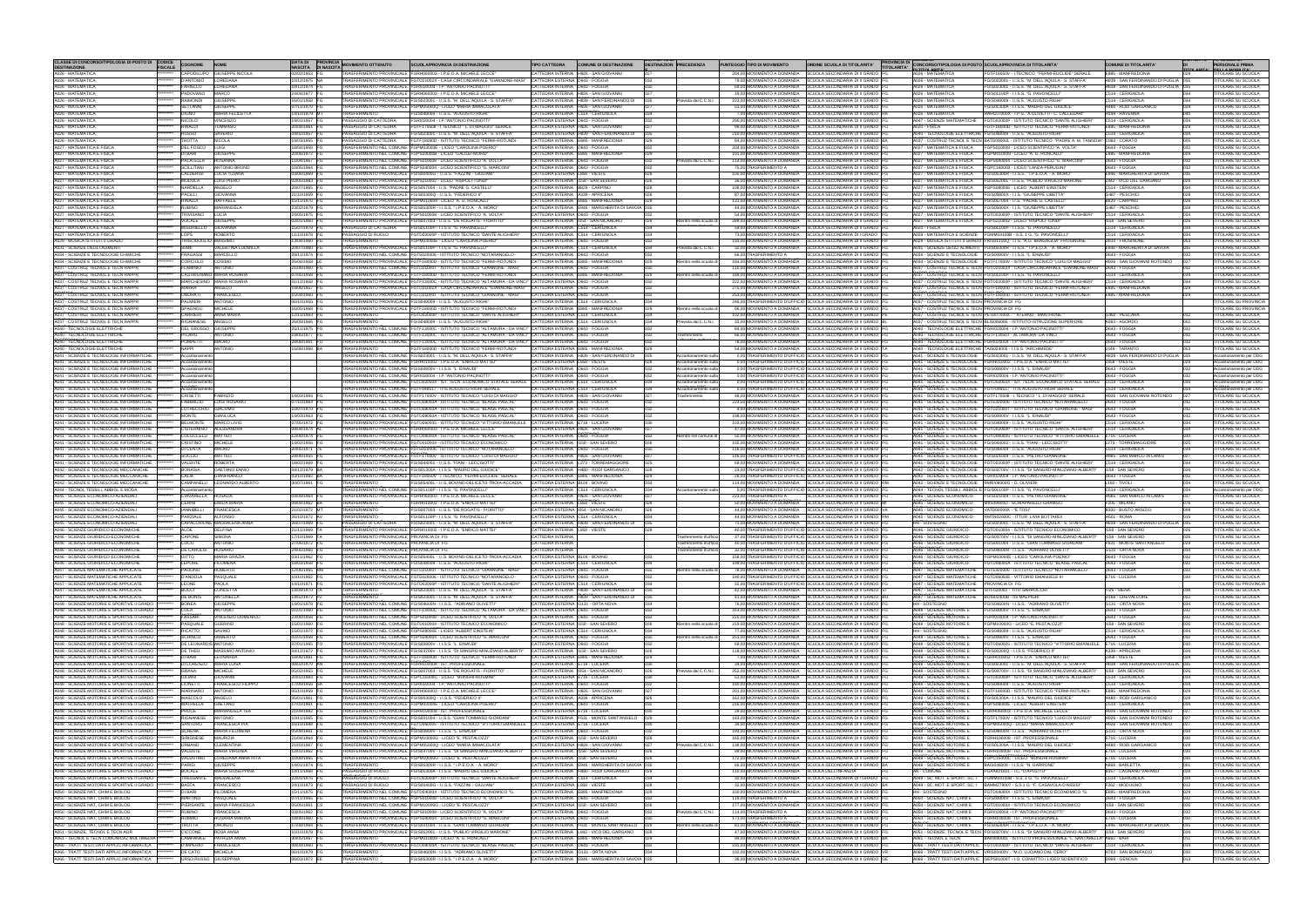| CLASSE DI CONCORSO/TIPOLOGIA DI POSTO DI CODICE<br><b>DESTINAZIONE</b>                   | <b>FISCALE</b> | <b>COGNOME</b>                                 | <b>NOME</b>                               | <b>NASCITA</b>                 | <b>DATA DI PROVINCIA</b><br><b>DI NASCITA</b> | <b>MOVIMENTO OTTENUTO</b>                                                              | <b>SCUOLA/PROVINCIA DI DESTINAZIONE</b>                                                                                                                                                                                     | <b>TIPO CATTEDRA</b>                                                 | <b>COMUNE DI DESTINAZIONE</b>                                                                  | <b>DESTINAZION PRECEDENZA</b>                               | PUNTEGGIO TIPO DI MOVIMENTO                     | ORDINE SCUOLA DI TITOLARITA'                                                                                                       | PROVINCIA DI CONCORSO/TIPOLOGIA DI POSTO SCUOLA/PROVINCIA DI TITOLARITA'<br>N TITOL ARITA!                     |                                                                                                                                                                           | <b>COMUNE DI TITOLARITA'</b>                                   |            | <b>PERSONALE PRIMA</b>                                       |
|------------------------------------------------------------------------------------------|----------------|------------------------------------------------|-------------------------------------------|--------------------------------|-----------------------------------------------|----------------------------------------------------------------------------------------|-----------------------------------------------------------------------------------------------------------------------------------------------------------------------------------------------------------------------------|----------------------------------------------------------------------|------------------------------------------------------------------------------------------------|-------------------------------------------------------------|-------------------------------------------------|------------------------------------------------------------------------------------------------------------------------------------|----------------------------------------------------------------------------------------------------------------|---------------------------------------------------------------------------------------------------------------------------------------------------------------------------|----------------------------------------------------------------|------------|--------------------------------------------------------------|
| A026 - MATEMATICA<br>A026 - MATEMATICA                                                   |                | D'ANTONIO LOREDANA                             | CAPODILUPO GIUSEPPE NICOLA                | 02/02/1953 FG<br>10/12/1975 NA |                                               |                                                                                        | TRASFERIMENTO PROVINCIALE FGRH060003 - I.P.E.O.A. MICHELE LECCE'<br>TRASFERIMENTO PROVINCIALE FGTD21002X - CASA CIRCONDARIALE "GIANNONE-MASI" CATTEDRA ESTERNA D643 - FOGGIA                                                |                                                                      | CATTEDRA INTERNA H926 - SAN GIOVANNI                                                           | 027                                                         |                                                 | 204.00 MOVIMENTO A DOMANDA SCUOLA SECONDARIA DI II GRADO FG<br>79,00 MOVIMENTO A DOMANDA SCUOLA SECONDARIA DI II GRADO FG          | A026 - MATEMATICA<br>A026 - MATEMATICA                                                                         | FGTF18050V - I.TECNICO "FERMI-EUCLIDE" SERALE<br>FGIS023001 - I.I.S.S. 'M. DELL'AQUILA - S. STAFFA"                                                                       | E885 - MANFREDONIA<br>H839 - SAN FERDINANDO DI PUGLIA 035      |            | <b>TITOLARE SU SCUOLA</b><br><b>ITOLARE SU SCUOLA</b>        |
| A026 - MATEMATICA<br>A026 - MATEMATICA                                                   |                | FARIELLO LOREDANA<br>PADOVANO MARCO            |                                           | 18/12/1974 FG<br>24/04/1977 FG |                                               |                                                                                        | TRASFERIMENTO PROVINCIALE FGRI020004 - I.P. "ANTONIO PACINOTTI<br>TRASFERIMENTO PROVINCIALE FGRH060003 - I.P.E.O.A. MICHELE LECCE*                                                                                          | CATTEDRA INTERNA D643 - FOGGIA                                       | CATTEDRA INTERNA H926 - SAN GIOVANNI                                                           | 1027                                                        |                                                 | 69,00 MOVIMENTO A DOMANDA SCUOLA SECONDARIA DI II GRADO FG<br>19.00 MOVIMENTO A DOMANDA SCUOLA SECONDARIA DI II GRADO FG           | A026 - MATEMATICA<br>A026 - MATEMATICA                                                                         | FGIS023001 - I.I.S.S. "M. DELL'AQUILA - S. STAFFA"<br>FGIS01100P - I.I.S.S. "G. PAVONCELLI"                                                                               | H839 - SAN FERDINANDO DI PUGLIA 035<br>C514 - CERIGNOLA        | 034        | <b>TTOLARE SU SCUOLA</b><br><b>TITOLARE SU SCUOLA</b>        |
| A026 - MATEMATICA<br>A026 - MATEMATICA                                                   |                | RAIMONDI GIUSEPPE<br>SETTANNI GIUSEPPE         |                                           | 16/01/1958 FC<br>07/11/1970 FC |                                               |                                                                                        | TRASFERIMENTO PROVINCIALE FGIS023001 - I.I.S.S. "M. DELL'AQUILA - S. STAFFA"<br>TRASFERIMENTO PROVINCIALE FGPM05000Q - LICEO "MARIA IMMACOLATA"                                                                             |                                                                      | CATTEDRA INTERNA H839 - SAN FERDINANDO DI<br>CATTEDRA INTERNA H926 - SAN GIOVANNI              | 035<br>revista dal C.C.N.I.                                 |                                                 | 223,00 MOVIMENTO A DOMANDA SCUOLA SECONDARIA DI II GRADO FG<br>51,00 MOVIMENTO A DOMANDA SCUOLA SECONDARIA DI II GRADO FG          | A026 - MATEMATICA<br>A026 - MATEMATICA                                                                         | FGIS048009 - I.I.S.S. "AUGUSTO RIGHI"<br>FGIS01300A - I.I.S.S. "MAURO DEL GIUDICE"                                                                                        | C514 - CERIGNOLA<br>H480 - RODI GARGANICC                      | 02R        | <b>ITOLARE SU SCUOLA</b><br><b>TTOLARE SU SCUOLA</b>         |
| A026 - MATEMATICA                                                                        |                | <b>DIGNO</b>                                   | <b>MARIA FELICETTA</b>                    | 14/10/1979 MT                  |                                               | <b>TRASFERIMENTO</b>                                                                   | <b>EGIS048009 - LLS S "AUGUSTO RIGHI</b>                                                                                                                                                                                    | CATTEDRA INTERNA C514 - CERIGNOLA                                    |                                                                                                |                                                             |                                                 | 7,00 MOVIMENTO A DOMANDA SCUOLA SECONDARIA DI II GRADO RA                                                                          | A026 - MATEMATICA                                                                                              | RARC07000X - I.P.S. "A.OLIVETTI - C. CALLEGARI"                                                                                                                           | H199 - RAVENNA                                                 |            | <b>ITOLARE SU SCUOLA</b>                                     |
| 4026 - MATEMATICA<br>A026 - MATEMATICA                                                   |                | NICOLO <sup>®</sup><br>RINALDI                 | VINCENZO<br><b>TOMMASO</b>                | 19/01/1957<br>20/04/1961       |                                               | PASSAGGIO DI CATTEDRA<br>PASSAGGIO DI CATTEDRA                                         | FGRI020004 - I.P. "ANTONIO PACINOTTI<br>FGTF170508 - I.TECNICO " L. DI MAGGIO" SERALE                                                                                                                                       | CATTEDRA ESTERNA D643 - FOGGIA                                       | CATTEDRA ESTERNA H926 - SAN GIOVANN                                                            |                                                             |                                                 | 290,00 MOVIMENTO A DOMANDA SCUOLA SECONDARIA DI II GRADO FG<br>99,00 MOVIMENTO A DOMANDA SCUOLA SECONDARIA DI II GRADO FG          | A020 - FISICA                                                                                                  | A047 - SCIENZE MATEMATICHE FGTD02000P - ISTITUTO TECNICO "DANTE ALIGHIERI<br><b>FGTF18000D - ISTITUTO TECNICO "FERMI-ROTUNDI-</b>                                         | C514 - CERIGNOLA<br>E885 - MANFREDONI                          |            | <b>ITOLARE SU SCUOLA</b><br><b>TTOLARE SU SCUOLA</b>         |
| A026 - MATEMATICA<br>4026 - MATEMATICA                                                   |                | <b>RUSSO</b><br>ROTTA                          | <b>SAVERIO</b><br><b>NICOLA</b>           | 04/02/1957 FG<br>19/03/1955 FC |                                               | PASSAGGIO DI CATTEDRA<br>PASSAGGIO DI CATTEDRA                                         | FGIS023001 - I.I.S.S. "M. DELL'AQUILA - S. STAFFA"<br>FGTF18000D - ISTITUTO TECNICO "FERMI-ROTUNDI-                                                                                                                         |                                                                      | CATTEDRA ESTERNA H839 - SAN FERDINANDO DI<br>CATTEDRA INTERNA E885 - MANFREDONIA               | 035                                                         |                                                 | 210,00 MOVIMENTO A DOMANDA SCUOLA SECONDARIA DI II GRADO FG<br>84,00 MOVIMENTO A DOMANDA SCUOLA SECONDARIA DI II GRADO BA          |                                                                                                                | A040 - TECNOLOGIE ELETTRICHE FGIS048009 - I.I.S.S. "AUGUSTO RIGHI"<br>A037 - COSTRUZ TECNOL E TECN BATD09000L - ISTITUTO TECNICO "PADRE A. M. TANNOIA" C983 - CORATO      | C514 - CERIGNOLA                                               | 034        | <b>ITOLARE SU SCUOLA</b><br><b>TOLARE SU SCUOLA</b>          |
| A027 - MATEMATICA E FISICA<br>A027 - MATEMATICA E FISICA                                 |                | <b>DEL FOSCO</b><br>DI BARI GIUSEPPE           | <b>LUIGI</b>                              | 18/04/1958<br>20/06/1972 FG    |                                               |                                                                                        | TRASFERIMENTO NEL COMUNE FGPM03000E - LICEO "CAROLINA POERIO"<br>TRASFERIMENTO NEL COMUNE FGPS20000B - LICEO "GALILEI-MORO"                                                                                                 | ATTEDRA INTERNA D643 - FOGGIA                                        | CATTEDRA INTERNA E885 - MANFREDONIA                                                            | 029                                                         |                                                 | 204,00 MOVIMENTO A DOMANDA SCUOLA SECONDARIA DI II GRADO FG<br>101,00 MOVIMENTO A DOMANDA SCUOLA SECONDARIA DI II GRADO FG         |                                                                                                                | A027 - MATEMATICA E FISICA FGPS010008 - LICEO SCIENTIFICO "A. VOLTA"<br>A027 - MATEMATICA E FISICA FGPM010009 - LICEO "A. G. RONCALLI"                                    | D643 - FOGGIA<br>E885 - MANFREDONIA                            | 029        | <b>ITOLARE SU SCUOLA</b><br><b>ITOLARE SU SCUOLA</b>         |
| 4027 - MATEMATICA E FISICA<br>A027 - MATEMATICA E FISICA                                 |                | PALATELLA ROSANNA                              | SCILLITANI ANTONIO BRUNO                  | 11/04/1967 FG<br>0/05/1964 FG  |                                               |                                                                                        | TRASFERIMENTO NEL COMUNE FGPS010008 - LICEO SCIENTIFICO "A. VOLTA"<br>TRASFERIMENTO NEL COMUNE FGPS040004 - LICEO SCIENTIFICO "G. MARCONI"                                                                                  | CATTEDRA INTERNA D643 - FOGGIA<br>CATTEDRA INTERNA D643 - FOGGIA     |                                                                                                | revista dal C.C.N.I.<br>032<br>032                          | 75.00 TRASFERIMENTO A                           | 114,00 MOVIMENTO A DOMANDA SCUOLA SECONDARIA DI II GRADO FG<br>SCUOLA SECONDARIA DI II GRADO FG                                    |                                                                                                                | A027 - MATEMATICA E FISICA FGPS040004 - LICEO SCIENTIFICO "G. MARCONI"<br>A027 - MATEMATICA E FISICA FGPC160003 - LICEO "LANZA-PERUGINI"                                  | D643 - FOGGIA<br>D643 - FOGGIA                                 | 032        | <b>TOLARE SU SCUOLA</b><br><b>TOLARE SU SCUOLA</b>           |
| A027 - MATEMATICA E FISICA<br>A027 - MATEMATICA E FISICA                                 |                | CALDERISI LUCIA TIZIANA<br>MODOLA LUIGI PIERO  |                                           | 03/06/1969 FG<br>12/05/1983 FG |                                               |                                                                                        | TRASFERIMENTO PROVINCIALE FGIS00400G - I.I.S.S. "FAZZINI - GIULIANI"<br>TRASFERIMENTO PROVINCIALE FGPS210002 - LICEO "RISPOLI-TONDI"                                                                                        | CATTEDRA ESTERNA   858 - VIESTE                                      | CATTEDRA INTERNA 1158 - SAN SEVERO                                                             | 028<br>026                                                  |                                                 | 105.00 MOVIMENTO A DOMANDA SCUOLA SECONDARIA DI II GRADO FG<br>36,00 MOVIMENTO A DOMANDA SCUOLA SECONDARIA DI II GRADO FG          |                                                                                                                | A027 - MATEMATICA E FISICA FGIS05300R - LLS S " LP E O A - A MORO"                                                                                                        | F946 - MARGHERITA DI SAVOIA<br>L842 - VICO DEL GARGANO         | 035        | <b>ITOLARE SU SCUOLA</b><br><b>ITOLARE SU SCUOLA</b>         |
| A027 - MATEMATICA E FISICA                                                               |                | NARDELLA ANGELO                                |                                           | 20/07/1965 FC                  |                                               |                                                                                        | TRASFERIMENTO PROVINCIALE FGIS057004 - I.I.S. "PADRE G. CASTELL                                                                                                                                                             | CATTEDRA INTERNA B829 - CARPINO                                      |                                                                                                | 028                                                         |                                                 | 108,00 MOVIMENTO A DOMANDA SCUOLA SECONDARIA DI II GRADO FG                                                                        |                                                                                                                | A027 - MATEMATICA E FISICA FGIS052001 - I.I.S.S. "PUBLIO VIRGILIO MARONE"<br>A027 - MATEMATICA E FISICA FGPS08000E - LICEO "ALBERT FINSTEIN                               | C514 - CERIGNOLA                                               | 028<br>034 | <b>TOLARE SU SCUOLA</b>                                      |
| A027 - MATEMATICA E FISICA<br>A027 - MATEMATICA E FISICA                                 |                | <b>PACILLI</b><br>RINALDI                      | <b>GIOVANNA</b><br>RAFFAELE               | 1/10/1959 FC<br>15/11/1970 FG  |                                               |                                                                                        | TRASFERIMENTO PROVINCIALE FGIS00300Q - I.I.S.S. "FEDERICO II"<br>TRASFERIMENTO PROVINCIALE FGPM010009 - LICEO "A. G. RONCALLI                                                                                               | CATTEDRA INTERNA A339 - APRICENA                                     | CATTEDRA INTERNA E885 - MANFREDONIA                                                            | 026<br>029                                                  |                                                 | 87,00 MOVIMENTO A DOMANDA SCUOLA SECONDARIA DI II GRADO FG<br>131,00 MOVIMENTO A DOMANDA SCUOLA SECONDARIA DI II GRADO FG          |                                                                                                                | A027 - MATEMATICA E FISICA FGIS05800X - I.I.S. "GIUSEPPE LIBETTA'<br>A027 - MATEMATICA E FISICA FGIS057004 - I.I.S. "PADRE G. CASTELLI"                                   | G487 - PESCHICI<br>B829 - CARPINO                              | 028<br>028 | <b>TOLARE SU SCUOLA</b><br><b>ITOLARE SU SCUOLA</b>          |
| A027 - MATEMATICA E FISICA<br>A027 - MATEMATICA E FISICA                                 |                | <b>RUBINO</b><br>TRIVISANO LUCIA               | MARIANGELA                                | 23/02/1979 FG<br>24/05/1975 FG |                                               |                                                                                        | TRASFERIMENTO PROVINCIALE FGIS05300R - I.I.S.S. " I.P.E.O.A. - A. MORO<br>TRASFERIMENTO PROVINCIALE FGPS010008 - LICEO SCIENTIFICO "A. VOLTA"                                                                               | CATTEDRA ESTERNA D643 - FOGGIA                                       | CATTEDRA INTERNA E946 - MARGHERITA DI SAVOIA 035                                               | 032                                                         |                                                 | 44,00 MOVIMENTO A DOMANDA SCUOLA SECONDARIA DI II GRADO FG<br>54.00 MOVIMENTO A DOMANDA SCUOLA SECONDARIA DI II GRADO FG           |                                                                                                                | A027 - MATEMATICA E FISICA FGIS05800X - I.I.S. "GIUSEPPE LIBETTA"<br>A027 - MATEMATICA E FISICA FGTD02000P - ISTITUTO TECNICO "DANTE ALIGHIERI                            | G487 - PESCHICI<br>C514 - CERIGNOLA                            | 028<br>034 | <b>ITOLARE SU SCUOLA</b><br><b>TOLARE SU SCUOLA</b>          |
| A027 - MATEMATICA E FISICA<br>A027 - MATEMATICA E FISICA                                 |                | VOCALE<br>MISURIELLO GIOVANNA                  | <b>GIUSEPPE</b>                           | 02/01/1960 FG<br>15/07/1978 FG |                                               |                                                                                        | TRASFERIMENTO PROVINCIALE FGIS007003 - I.I.S.S. "DE ROGATIS - FIORITTO"<br>PASSAGGIO DI CATTEDRA FGIS01100P - I.I.S.S. "G. PAVONCELLI"                                                                                      |                                                                      | CATTEDRA INTERNA 1054 - SAN NICANDRO<br>CATTEDRA INTERNA C514 - CERIGNOLA                      | 026<br>Rientro nella scuola di                              |                                                 | 289,00 MOVIMENTO A DOMANDA SCUOLA SECONDARIA DI II GRADO FG<br>59,00 MOVIMENTO A DOMANDA SCUOLA SECONDARIA DI II GRADO FG          | A020 - FISICA                                                                                                  | A027 - MATEMATICA E FISICA FGPS210002 - LICEO "RISPOLI-TONDI"<br>FGIS01100P - I.I.S.S. "G. PAVONCELLI"                                                                    | 1158 - SAN SEVERO<br>C514 - CERIGNOLA                          | 026        | <b>ITOLARE SU SCUOLA</b><br><b>TOLARE SU SCUOLA</b>          |
| A027 - MATEMATICA E FISICA<br>A029 - MUSICA ISTITUTI II GRADO                            |                | LOPS<br>TRISCIUOGLIO MASSIMO                   | ROBERTO                                   | 11/10/1978 FG<br>13/04/1960 FG |                                               | PASSAGGIO DI RUOLO<br><b>TRASFERIMENTO</b>                                             | FGTD02000P - ISTITUTO TECNICO "DANTE ALIGHIERI"<br>FGPM03000E - LICEO "CAROLINA POERIO"                                                                                                                                     | CATTEDRA INTERNA C514 - CERIGNOLA<br>CATTEDRA INTERNA D643 - FOGGIA  |                                                                                                | 034<br>032                                                  |                                                 | 73,00 MOVIMENTO A DOMANDA SCUOLA SECONDARIA DI I GRADO FG<br>193,00 MOVIMENTO A DOMANDA SCUOLA SECONDARIA DI II GRADO FR           |                                                                                                                | A028 - MATEMATICA E SCIENZE FGMM04100B - S.S. 1 G. "G. PAVONCELLI'<br>A029 - MUSICA ISTITUTI II GRADO FRIS01100Q - I.I.S. "A.G. BRAGAGLIA" FROSINONE                      | C514 - CERIGNOLA<br>D810 - FROSINONE                           | 034<br>053 | <b>ITOLARE SU SCUOLA</b><br><b>ITOLARE SU SCUOLA</b>         |
| A031 - SCIENZE DEGLI ALIMENTI<br>A034 - SCIENZE E TECNOLOGIE CHIMICHE                    |                | SIANI<br>FRAGASSI MARCELLO                     | VALENTINA LUDMILLA                        | 20/07/1980 FG<br>29/11/1974 FG |                                               |                                                                                        | TRASFERIMENTO PROVINCIALE FGIS01100P - I.I.S.S. "G. PAVONCELLI"<br>TRASFERIMENTO NEL COMUNE FGTE020006 - ISTITUTO TECNICO "NOTARANGELO -                                                                                    | CATTEDRA INTERNA D643 - FOGGIA                                       | CATTEDRA INTERNA C514 - CERIGNOLA                                                              | revista dal C.C.N.I.<br>1034                                | 66.00 TRASFERIMENTO A                           | 32,00 MOVIMENTO A DOMANDA SCUOLA SECONDARIA DI II GRADO FG<br>SCUOLA SECONDARIA DI II GRADO FG                                     | A034 - SCIENZE E TECNOLOGIE FGIS00800V - I.I.S.S. "L. EINAUDI"                                                 | A031 - SCIENZE DEGLI ALIMENTI FGIS05300R - I.I.S.S. " I.P.E.O.A. - A. MORO"                                                                                               | E946 - MARGHERITA DI SAVOIA<br>D643 - FOGGIA                   | 035        | <b>TOLARE SU SCUOLA</b><br><b>ITOLARE SU SCUOLA</b>          |
| A034 - SCIENZE E TECNOLOGIE CHIMICHE                                                     |                | CORCIULO COSIMO<br><b>FLAMINIO ANTONIO</b>     |                                           | 26/04/1958 LE<br>21/06/1960 FG |                                               |                                                                                        | TRASFERIMENTO PROVINCIALE FGTF18000D - ISTITUTO TECNICO "FERMI-ROTUNDI-<br>TRASFERIMENTO NEL COMUNE FGTD21000T - ISTITUTO TECNICO "GIANNONE - MASI"                                                                         | CATTEDRA INTERNA D643 - FOGGIA                                       | CATTEDRA INTERNA F885 - MANEREDONIA                                                            | 029<br>Rientro nella scuola di                              |                                                 | 184,00 MOVIMENTO A DOMANDA SCUOLA SECONDARIA DI II GRADO FG<br>110,00 MOVIMENTO A DOMANDA SCUOLA SECONDARIA DI II GRADO FG         |                                                                                                                | A034 - SCIENZE E TECNOLOGIE FGTF17000V - ISTITUTO TECNICO "LUIGI DI MAGGIO"<br>A037 - COSTRUZ TECNOL E TECN FGTD21002X - CASA CIRCONDARIALE "GIANNONE-MASI" D643 - FOGGIA | H926 - SAN GIOVANNI ROTONDO                                    | 027        | <b>ITOLARE SU SCUOLA</b><br><b>ITOLARE SU SCUOLA</b>         |
| A037 - COSTRUZ TECNOL E TECN RAPPR<br>A037 - COSTRUZ TECNOL E TECN RAPPR                 |                |                                                | CASTRIGNANO MARIA ROSARIA                 | 07/05/1958                     |                                               |                                                                                        | TRASFERIMENTO PROVINCIALE FGTF18000D - ISTITUTO TECNICO "FERMI-ROTUNDI-                                                                                                                                                     |                                                                      | CATTEDRA INTERNA E885 - MANFREDONIA                                                            | entro nella scuola di                                       |                                                 | 188,00 MOVIMENTO A DOMANDA SCUOLA SECONDARIA DI II GRADO FG                                                                        |                                                                                                                | A037 - COSTRUZ TECNOL E TECN FGIS01100P - I.I.S.S. "G. PAVONCELLI"                                                                                                        | 2514 - CERIGNOLA                                               |            | <b>ITOLARE SU SCUOLA</b>                                     |
| A037 - COSTRUZ TECNOL E TECN RAPPF<br>A037 - COSTRUZ TECNOL E TECN RAPPR                 |                | MARRA                                          | MARCHESINO MARIA ROSARIA<br>ANGELO        | 01/12/1958<br>19/06/1957       |                                               |                                                                                        | TRASFERIMENTO PROVINCIALE FGTF13000C - ISTITUTO TECNICO "ALTAMURA - DA VINCI" CATTEDRA ESTERNA D643 - FOGGIA<br>TRASFERIMENTO PROVINCIALE FGTD21002X - CASA CIRCONDARIALE "GIANNONE-MASI" CATTEDRA INTERNA D643 - FOGGIA    |                                                                      |                                                                                                |                                                             |                                                 | 222,00 MOVIMENTO A DOMANDA SCUOLA SECONDARIA DI II GRADO FG<br>275,00 MOVIMENTO A DOMANDA SCUOLA SECONDARIA DI II GRADO FG         |                                                                                                                | A037 - COSTRUZ TECNOL E TECN FGTD02000P - ISTITUTO TECNICO "DANTE ALIGHIERI<br>A037 - COSTRUZ TECNOL E TECN FGTF18000D - ISTITUTO TECNICO "FERMI-ROTUNDI-                 | C514 - CERIGNOLA<br>E885 - MANFREDONI                          |            | <b>ITOLARE SU SCUOLA</b><br><b>TTOLARE SU SCUOLA</b>         |
| 4037 - COSTRUZ TECNOL E TECN RAPPF<br>4037 - COSTRUZ TECNOL E TECN RAPPI                 |                | <b>ONORATI</b><br>PALMIERI                     | FRANCESCO<br>ANTONIO                      | 15/04/1960<br>06/10/1956       |                                               |                                                                                        | TRASFERIMENTO PROVINCIALE FGTD21000T - ISTITUTO TECNICO "GIANNONE - MASI"<br>TRASFERIMENTO PROVINCIALE FGIS048009 - I.I.S.S. "AUGUSTO RIGHI                                                                                 | CATTEDRA ESTERNA D643 - FOGGIA                                       | CATTEDRA INTERNA C514 - CERIGNOLA                                                              |                                                             |                                                 | 253,00 MOVIMENTO A DOMANDA SCUOLA SECONDARIA DI II GRADO FG<br>246,00 TRASFERIMENTO D'UFFICIO SCUOLA SECONDARIA DI II GRADO FG     | A037 - COSTRUZ TECNOL E TECN PROVINCIA DI FG                                                                   | A037 - COSTRUZ TECNOL E TECN FGTF18000D - ISTITUTO TECNICO "FERMI-ROTUNDI-                                                                                                | E885 - MANFREDONI                                              |            | <b>FITOLARE SU SCUOLA</b><br><b>TOLARE SU PROVINCIA</b>      |
| 4037 - COSTRUZ TECNOL E TECN RAPPI<br>4037 - COSTRUZ TECNOL E TECN RAPPF                 |                | SPAGNOLI<br><b>CARRIERI</b>                    | <b>MICHELE</b><br>ANNA MARIA              | 16/05/1968 FC<br>12/11/1963    |                                               | <b>TRASFERIMENTO</b>                                                                   | TRASFERIMENTO PROVINCIALE FGTF18000D - ISTITUTO TECNICO "FERMI-ROTUNDI-<br>GTD02000P - ISTITUTO TECNICO "DANTE ALIGHIERI"                                                                                                   | CATTEDRA ESTERNA C514 - CERIGNOLA                                    | CATTEDRA INTERNA E885 - MANFREDONIA                                                            | tientro nella scuola di                                     |                                                 | 96,00 MOVIMENTO A DOMANDA SCUOLA SECONDARIA DI II GRADO FG<br>102,00 MOVIMENTO A DOMANDA SCUOLA SECONDARIA DI II GRADO PE          | A037 - COSTRUZ TECNOL E TECN PROVINCIA DI FG                                                                   | A037 - COSTRUZ TECNOL E TECN PETD07000X - " ATERNO - MANTHONE"                                                                                                            | G482 - PESCARA                                                 |            | <b>TOLARE SU PROVINCIA</b><br><b>TTOLARE SU SCUOLA</b>       |
| A037 - COSTRUZ TECNOL E TECN RAPPR<br>4040 - TECNOLOGIE ELETTRICHE                       |                | RIGNANESE ANGELO<br><b>DEL GROSSO GIUSEPPE</b> |                                           | 26/09/1966 FC<br>25/11/1975 FG |                                               | <b>TRASFERIMENTO</b>                                                                   | GIS048009 - I.I.S.S. "AUGUSTO RIGHI"<br>TRASFERIMENTO NEL COMUNE FGTF13000C - ISTITUTO TECNICO "ALTAMURA - DA VINCI" CATTEDRA INTERNA D643 - FOGGIA                                                                         |                                                                      | CATTEDRA INTERNA C514 - CERIGNOLA                                                              | revista dal C.C.N.I.<br>1034                                |                                                 | 33.00 MOVIMENTO A DOMANDA SCUOLA SECONDARIA DI II GRADO BL<br>84,00 MOVIMENTO A DOMANDA SCUOLA SECONDARIA DI II GRADO FG           |                                                                                                                | A037 - COSTRUZ TECNOL E TECN BLIS00600E - ISTITUTO ISTRUZIONE SUPERIORE<br>A040 - TECNOLOGIE ELETTRICHE FGRI020004 - I.P. ANTONIO PACINOTT                                | A083 - AGORDO<br>D643 - FOGGIA                                 | 002        | <b>ITOLARE SU SCUOLA</b><br><b>ITOLARE SU SCUOLA</b>         |
| <b>A040 - TECNOLOGIE ELETTRICHE</b><br>A040 - TECNOLOGIE ELETTRICHE                      |                | <b>PICARO</b><br>POMPETTI MAURO                | ANTONIO                                   | 19/05/1977<br>28/08/1961       |                                               |                                                                                        | TRASFERIMENTO NEL COMUNE FGTF13000C - ISTITUTO TECNICO "ALTAMURA - DA VINCI" ICATTEDRA INTERNA D643 - FOGGIA<br>TRASFERIMENTO NEL COMUNE FGTF13000C - ISTITUTO TECNICO "ALTAMURA - DA VINCI" CATTEDRA INTERNA D643 - FOGGIA |                                                                      |                                                                                                | 032<br>rasferimento                                         |                                                 | 66,00 MOVIMENTO A DOMANDA SCUOLA SECONDARIA DI II GRADO FG<br>78,00 MOVIMENTO A DOMANDA SCUOLA SECONDARIA DI II GRADO FG           |                                                                                                                | A040 - TECNOLOGIE ELETTRICHE FGTF13050T - ALTAMURA- DA VINCI<br>A040 - TECNOLOGIE ELETTRICHE FGRI020004 - I.P. "ANTONIO PACINOTT                                          | D643 - FOGGIA<br>D643 - FOGGIA                                 | 032<br>032 | <b>TOLARE SU SCUOLA</b><br><b>ITOLARE SU SCUOLA</b>          |
| <b>A040 - TECNOLOGIE ELETTRICHE</b>                                                      |                | <b>NAPPI</b>                                   | ANTONIO                                   | 15/08/1968 BA                  |                                               | <b>TRASFERIMENTO</b>                                                                   | FGTF18000D - ISTITUTO TECNICO "FERMI-ROTUNDI-                                                                                                                                                                               |                                                                      | CATTEDRA ESTERNA E885 - MANFREDONIA                                                            | 032                                                         |                                                 | 54.00 MOVIMENTO A DOMANDA SCUOLA SECONDARIA DI II GRADO TA                                                                         |                                                                                                                | A040 - TECNOLOGIE ELETTRICHE TAIS024005 - I.I.S.S. "ARCHIMEDE"                                                                                                            | L049 - TARANTC                                                 |            | <b>ITOLARE SU SCUOLA</b>                                     |
| A041 - SCIENZE E TECNOLOGIE INFORMATICHE<br>A041 - SCIENZE E TECNOLOGIE INFORMATICHE     |                | Accantonamento<br>Accantonamento               |                                           |                                |                                               |                                                                                        | TRASFERIMENTO NEL COMUNE FGIS023001 - I.I.S.S. "M. DELL'AQUILA - S. STAFFA"<br>TRASFERIMENTO NEL COMUNE FGRH010002 - I.P.E.O.A. "ENRICO MATTEI'                                                                             | CATTEDRA ESTERNA L858 - VIESTE                                       | CATTEDRA INTERNA H839 - SAN FERDINANDO DI 035                                                  | Accantonamento sulla<br>Accantonamento sul                  |                                                 | 0,00 TRASFERIMENTO D'UFFICIO SCUOLA SECONDARIA DI II GRADO FG<br>0,00 TRASFERIMENTO D'UFFICIO SCUOLA SECONDARIA DI II GRADO FG     |                                                                                                                | A041 - SCIENZE E TECNOLOGIE FGIS023001 - I.I.S.S. "M. DELL'AQUILA - S. STAFFA"<br>A041 - SCIENZE E TECNOLOGIE FGRH010002 - I.P.E.O.A. "ENRICO MATTEI"                     | H839 - SAN FERDINANDO DI PUGLIA 035<br>L858 - VIESTE           |            | Accantonamento per DDG<br>Accantonamento per DDG             |
| A041 - SCIENZE E TECNOLOGIE INFORMATICHE<br>A041 - SCIENZE E TECNOLOGIE INFORMATICHE     |                | Accantonamento<br>Accantonamento               |                                           |                                |                                               |                                                                                        | TRASFERIMENTO NEL COMUNE FGIS00800V - I.I.S.S. "L. EINAUDI"<br>TRASFERIMENTO NEL COMUNE FGRI020004 - I.P."ANTONIO PACINOTT                                                                                                  | CATTEDRA INTERNA D643 - FOGGIA<br>CATTEDRA INTERNA D643 - FOGGIA     |                                                                                                | Accantonamento sulla<br>032<br>Accantonamento sulla         |                                                 | 0,00 TRASFERIMENTO D'UFFICIO SCUOLA SECONDARIA DI II GRADO FG<br>0,00 TRASFERIMENTO D'UFFICIO SCUOLA SECONDARIA DI II GRADO FG     | A041 - SCIENZE E TECNOLOGIE FGIS00800V - I.I.S.S. "L. EINAUDI"                                                 | A041 - SCIENZE E TECNOLOGIE FGRI020004 - I.P."ANTONIO PACINOTT                                                                                                            | D643 - FOGGIA<br>D643 - FOGGIA                                 | 032        | Accantonamento per DDG<br>Accantonamento per DDG             |
| A041 - SCIENZE E TECNOLOGIE INFORMATICHE<br>A041 - SCIENZE E TECNOLOGIE INFORMATICHE     |                | Accantonamento<br>Accantonamento               |                                           |                                |                                               |                                                                                        | TRASFERIMENTO NEL COMUNE FGTD020504 - IST. TECN. ECONOMICO STATALE SERALE CATTEDRA INTERNA C514 - CERIGNOLA<br>TRASFERIMENTO NEL COMUNE FGTF048517 - ITIS AUGUSTO RIGHI SERALE                                              |                                                                      | CATTEDRA ESTERNA C514 - CERIGNOLA                                                              | 1034<br>Accantonamento sulla<br>034<br>Accantonamento sulla |                                                 | 0,00 TRASFERIMENTO D'UFFICIO SCUOLA SECONDARIA DI II GRADO FG<br>0,00 TRASFERIMENTO D'UFFICIO SCUOLA SECONDARIA DI II GRADO FG     |                                                                                                                | A041 - SCIENZE E TECNOLOGIE FGTD020504 - IST. TECN. ECONOMICO STATALE SERALE C514 - CERIGNOLA<br>A041 - SCIENZE E TECNOLOGIE FGTF048517 - ITIS AUGUSTO RIGHI SERALE       | C514 - CERIGNOLA                                               | 034        | Accantonamento per DDG<br>Accantonamento per DDG             |
| A041 - SCIENZE E TECNOLOGIE INFORMATICHE<br>4041 - SCIENZE E TECNOLOGIE INFORMATICHE     |                | CRISETTI FABRIZIO                              | FABBRIZIO LUIGI ROSARIO                   | 4/03/1984<br>07/10/1964        |                                               |                                                                                        | TRASFERIMENTO NEL COMUNE FGTF17000V - ISTITUTO TECNICO "LUIGI DI MAGGIO"<br>TRASFERIMENTO NEL COMUNE FGTD08000A - ISTITUTO TECNICO "BLAISE PASCAL"                                                                          | CATTEDRA INTERNA D643 - FOGGIA                                       | CATTEDRA INTERNA H926 - SAN GIOVANN                                                            | rasferimento<br>032                                         |                                                 | 48,00 MOVIMENTO A DOMANDA SCUOLA SECONDARIA DI II GRADO FG<br>224,50 MOVIMENTO A DOMANDA SCUOLA SECONDARIA DI II GRADO FG          |                                                                                                                | A041 - SCIENZE E TECNOLOGIE FGTF170508 - I.TECNICO " L. DI MAGGIO" SERALE<br>A041 - SCIENZE E TECNOLOGIE FGTE020006 - ISTITUTO TECNICO "NOTARANGELO -                     | H926 - SAN GIOVANNI ROTONDO<br>D643 - FOGGIA                   | 027        | <b>TITOLARE SU SCUOLA</b><br><b>ITOLARE SU SCUOLA</b>        |
| A041 - SCIENZE E TECNOLOGIE INFORMATICHE<br>A041 - SCIENZE E TECNOLOGIE INFORMATICHE     |                | LOTRECCHIO GIACOMO<br>MONTE GIANLUCA           |                                           | 10/07/1970 FG<br>14/03/1963 FG |                                               |                                                                                        | TRASFERIMENTO NEL COMUNE FGTD08000A - ISTITUTO TECNICO "BLAISE PASCAL"<br>TRASFERIMENTO NEL COMUNE FGTD08000A - ISTITUTO TECNICO "BLAISE PASCAL"                                                                            | CATTEDRA INTERNA D643 - FOGGIA<br>CATTEDRA INTERNA D643 - FOGGIA     |                                                                                                | 032<br>1032                                                 |                                                 | 9,00 MOVIMENTO A DOMANDA SCUOLA SECONDARIA DI II GRADO FG<br>198,00 MOVIMENTO A DOMANDA SCUOLA SECONDARIA DI II GRADO FG           | A041 - SCIENZE E TECNOLOGIE FGIS00800V - I.I.S.S. "L. EINAUDI"                                                 | A041 - SCIENZE E TECNOLOGIE FGTD21000T - ISTITUTO TECNICO "GIANNONE - MASI"                                                                                               | D643 - FOGGIA<br>D643 - FOGGIA                                 | 032        | <b>TITOLARE SU SCUOLA</b><br><b>ITOLARE SU SCUOLA</b>        |
| 4041 - SCIENZE E TECNOLOGIE INFORMATICHE                                                 |                | BELMONTE MARCO LIVIO                           |                                           | 07/05/1972 FC                  |                                               |                                                                                        | TRASFERIMENTO PROVINCIALE FGTD060005 - ISTITUTO TECNICO "VITTORIO EMANUELE CATTEDRA INTERNA E716 - LUCERA                                                                                                                   |                                                                      |                                                                                                | 030                                                         |                                                 | 103,00 MOVIMENTO A DOMANDA SCUOLA SECONDARIA DI II GRADO FG                                                                        |                                                                                                                | A041 - SCIENZE E TECNOLOGIE FGIS048009 - I.I.S.S. "AUGUSTO RIGHI"                                                                                                         | C514 - CERIGNOLA                                               |            | <b>ITOLARE SU SCUOLA</b>                                     |
| A041 - SCIENZE E TECNOLOGIE INFORMATICHE<br>A041 - SCIENZE E TECNOLOGIE INFORMATICHE     |                | CISTERNINO ALESSANDRA<br>COLUCCELLI MATTEO     |                                           | 09/04/1974<br>12/08/1974 F     |                                               |                                                                                        | TRASFERIMENTO PROVINCIALE FGRH060003 - I.P.E.O.A. MICHELE LECCE*<br>TRASFERIMENTO PROVINCIALE FGTD08000A - ISTITUTO TECNICO "BLAISE PASCAL                                                                                  | CATTEDRA INTERNA D643 - FOGGIA                                       | CATTEDRA ESTERNA H926 - SAN GIOVANN                                                            | 027<br>ientro nel comune di                                 |                                                 | 47,00 MOVIMENTO A DOMANDA SCUOLA SECONDARIA DI II GRADO FG<br>50,00 MOVIMENTO A DOMANDA SCUOLA SECONDARIA DI II GRADO FG           |                                                                                                                | A041 - SCIENZE E TECNOLOGIE FGTD02000P - ISTITUTO TECNICO "DANTE ALIGHIERI"<br>A041 - SCIENZE E TECNOLOGIE FGTD060005 - ISTITUTO TECNICO "VITTORIO EMANUELE E716 - LUCERA | C514 - CERIGNOLA                                               |            | <b>TITOLARE SU SCUOLA</b><br><b>TTOLARE SU SCUOLA</b>        |
| A041 - SCIENZE E TECNOLOGIE INFORMATICHE<br>A041 - SCIENZE E TECNOLOGIE INFORMATICHE     |                | CRISTINO MICHELE<br>DI CENTA                   | MAURO                                     | 14/02/1956<br>20/05/1971       |                                               |                                                                                        | TRASFERIMENTO PROVINCIALE FGTD010004 - ISTITUTO TECNICO ECONOMICO<br>TRASFERIMENTO PROVINCIALE FGTE020006 - ISTITUTO TECNICO "NOTARANGELO -                                                                                 | CATTEDRA INTERNA D643 - FOGGIA                                       | CATTEDRA INTERNA 1158 - SAN SEVERO                                                             |                                                             |                                                 | 155,00 MOVIMENTO A DOMANDA SCUOLA SECONDARIA DI II GRADO FG<br>116,00 MOVIMENTO A DOMANDA SCUOLA SECONDARIA DI II GRADO FG         |                                                                                                                | A041 - SCIENZE E TECNOLOGIE FGIS044002 - I.I.S.S. "FIANI - LECCISOTT<br>A041 - SCIENZE E TECNOLOGIE FGIS048009 - I.I.S.S. "AUGUSTO RIGHI"                                 | L273 - TORREMAGGIOR<br>C514 - CERIGNOLA                        |            | <b>ITOLARE SU SCUOLA</b><br><b>ITOLARE SU SCUOLA</b>         |
| 4041 - SCIENZE E TECNOLOGIE INFORMATICHE<br>4041 - SCIENZE E TECNOLOGIE INFORMATICHE     |                | SOCCIO<br>VALENTE                              | <b>MATTEO</b><br>ROBERTA                  | 29/06/1955<br>18/02/1969 FC    |                                               |                                                                                        | TRASFERIMENTO PROVINCIALE FGTF17000V - ISTITUTO TECNICO "LUIGI DI MAGGIO"<br>TRASFERIMENTO PROVINCIALE FGIS044002 - I.I.S.S. "FIANI - LECCISOTTI                                                                            |                                                                      | CATTEDRA INTERNA H926 - SAN GIOVANN<br>CATTEDRA INTERNA L273 - TORREMAGGIORE                   | 025                                                         |                                                 | 146,00 TRASFERIMENTO D'UFFICIO SCUOLA SECONDARIA DI II GRADO FG<br>69,00 MOVIMENTO A DOMANDA SCUOLA SECONDARIA DI II GRADO FG      |                                                                                                                | A041 - SCIENZE E TECNOLOGIE FGIS021009 - I.I.S.S. "PIETRO GIANNONE"<br>A041 - SCIENZE E TECNOLOGIE FGTD02000P - ISTITUTO TECNICO "DANTE ALIGHIERI                         | <b>H985 - SAN MARCO IN LAMIS</b><br>C514 - CERIGNOLA           |            | <b>TTOLARE SU SCUOLA</b><br><b>ITOLARE SU SCUOLA</b>         |
| 4042 - SCIENZE E TECNOLOGIE MECCANICHE<br>4042 - SCIENZE E TECNOLOGIE MECCANICHE         |                | <b>BONASIA</b>                                 | <b>GAETANO ENNIC</b><br><b>GIANFRANCO</b> | 04/12/1979<br>03/10/1982 BA    |                                               |                                                                                        | TRASFERIMENTO PROVINCIALE FGIS01300A - I.I.S.S. "MAURO DEL GIUDICE<br>TRASFERIMENTO PROVINCIALE FGTF18050V - I.TECNICO "FERMI-EUCLIDE" SERALE                                                                               |                                                                      | CATTEDRA INTERNA H480 - RODI GARGANICO<br>CATTEDRA INTERNA E885 - MANFREDONIA                  | 028                                                         |                                                 | 23,00 TRASFERIMENTO D'UFFICIO SCUOLA SECONDARIA DI II GRADO FG<br>26,00 TRASFERIMENTO D'UFFICIO SCUOLA SECONDARIA DI II GRADO FG   |                                                                                                                | A042 - SCIENZE E TECNOLOGIE FGIS03700V - I.I.S.S. "DI SANGRO-MINUZIANO-ALBERTI"<br>A042 - SCIENZE E TECNOLOGIE FGRI020004 - I.P. "ANTONIO PACINOTTI"                      | 1158 - SAN SEVERC<br>D643 - FOGGIA                             | 026        | <b>TOLARE SU SCUOLA</b><br><b>TOLARE SU SCUOLA</b>           |
| A042 - SCIENZE E TECNOLOGIE MECCANICHE<br>4044 - TECNOL TESSILI, ABBIGL E MODA           |                | Accantonamento                                 | CAMPANELLI LEONARDO ALBERTO               | 30/07/1961 FG                  |                                               | <b>TRASFERIMENTO</b>                                                                   | GIS05400L - I.I.S. BOVINO-DELICETO-TROIA-ACCADIA<br>TRASFERIMENTO NEL COMUNE FGIS01100P - I.I.S.S. "G. PAVONCELLI"                                                                                                          | CATTEDRA ESTERNA B104 - BOVINO                                       | CATTEDRA INTERNA C514 - CERIGNOLA                                                              | 033<br>1034<br>Accantonamento sulla                         |                                                 | 114,00 MOVIMENTO A DOMANDA SCUOLA SECONDARIA DI II GRADO RM<br>0.00 TRASFERIMENTO D'UFFICIO SCUOLA SECONDARIA DI II GRADO FG       | A042 - SCIENZE E TECNOLOGIE RMRI08000G - O. OLIVIERI                                                           | A044 - TECNOL TESSILI, ABBIGL E FGIS01100P - I.I.S.S. "G. PAVONCELLI"                                                                                                     | 1182 - TIVOLI<br>C514 - CERIGNOLA                              | 034<br>034 | <b>ITOLARE SU SCUOLA</b><br>Accantonamento per DDG           |
| 4045 - SCIENZE ECONOMICO-AZIENDALI<br>A045 - SCIENZE ECONOMICO-AZIENDALI                 |                | CIAVARELLA ROSALIA<br>CERINI                   | FMILIA MARIA                              | 04/09/1964                     |                                               | <b>TRASFERIMENTO</b>                                                                   | TRASFERIMENTO PROVINCIALE FGRH060003 - I.P.E.O.A. MICHELE LECCE                                                                                                                                                             | CATTEDRA INTERNA 1858 - VIESTE                                       | CATTEDRA INTERNA H926 - SAN GIOVANNI                                                           |                                                             | 221,00 TRASFERIMENTO A                          | SCUOLA SECONDARIA DI II GRADO FG<br>50.00 MOVIMENTO A DOMANDA SCUOLA SECONDARIA DI II GRADO MI                                     |                                                                                                                | A045 - SCIENZE ECONOMICO- FGIS021009 - I.I.S.S. "PIETRO GIANNONE"<br>A045 - SCIENZE ECONOMICO- MIIS09900D - SCHIAPARELLI-GRAMSCI                                          | <b>H985 - SAN MARCO IN LAMIS</b>                               | 027        | <b>ITOLARE SU SCUOLA</b>                                     |
| 045 - SCIENZE ECONOMICO-AZIENDALI                                                        |                | NNIBELLI FRANCESCA                             |                                           | 09/04/1962 BA<br>21/02/1972    |                                               | <b>TRASFERIMENTO</b>                                                                   | FGRH010002 - I.P.E.O.A. "ENRICO MATTEI"<br>GIS007003 - I.I.S.S. "DE ROGATIS - FIORITTO"                                                                                                                                     |                                                                      | CATTEDRA ESTERNA 1054 - SAN NICANDRO                                                           | 028<br>026                                                  |                                                 | 44,00 MOVIMENTO A DOMANDA SCUOLA SECONDARIA DI II GRADO VA                                                                         | A045 - SCIENZE ECONOMICO-                                                                                      | VATD02000X - "F TOSI"                                                                                                                                                     | F205 - MII ANO<br>B300 - BUSTO ARSIZIO                         | 076<br>008 | <b>ITOLARE SU SCUOLA</b><br><b>TOLARE SU SCUOLA</b>          |
| 4045 - SCIENZE ECONOMICO-AZIENDALI<br>A045 - SCIENZE ECONOMICO-AZIENDAL                  |                | PARZIALE ALFONSO                               | CAPACCHIONE MADDALENA ANNA                | 26/10/1972 A'<br>26/07/1969 FG |                                               | <b>TRASFERIMENTO</b><br>PASSAGGIO DI CATTEDRA                                          | GIS01100P - I.I.S.S. "G. PAVONCELLI"<br>FGIS023001 - I.I.S.S. "M. DELL'AQUILA - S. STAFFA"                                                                                                                                  |                                                                      | <b>CATTEDRA ESTERNA C514 - CERIGNOLA</b><br>CATTEDRA INTERNA H839 - SAN FERDINANDO DI          | 035                                                         |                                                 | 44,00 MOVIMENTO A DOMANDA SCUOLA SECONDARIA DI II GRADO RM<br>71.00 MOVIMENTO A DOMANDA SCUOLA SECONDARIA DI II GRADO FG           | A045 - SCIENZE ECONOMICO-<br>HH - SOSTEGNO                                                                     | RMTN02000C - ITTUR LIVIA BOTTARDI<br>GIS023001 - I.I.S.S. "M. DELL'AQUILA - S. STAFFA"                                                                                    | 1501 - ROMA<br>H839 - SAN FERDINANDO DI PUGLIA 035             |            | <b>TOLARE SU SCUOLA</b><br><b>ITOLARE SU SCUOLA</b>          |
| 4046 - SCIENZE GIURIDICO-ECONOMICHE<br>A046 - SCIENZE GIURIDICO-ECONOMICHE               |                | CAPONE                                         | <b>DELFINA</b><br><b>SIMONA</b>           | 1/11/1969 TA<br>7/10/1969 TA   |                                               | TRASFERIMENTO PROVINCIALE PROVINCIA DI FG                                              | TRASFERIMENTO PROVINCIALE FGRH010002 - I.P.E.O.A. "ENRICO MATTEI'                                                                                                                                                           | CATTEDRA INTERNA   L858 - VIESTE<br>CATTEDRA INTERNA                 |                                                                                                | rasferimento d'ufficio                                      |                                                 | 40,00 TRASFERIMENTO D'UFFICIO SCUOLA SECONDARIA DI II GRADO FG<br>37,00 TRASFERIMENTO D'UFFICIO SCUOLA SECONDARIA DI II GRADO FG   | A046 - SCIENZE GIURIDICO-<br>A046 - SCIENZE GIURIDICO-                                                         | GTD010004 - ISTITUTO TECNICO ECONOMICO<br>FGIS03700V - I.I.S.S. "DI SANGRO-MINUZIANO-ALBERTI"                                                                             | 1158 - SAN SEVERO<br>1158 - SAN SEVERO                         | 026        | <b>TOLARE SU SCUOLA</b><br><b>TITOLARE SU SCUOLA</b>         |
| A046 - SCIENZE GIURIDICO-ECONOMICHE<br>A046 - SCIENZE GIURIDICO-ECONOMICHE               |                | COCO<br>DE CAROLIS ROSARIO                     | ANTONIO                                   | 27/06/1972 FG                  |                                               | TRASFERIMENTO PROVINCIALE PROVINCIA DI FG<br>TRASFERIMENTO PROVINCIALE PROVINCIA DL EG |                                                                                                                                                                                                                             | CATTEDRA INTERNA<br><b>CATTEDRA INTERNA</b>                          |                                                                                                | Trasferimento d'ufficio<br>rasferimento d'ufficio           |                                                 | 40,00 TRASFERIMENTO D'UFFICIO SCUOLA SECONDARIA DI II GRADO FG<br>32.00 TRASFERIMENTO D'UFFICIO SCUOLA SECONDARIA DI II GRADO FG   | A046 - SCIENZE GIURIDICO-                                                                                      | FGIS001004 - I.I.S.S. "GIAN TOMMASO GIORDANI"<br>A046 - SCIENZE GIURIDICO- FGIS04600N - I.I.S.S. "ADRIANO OLIVETTI"                                                       | F631 - MONTE SANTANGELO<br>G131 - ORTA NOVA                    | 029        | <b>TITOLARE SU SCUOLA</b><br>TITOLARE SU SCUOLA              |
| A046 - SCIENZE GIURIDICO-ECONOMICHE<br>A046 - SCIENZE GIURIDICO-ECONOMICHE               |                | GITTO MARIA GRAZIA<br>LEPORE FILOMENA          |                                           | 03/11/1962 FG<br>18/03/1958 FG |                                               |                                                                                        | TRASFERIMENTO PROVINCIALE FGIS05400L - I.I.S. BOVINO-DELICETO-TROIA-ACCADIA<br>TRASFERIMENTO PROVINCIALE FGIS048009 - I.I.S.S. "AUGUSTO RIGHI"                                                                              | CATTEDRA ESTERNA B104 - BOVINO                                       | CATTEDRA ESTERNA C514 - CERIGNOLA                                                              | 034                                                         |                                                 | 158,00 TRASFERIMENTO D'UFFICIO SCUOLA SECONDARIA DI II GRADO FG<br>199,00 TRASFERIMENTO D'UFFICIO SCUOLA SECONDARIA DI II GRADO FG |                                                                                                                | A046 - SCIENZE GIURIDICO- FGPM03000E - LICEO "CAROLINA POERIO"<br>A046 - SCIENZE GIURIDICO- FGTD08000A - ISTITUTO TECNICO "BLAISE PASCAL"                                 | D643 - FOGGIA<br>D643 - FOGGIA                                 | 032<br>032 | TITOLARE SU SCUOLA<br><b>TITOLARE SU SCUOLA</b>              |
| A047 - SCIENZE MATEMATICHE APPLICATE<br>A047 - SCIENZE MATEMATICHE APPLICATE             |                | PAOLINO<br>D'ANDOLA PASQUALE                   | ROBERTO                                   | 12/06/1965 RM<br>10/10/1962 FG |                                               |                                                                                        | TRASFERIMENTO NEL COMUNE FGTD21000T - ISTITUTO TECNICO "GIANNONE - MASI"<br>TRASFERIMENTO PROVINCIALE FGTE020006 - ISTITUTO TECNICO "NOTARANGELO -                                                                          | CATTEDRA ESTERNA D643 - FOGGIA<br>CATTEDRA ESTERNA D643 - FOGGIA     |                                                                                                | 032<br>Rientro nella scuola di<br>032                       |                                                 | 78,00 MOVIMENTO A DOMANDA SCUOLA SECONDARIA DI II GRADO FG<br>190,00 TRASFERIMENTO D'UFFICIO SCUOLA SECONDARIA DI II GRADO FG      |                                                                                                                | A047 - SCIENZE MATEMATICHE FGTE020006 - ISTITUTO TECNICO "NOTARANGELO -<br>A047 - SCIENZE MATEMATICHE FGTD06050E - VITTORIO EMANUELE III                                  | D643 - FOGGIA<br>E716 - LUCERA                                 | 032<br>030 | TITOLARE SU SCUOLA<br><b>TITOLARE SU SCUOLA</b>              |
| A047 - SCIENZE MATEMATICHE APPLICATE                                                     |                | LEONE<br><b>BUCCI</b>                          | PAOLA                                     | 14/10/1971 FG                  |                                               | <b>TRASFERIMENTO</b>                                                                   | TRASFERIMENTO PROVINCIALE FGTD02000P - ISTITUTO TECNICO "DANTE ALIGHIERI"                                                                                                                                                   | CATTEDRA ESTERNA C514 - CERIGNOLA                                    |                                                                                                | 034                                                         |                                                 | 32,00 TRASFERIMENTO D'UFFICIO SCUOLA SECONDARIA DI II GRADO FG                                                                     | A047 - SCIENZE MATEMATICHE PROVINCIA DI FG                                                                     |                                                                                                                                                                           |                                                                | 038        | <b>TITOLARE SU PROVINCIA</b>                                 |
| A047 - SCIENZE MATEMATICHE APPLICATE<br>A047 - SCIENZE MATEMATICHE APPLICATE             |                | <b>DE BONIS</b>                                | CONCETTA<br>ANTONELLA                     | 14/09/1970 TA<br>14/02/1972 PZ |                                               | <b>TRASFERIMENTO</b>                                                                   | FGIS023001 - I.I.S.S. "M. DELL'AQUILA - S. STAFFA"<br>FGIS023001 - I.I.S.S. "M. DELL'AQUILA - S. STAFFA"                                                                                                                    |                                                                      | CATTEDRA INTERNA H839 - SAN FERDINANDO DI 035<br>CATTEDRA INTERNA H839 - SAN FERDINANDO DI 035 |                                                             |                                                 | 42,50 MOVIMENTO A DOMANDA SCUOLA SECONDARIA DI II GRADO SI<br>41,00 MOVIMENTO A DOMANDA SCUOLA SECONDARIA DI II GRADO BO           | A047 - SCIENZE MATEMATICHE SITF020002 - TITO SARROCCHI<br>A047 - SCIENZE MATEMATICHE BOIS02400B - IIS MALPIGHI |                                                                                                                                                                           | 1726 - SIENA<br>D166 - CREVALCORE                              |            | <b>TITOLARE SU SCUOLA</b><br>TITOLARE SU SCUOLA              |
| A048 - SCIENZE MOTORIE E SPORTIVE II GRADO<br>A048 - SCIENZE MOTORIE E SPORTIVE II GRADO |                | <b>BOREA</b><br>COLA                           | <b>GIUSEPPE</b><br>ANTONIO                | 14/01/1978 FG<br>01/01/1960 FG |                                               |                                                                                        | TRASFERIMENTO NEL COMUNE FGIS04600N - I.I.S.S. "ADRIANO OLIVETTI"<br>TRASFERIMENTO NEL COMUNE FGTF13000C - ISTITUTO TECNICO "ALTAMURA - DA VINCI" CATTEDRA ESTERNA D643 - FOGGIA                                            |                                                                      | CATTEDRA ESTERNA G131 - ORTA NOVA                                                              |                                                             |                                                 | 76,00 MOVIMENTO A DOMANDA SCUOLA SECONDARIA DI II GRADO FG<br>163,00 MOVIMENTO A DOMANDA SCUOLA SECONDARIA DI II GRADO FG          | HH-SOSTEGNO<br>A048 - SCIENZE MOTORIE E                                                                        | FGIS04600N - I.I.S.S. "ADRIANO OLIVETTI"<br>FGIS00800V - I.I.S.S. "L. EINAUDI"                                                                                            | G131 - ORTA NOVA<br>D643 - FOGGIA                              | 032        | TITOLARE SU SCUOLA<br>TITOLARE SU SCUOLA                     |
| A048 - SCIENZE MOTORIE E SPORTIVE II GRADO<br>A048 - SCIENZE MOTORIE E SPORTIVE II GRADO |                | FASSARI<br>PASQUALE GUERINO                    | VINCENZO DOMENICO                         | 23/08/1958 FG<br>15/01/1960 FG |                                               |                                                                                        | TRASFERIMENTO NEL COMUNE FGPS010008 - LICEO SCIENTIFICO "A. VOLTA"<br>TRASFERIMENTO NEL COMUNE FGTD010004 - ISTITUTO TECNICO ECONOMICO                                                                                      | CATTEDRA INTERNA D643 - FOGGIA<br>CATTEDRA ESTERNA 1158 - SAN SEVERO |                                                                                                | ientro nella scuola di                                      |                                                 | 225,00 MOVIMENTO A DOMANDA SCUOLA SECONDARIA DI II GRADO FG<br>219,00 MOVIMENTO A DOMANDA SCUOLA SECONDARIA DI II GRADO FG         | A048 - SCIENZE MOTORIE E<br>A048 - SCIENZE MOTORIE E                                                           | FGRI020004 - I.P."ANTONIO PACINOTTI"<br>FGPM10000G - LICEO "E. PESTALOZZI"                                                                                                | D643 - FOGGIA<br>1158 - SAN SEVERO                             |            | <b>TITOLARE SU SCUOLA</b><br><b>TITOLARE SU SCUOLA</b>       |
| A048 - SCIENZE MOTORIE E SPORTIVE II GRADO<br>4048 - SCIENZE MOTORIE E SPORTIVE II GRADO |                | RICATTO SAVINO<br>SCHINCO UMBERTO              |                                           | 15/01/1972 FG<br>02/01/1958 FG |                                               |                                                                                        | TRASFERIMENTO NEL COMUNE FGPS08000E - LICEO "ALBERT EINSTEIN"<br>TRASFERIMENTO NEL COMUNE FGPS040004 - LICEO SCIENTIFICO "G. MARCONI"                                                                                       | CATTEDRA INTERNA D643 - FOGGIA                                       | CATTEDRA ESTERNA C514 - CERIGNOLA                                                              | tientro nella scuola di                                     |                                                 | 77,00 MOVIMENTO A DOMANDA SCUOLA SECONDARIA DI II GRADO FG<br>251,00 MOVIMENTO A DOMANDA SCUOLA SECONDARIA DI II GRADO FG          | HH - SOSTEGNO<br>A048 - SCIENZE MOTORIE E                                                                      | FGIS048009 - I.I.S.S. "AUGUSTO RIGHI"<br>FGIS00800V - I.I.S.S. "L. EINAUDI"                                                                                               | C514 - CERIGNOLA<br>D643 - FOGGIA                              | 034        | <b>TITOLARE SU SCUOLA</b><br><b>ITOLARE SU SCUOLA</b>        |
| 4048 - SCIENZE MOTORIE E SPORTIVE II GRADO<br>A048 - SCIENZE MOTORIE E SPORTIVE II GRADO |                | <b>DE LEONARDIS ANTONIO</b>                    | DE THEO MASSIMO ANTONIO                   | 07/01/1965 TO<br>04/12/1972 FG |                                               |                                                                                        | TRASFERIMENTO PROVINCIALE FGIS00800V - I.I.S.S. "L. EINAUDI"<br>TRASFERIMENTO PROVINCIALE FGIS03700V - I.I.S.S. "DI SANGRO-MINUZIANO-ALBERTI"                                                                               | CATTEDRA ESTERNA D643 - FOGGIA<br>CATTEDRA INTERNA 1158 - SAN SEVERO |                                                                                                | 026                                                         |                                                 | 69,00 MOVIMENTO A DOMANDA SCUOLA SECONDARIA DI II GRADO FG<br>118,00 MOVIMENTO A DOMANDA SCUOLA SECONDARIA DI II GRADO FG          | <b>A048 - SCIENZE MOTORIE E</b>                                                                                | A048 - SCIENZE MOTORIE E FGTD060005 - ISTITUTO TECNICO "VITTORIO EMANUELE E716 - LUCERA<br>FGIS00300Q - I.I.S.S. "FEDERICO II"                                            | A339 - APRICENA                                                | 026        | <b>TITOLARE SU SCUOLA</b><br><b>TITOLARE SU SCUOLA</b>       |
| 4048 - SCIENZE MOTORIE E SPORTIVE II GRADO<br>4048 - SCIENZE MOTORIE E SPORTIVE II GRADO |                | DI BARI LEONARDA<br>DI LORENZO MARIA LUISA     |                                           | 18/06/1981 FG<br>08/02/1970 AN |                                               |                                                                                        | TRASFERIMENTO PROVINCIALE FGTF18000D - ISTITUTO TECNICO "FERMI-ROTUNDI-<br>TRASFERIMENTO PROVINCIALE FGRH100008 - IST. PROFESSIONALE                                                                                        | CATTEDRA INTERNA E716 - LUCERA                                       | CATTEDRA ESTERNA E885 - MANFREDONIA                                                            | 029                                                         |                                                 | 7,00 MOVIMENTO A DOMANDA SCUOLA SECONDARIA DI II GRADO FG<br>34,00 MOVIMENTO A DOMANDA SCUOLA SECONDARIA DI II GRADO FG            |                                                                                                                | A048 - SCIENZE MOTORIE E FGRH010002 - I.P.E.O.A. "ENRICO MATTEI"<br>A048 - SCIENZE MOTORIE E FGIS023001 - I.I.S.S. "M. DELL'AQUILA - S. STAFFA"                           | L858 - VIESTE<br>H839 - SAN FERDINANDO DI PUGLIA 035           | 028        | <b>ITOLARE SU SCUOLA</b><br><b>ITOLARE SU SCUOLA</b>         |
| A048 - SCIENZE MOTORIE E SPORTIVE II GRADO<br>A048 - SCIENZE MOTORIE E SPORTIVE II GRADO |                | GRANA MICHELE<br><b>IUI IANI</b>               | <b>GIOVANNI</b>                           | 05/02/1955 FG<br>20/02/1983 FG |                                               |                                                                                        | TRASFERIMENTO PROVINCIALE FGIS007003 - I.I.S.S. "DE ROGATIS - FIORITTO"<br>TRASFERIMENTO PROVINCIALE FGPC15000C - LICEO "BONGHI-ROSMINI"                                                                                    | CATTEDRA ESTERNA E716 - LUCERA                                       | CATTEDRA INTERNA 1054 - SAN NICANDRO                                                           | Prevista dal C.C.N.I.<br>026<br>030                         |                                                 | 252,00 MOVIMENTO A DOMANDA SCUOLA SECONDARIA DI II GRADO FG<br>51,00 MOVIMENTO A DOMANDA SCUOLA SECONDARIA DI II GRADO FG          | A048 - SCIENZE MOTORIE E                                                                                       | FGIS03700V - I.I.S.S. "DI SANGRO-MINUZIANO-ALBERTI"   158 - SAN SEVERO<br>A048 - SCIENZE MOTORIE E FGTD02000P - ISTITUTO TECNICO "DANTE ALIGHIERI"                        | C514 - CERIGNOLA                                               | 026<br>034 | <b>ITOLARE SU SCUOLA</b><br><b>ITOLARE SU SCUOLA</b>         |
| A048 - SCIENZE MOTORIE E SPORTIVE II GRADO                                               |                |                                                | LIONETTI FRANCESCO FILIPPO                | 7/09/1956 SA                   |                                               |                                                                                        | TRASFERIMENTO PROVINCIALE FGRI020004 - I.P. ANTONIO PACINOTTI*                                                                                                                                                              | CATTEDRA INTERNA D643 - FOGGIA                                       |                                                                                                |                                                             |                                                 | 180,00 MOVIMENTO A DOMANDA SCUOLA SECONDARIA DI II GRADO FG                                                                        |                                                                                                                | A048 - SCIENZE MOTORIE E FGIS048009 - I.I.S.S. "AUGUSTO RIGHI"                                                                                                            | C514 - CERIGNOLA                                               |            | <b>ITOLARE SU SCUOLA</b>                                     |
| A048 - SCIENZE MOTORIE E SPORTIVE II GRADO<br>A048 - SCIENZE MOTORIE E SPORTIVE II GRADO |                | MARINARO ANTONIO<br>MASCOLO ANGELO             |                                           | 05/10/1959 FG<br>05/01/1961 FG |                                               |                                                                                        | TRASFERIMENTO PROVINCIALE FGRH060003 - I.P.E.O.A. MICHELE LECCE*<br>TRASFERIMENTO PROVINCIALE FGIS00300Q - I.I.S.S. "FEDERICO II"                                                                                           | CATTEDRA INTERNA A339 - APRICENA                                     | CATTEDRA INTERNA H926 - SAN GIOVANNI                                                           | 027<br>026                                                  |                                                 | 201,00 MOVIMENTO A DOMANDA SCUOLA SECONDARIA DI II GRADO FG<br>162,00 MOVIMENTO A DOMANDA SCUOLA SECONDARIA DI II GRADO FG         |                                                                                                                | A048 - SCIENZE MOTORIE E FGTF18000D - ISTITUTO TECNICO "FERMI-ROTUNDI-<br>A048 - SCIENZE MOTORIE E FGIS01300A - I.I.S.S. "MAURO DEL GIUDICE"                              | E885 - MANFREDONIA<br>H480 - RODI GARGANICO                    | 029        | <b>TITOLARE SU SCUOLA</b><br><b><i>ITOLARE SU SCUOLA</i></b> |
| A048 - SCIENZE MOTORIE E SPORTIVE II GRADO<br>A048 - SCIENZE MOTORIE E SPORTIVE II GRADO |                | MATRELLA GAETANO                               | PROCE MARIANGELA TEA                      | 17/03/1961 FG<br>21/09/1982 FG |                                               |                                                                                        | TRASFERIMENTO PROVINCIALE FGPM03000E - LICEO "CAROLINA POERIO"<br>TRASFERIMENTO PROVINCIALE FGRH100008 - IST. PROFESSIONALE                                                                                                 | CATTEDRA INTERNA D643 - FOGGIA<br>CATTEDRA ESTERNA E716 - LUCERA     |                                                                                                | 032<br>030                                                  |                                                 | 216,00 MOVIMENTO A DOMANDA SCUOLA SECONDARIA DI II GRADO FG<br>29,00 MOVIMENTO A DOMANDA SCUOLA SECONDARIA DI II GRADO FG          |                                                                                                                | A048 - SCIENZE MOTORIE E FGPS08000E - LICEO "ALBERT EINSTEIN"<br>A048 - SCIENZE MOTORIE E FGRH060003 - I.P.E.O.A. MICHELE LECCE*                                          | C514 - CERIGNOLA<br>H926 - SAN GIOVANNI ROTONDO                | በዓፈ<br>027 | <b>FITOLARE SU SCUOLA</b><br><b>TITOLARE SU SCUOLA</b>       |
| A048 - SCIENZE MOTORIE E SPORTIVE II GRADO<br>A048 - SCIENZE MOTORIE E SPORTIVE II GRADO |                | RIGNANESE ANTONIO                              | SANTORO FRANCESCA PIA                     | 10/11/1965 FG<br>16/10/1988 FG |                                               |                                                                                        | TRASFERIMENTO PROVINCIALE FGIS001004 - I.I.S.S. "GIAN TOMMASO GIORDANI<br>TRASFERIMENTO PROVINCIALE FGTD060005 - ISTITUTO TECNICO "VITTORIO EMANUELE CATTEDRA ESTERNA E716 - LUCERA                                         |                                                                      | CATTEDRA INTERNA F631 - MONTE SANTANGELO 029                                                   | 1030                                                        |                                                 | 183,00 MOVIMENTO A DOMANDA SCUOLA SECONDARIA DI II GRADO FG<br>34,00 MOVIMENTO A DOMANDA SCUOLA SECONDARIA DI II GRADO FG          |                                                                                                                | A048 - SCIENZE MOTORIE E FGTF17000V - ISTITUTO TECNICO "LUIGI DI MAGGIO"<br>A048 - SCIENZE MOTORIE E FGPM05000Q - LICEO "MARIA IMMACOLATA"                                | H926 - SAN GIOVANNI ROTONDO<br>H926 - SAN GIOVANNI ROTONDO 027 | 027        | <b>TITOLARE SU SCUOLA</b><br><b>TITOLARE SU SCUOLA</b>       |
| A048 - SCIENZE MOTORIE E SPORTIVE II GRADO<br>A048 - SCIENZE MOTORIE E SPORTIVE II GRADO |                | SIRIGNESE MAURIZIA                             | SCHENA MARIA FILOMENA                     | 05/08/1961 FG<br>21/04/1964 FG |                                               |                                                                                        | TRASFERIMENTO PROVINCIALE FGIS00800V - I.I.S.S. "L. EINAUDI"<br>TRASFERIMENTO PROVINCIALE FGPM10000G - LICEO "E. PESTALOZZI"                                                                                                | CATTEDRA INTERNA D643 - FOGGIA<br>CATTEDRA INTERNA 1158 - SAN SEVERO |                                                                                                | 032<br>026                                                  |                                                 | 193,00 MOVIMENTO A DOMANDA SCUOLA SECONDARIA DI II GRADO FG<br>165,00 MOVIMENTO A DOMANDA SCUOLA SECONDARIA DI II GRADO FG         |                                                                                                                | A048 - SCIENZE MOTORIE E FGIS04600N - I.I.S.S. "ADRIANO OLIVETTI"<br>A048 - SCIENZE MOTORIE E FGRH100008 - IST. PROFESSIONALE                                             | G131 - ORTA NOVA<br>E716 - LUCERA                              | 034<br>030 | TITOLARE SU SCUOLA<br>TITOLARE SU SCUOLA                     |
| A048 - SCIENZE MOTORIE E SPORTIVE II GRADO<br>A048 - SCIENZE MOTORIE E SPORTIVE II GRADO |                | URBANO CLEMENTINA                              | VALENTE MARIA VIRGINIA                    | 21/03/1967 FG<br>12/01/1962 FG |                                               |                                                                                        | TRASFERIMENTO PROVINCIALE FGPM05000Q - LICEO "MARIA IMMACOLATA"<br>TRASFERIMENTO PROVINCIALE FGIS03700V - I.I.S.S. "DI SANGRO-MINUZIANO-ALBERTI" CATTEDRA INTERNA 1158 - SAN SEVERO                                         |                                                                      | CATTEDRA ESTERNA H926 - SAN GIOVANNI                                                           | 027<br>revista dal C.C.N.I.<br>026                          |                                                 | 138,00 MOVIMENTO A DOMANDA SCUOLA SECONDARIA DI II GRADO FG<br>99,00 MOVIMENTO A DOMANDA SCUOLA SECONDARIA DI II GRADO FG          |                                                                                                                | A048 - SCIENZE MOTORIE E FGIS01300A - I.I.S.S. "MAURO DEL GIUDICE"<br>A048 - SCIENZE MOTORIE E FGRH100008 - IST. PROFESSIONALE                                            | H480 - RODI GARGANICO<br>E716 - LUCERA                         | 028<br>030 | <b>TITOLARE SU SCUOLA</b><br>TITOLARE SU SCUOLA              |
| A048 - SCIENZE MOTORIE E SPORTIVE II GRADO                                               |                | PARISI                                         | VALENTINO LOREDANA ANNA RITA<br>GIUSEPPE  | 10/08/1965 FG<br>14/01/1974 FG |                                               | <b>TRASFERIMENTO</b>                                                                   | TRASFERIMENTO PROVINCIALE FGPM10000G - LICEO "E. PESTALOZZI"                                                                                                                                                                |                                                                      | CATTEDRA INTERNA 1158 - SAN SEVERO<br>CATTEDRA INTERNA E946 - MARGHERITA DI SAVOIA 035         | 026                                                         |                                                 | 172,00 MOVIMENTO A DOMANDA SCUOLA SECONDARIA DI II GRADO FG<br>66,00 MOVIMENTO A DOMANDA SCUOLA SECONDARIA DI II GRADO BA          |                                                                                                                | A048 - SCIENZE MOTORIE E FGPC15000C - LICEO "BONGHI-ROSMINI"<br>BAIS046009 - I.I.S.S. 'N. GARRONE'                                                                        | E716 - LUCERA                                                  | 030        | TITOLARE SU SCUOLA                                           |
| A048 - SCIENZE MOTORIE E SPORTIVE II GRADO<br>4048 - SCIENZE MOTORIE E SPORTIVE II GRADO |                | <b>BOCALE</b>                                  | MARIA GIUSEPPINA                          | 4/11/1968 FG                   |                                               | PASSAGGIO DI RUOLO                                                                     | GIS05300R - I.I.S.S. " I.P.E.O.A. - A. MORO"<br>FGIS01300A - I.I.S.S. "MAURO DEL GIUDICE"                                                                                                                                   |                                                                      | CATTEDRA INTERNA H480 - RODI GARGANICO                                                         | 028                                                         | 110,00 MOVIMENTO A DOMANDA SCUOLA DELL'INFANZIA |                                                                                                                                    | A048 - SCIENZE MOTORIE E<br>AN - COMUNE                                                                        | GAA821001 - I.C. "D'APOLITO"                                                                                                                                              | A669 - BARLETTA<br>B357 - CAGNANO VARANO                       |            | <b>FITOLARE SU SCUOLA</b><br><b>ITOLARE SU SCUOLA</b>        |
| A048 - SCIENZE MOTORIE E SPORTIVE II GRADO<br>4048 - SCIENZE MOTORIE E SPORTIVE II GRADO |                | TRESSANTE MADDALENA<br>BASTA                   | FRANCESCO                                 | 22/01/1975 FG<br>24/10/1973 FG |                                               | PASSAGGIO DI RUOLO<br>PASSAGGIO DI RUOLO                                               | FGTD02000P - ISTITUTO TECNICO "DANTE ALIGHIERI"<br>FGIS00400G - I.I.S.S. "FAZZINI - GIULIANI"                                                                                                                               | CATTEDRA INTERNA C514 - CERIGNOLA<br>CATTEDRA ESTERNA L858 - VIESTE  |                                                                                                |                                                             |                                                 | 32,00 MOVIMENTO A DOMANDA SCUOLA SECONDARIA DI I GRADO FG<br>32,00 MOVIMENTO A DOMANDA SCUOLA SECONDARIA DI I GRADO BA             |                                                                                                                | A049 - SC. MOT. E SPORT. SC. I FGMM04100B - S.S. 1 G. "G. PAVONCELLI'<br>A049 - SC. MOT. E SPORT. SC. I   BAMM279007 - S.S.1 G. "F. CASAVOLA-D'ASSISI"                    | C514 - CERIGNOLA<br>F262 - MODUGNO                             |            | TITOLARE SU SCUOLA<br><b>FITOLARE SU SCUOLA</b>              |
| 4050 - SCIENZE NAT, CHIM E BIOLOG<br>4050 - SCIENZE NAT, CHIM E BIOLOG                   |                | DI BARI<br><b>MARTINO</b>                      | <b>FILOMENA</b><br>PASQUALE               | 15/11/1975 FG<br>07/11/1965 FG |                                               |                                                                                        | TRASFERIMENTO NEL COMUNE FGTD04000X - ISTITUTO TECNICO ECONOMICO "G.<br>TRASFERIMENTO NEL COMUNE FGPS010008 - LICEO SCIENTIFICO "A. VOLTA"                                                                                  | CATTEDRA INTERNA D643 - FOGGIA                                       | CATTEDRA INTERNA E885 - MANFREDONIA                                                            | 029<br>032                                                  | 119,00 TRASFERIMENTO A                          | 100,00 MOVIMENTO A DOMANDA SCUOLA SECONDARIA DI II GRADO FG<br>SCUOLA SECONDARIA DI II GRADO FG                                    | HH - SOSTEGNO                                                                                                  | FGTD04000X - ISTITUTO TECNICO ECONOMICO "G.<br>A050 - SCIENZE NAT, CHIM E FGIS00800V - I.I.S.S. "L. EINAUDI"                                                              | E885 - MANFREDONIA<br>D643 - FOGGIA                            | 029<br>032 | <b>ITOLARE SU SCUOLA</b><br>TITOLARE SU SCUOLA               |
| 4050 - SCIENZE NAT, CHIM E BIOLOG<br>4050 - SCIENZE NAT, CHIM E BIOLOG                   |                | RUBINO FRANCESCA                               | PIERSANTE MARIA FRANCESCA                 | 05/05/1961 CS<br>03/05/1962 FG |                                               |                                                                                        | TRASFERIMENTO NEL COMUNE FGPM10000G - LICEO "E. PESTALOZZI"<br>TRASFERIMENTO NEL COMUNE FGPS010008 - LICEO SCIENTIFICO "A. VOLTA"                                                                                           | CATTEDRA INTERNA D643 - FOGGIA                                       | CATTEDRA ESTERNA 1158 - SAN SEVERO                                                             | Prevista dal C.C.N.I.<br>032                                | 114,00 TRASFERIMENTO A                          | 177,00 MOVIMENTO A DOMANDA SCUOLA SECONDARIA DI II GRADO FG<br>SCUOLA SECONDARIA DI II GRADO FG                                    |                                                                                                                | A050 - SCIENZE NAT, CHIM E FGTD010004 - ISTITUTO TECNICO ECONOMICO<br>A050 - SCIENZE NAT, CHIM E FGRI020004 - I.P."ANTONIO PACINOTTI"                                     | 1158 - SAN SEVERO<br>D643 - FOGGIA                             | 032        | <b>TTOLARE SU SCUOLA</b><br><b>TITOLARE SU SCUOLA</b>        |
| A050 - SCIENZE NAT, CHIM E BIOLOG<br>4050 - SCIENZE NAT, CHIM E BIOLOG                   |                | <b>RUMMO</b><br>TROTTA                         | ROSARIA MARINA<br>ORONZO                  | 18/06/1960 FG<br>7/08/1964 FG  |                                               |                                                                                        | TRASFERIMENTO PROVINCIALE FGPS040004 - LICEO SCIENTIFICO "G. MARCONI"<br>TRASFERIMENTO PROVINCIALE FGIS001004 - I.I.S.S. "GIAN TOMMASO GIORDANI"                                                                            | CATTEDRA ESTERNA D643 - FOGGIA                                       | CATTEDRA INTERNA F631 - MONTE SANTANGELO 029                                                   | 032<br>Rientro nella scuola di                              | 171,00 TRASFERIMENTO A                          | SCUOLA SECONDARIA DI II GRADO FG<br>81,00 MOVIMENTO A DOMANDA SCUOLA SECONDARIA DI II GRADO FG                                     |                                                                                                                | A050 - SCIENZE NAT, CHIM E FGRH100008 - IST. PROFESSIONALE<br>A050 - SCIENZE NAT, CHIM E FGIS05300R - I.I.S.S. " I.P.E.O.A. - A. MORO"                                    | E716 - LUCERA<br>E946 - MARGHERITA DI SAVOIA                   | 030<br>035 | TITOLARE SU SCUOLA<br><b>ITOLARE SU SCUOLA</b>               |
| 4051 - SCIENZE, TECNOL E TECN AGR<br>A061 - TECNOL E TECN COMUNICAZ MULTIMEDIA           |                | CICCONE ROSA ANNA                              | CAMPANILE PATRIZIA ANNA                   | 10/10/1978 FG<br>30/05/1967 FG |                                               | <b>TRASFERIMENTO</b>                                                                   | TRASFERIMENTO PROVINCIALE FGIS052001 - I.I.S.S. "PUBLIO VIRGILIO MARONE"<br>FGPM010009 - LICEO "A. G. RONCALLI"                                                                                                             |                                                                      | CATTEDRA INTERNA L842 - VICO DEL GARGANO 028<br>CATTEDRA INTERNA E885 - MANFREDONIA            | 029                                                         |                                                 | 47,00 MOVIMENTO A DOMANDA SCUOLA SECONDARIA DI II GRADO FG<br>99,00 MOVIMENTO A DOMANDA SCUOLA SECONDARIA DI II GRADO BA           | A061 - TECNOL E TECN                                                                                           | A051 - SCIENZE, TECNOL E TECN FGIS03700V - I.I.S.S. "DI SANGRO-MINUZIANO-ALBERTI"   1158 - SAN SEVERO<br>BARI040001 - ISTITUTO PROFESSIONALE "L. SANTARELLA" A662 - BARI  |                                                                | 026<br>011 | <b>TITOLARE SU SCUOLA</b><br><b>TITOLARE SU SCUOLA</b>       |
| A066 - TRATT TESTI DATI APPLIC INFORMATICA<br>A066 - TRATT TESTI DATI APPLIC INFORMATICA |                | D'IMPERIO FRANCESCA<br>DE CATO MICHELA         |                                           | 08/09/1960 FG<br>06/10/1979 FG |                                               | <b>TRASFERIMENTO</b>                                                                   | TRASFERIMENTO PROVINCIALE FGTD08000A - ISTITUTO TECNICO "BLAISE PASCAL"<br>FGIS04600N - I.I.S.S. "ADRIANO OLIVETTI"                                                                                                         | CATTEDRA INTERNA D643 - FOGGIA                                       | CATTEDRA INTERNA G131 - ORTA NOVA                                                              |                                                             |                                                 | 231,00 MOVIMENTO A DOMANDA SCUOLA SECONDARIA DI II GRADO FG<br>102,00 MOVIMENTO A DOMANDA SCUOLA SECONDARIA DI II GRADO VR         |                                                                                                                | A066 - TRATT TESTI DATI APPLIC FGTD02000P - ISTITUTO TECNICO "DANTE ALIGHIERI" C514 - CERIGNOLA<br>A066 - TRATT TESTI DATI APPLIC VRIS00400V - "M.O. LUCIANO DAL CERO"    | H783 - SAN BONIFACIO                                           | 034<br>030 | <b>TITOLARE SU SCUOLA</b><br>TITOLARE SU SCUOLA              |
| A066 - TRATT TESTI DATI APPLIC INFORMATICA                                               |                | URSO RUSSO GIUSEPPINA                          |                                           | 06/03/1972 EE                  |                                               | TRASFERIMENTO                                                                          | FGIS05300R - I.I.S.S. " I.P.E.O.A. - A. MORO"                                                                                                                                                                               |                                                                      | CATTEDRA INTERNA E946 - MARGHERITA DI SAVOIA 035                                               |                                                             |                                                 | 36,00 MOVIMENTO A DOMANDA SCUOLA SECONDARIA DI II GRADO GE                                                                         |                                                                                                                | A066 - TRATT TESTI DATI APPLIC GEPS01000T - I.O. CONVITTO / LICEO SCIENTIFICO                                                                                             | D969 - GENOVA                                                  | 013        | TITOLARE SU SCUOLA                                           |

| ROVINCIA DI<br><b>ITOLARITA'</b> |                                                                                 | CONCORSO/TIPOLOGIA DI POSTO SCUOLA/PROVINCIA DI TITOLARITA'                                   | <b>COMUNE DI TITOLARITA'</b>                        | <b>DISTRETT</b><br>DI<br>TIT | <b>ITPULUGIA DI</b><br>PERSONALE PRIMA                       |
|----------------------------------|---------------------------------------------------------------------------------|-----------------------------------------------------------------------------------------------|-----------------------------------------------------|------------------------------|--------------------------------------------------------------|
| G                                | A026 - MATEMATICA                                                               | FGTF18050V - I.TECNICO "FERMI-EUCLIDE" SERALE                                                 | <b>E885 - MANEREDONIA</b>                           | 029                          | TITOI ARE SU SCUOLA                                          |
| G                                | <b>A026 - MATEMATICA</b>                                                        | FGIS023001 - I.I.S.S. "M. DELL'AQUILA - S. STAFFA                                             | H839 - SAN FERDINANDO DI PUGLIA                     | 035                          | <b>TITOLARE SU SCUOLA</b>                                    |
| G                                | <b>A026 - MATEMATICA</b>                                                        | EGIS023001 - LLS S "M. DELL'AQUILA - S. STAFFA                                                | H839 - SAN FERDINANDO DI PUGLIA                     | 035                          | <b>TITOLARE SU SCUOLA</b>                                    |
| G                                | <b>ANGEL MATEMATICA</b>                                                         | FGIS01100P - I.I.S.S. "G. PAVONCELLI                                                          | C514 - CERIGNOLA                                    | 034                          | TITOI ARE SU SCUOLA                                          |
| G<br>Ġ                           | <b>A026 - MATEMATICA</b><br><b>A026 - MATEMATICA</b>                            | FGIS048009 - I.I.S.S. "AUGUSTO RIGHI                                                          | C514 - CERIGNOLA                                    | $\overline{034}$<br>028      | TITOLARE SU SCUOLA                                           |
| A                                | A026 - MATEMATICA                                                               | FGIS01300A - I.I.S.S. "MAURO DEL GIUDICE<br>RARC07000X - I.P.S. "A.OLIVETTI - C. CALLEGARI    | <b>H480 - RODI GARGANICO</b><br>H199 - RAVENNA      | 040                          | TITOLARE SU SCUOLA<br><b>TITOLARE SU SCUOLA</b>              |
| G                                | <b>A047 - SCIENZE MATEMATICHE</b>                                               | FGTD02000P - ISTITUTO TECNICO "DANTE ALIGHIERI"                                               | C514 - CERIGNOLA                                    | 034                          | TITOI ARE SU SCUOLA                                          |
| G                                | 4020 - FISICA                                                                   | EGTE18000D - ISTITUTO TECNICO "FERMI-ROTUNDI                                                  | E885 - MANFREDONIA                                  | 029                          | <b>TITOLARE SU SCUOLA</b>                                    |
| G<br>A                           | $A040 -$<br><b>TECNOLOGIE ELETTRICHE</b><br><b>A037 - COSTRUZ TECNOL E TECN</b> | FGIS048009 - I.I.S.S. "AUGUSTO RIGH<br>BATD09000L<br>- ISTITUTO TECNICO "PADRE A. M. TANNOIA  | C514 - CERIGNOLA<br>C983 - CORATO                   | 034<br>005                   | TITOI ARE SU SCUOLA<br><b>TITOLARE SU SCUOLA</b>             |
| G                                | A027 - MATEMATICA E FISIC/                                                      | FGPS010008 - LICEO SCIENTIFICO "A. VOLTA                                                      | D643 - FOGGIA                                       | 032                          | <b>TITOLARE SU SCUOLA</b>                                    |
| Ġ                                | A027 - MATEMATICA E FISICA                                                      | FGPM010009 - LICEO "A. G. RONCALLI'                                                           | E885 - MANFREDONIA                                  | 029                          | <b>TITOLARE SU SCUOLA</b>                                    |
| Ġ                                | <b>A027 - MATEMATICA E FISICA</b>                                               | FGPS040004 - LICEO SCIENTIFICO "G. MARCONI                                                    | D643 - FOGGIA                                       | 032                          | <b>TITOLARE SU SCUOLA</b>                                    |
| Ġ                                | A027 - MATEMATICA E FISICA                                                      | FGPC160003 - LICEO "LANZA-PERUGINI'                                                           | D643 - FOGGIA                                       | 032                          | <b>TITOLARE SU SCUOLA</b>                                    |
| Ġ                                | 4027 - MATEMATICA E FISICA                                                      | FGIS05300R - I.I.S.S. " I.P.E.O.A. - A. MORO                                                  | E946 - MARGHERITA DI SAVOIA                         | 035                          | TITOLARE SU SCUOLA                                           |
| Ġ                                | <b>A027 - MATEMATICA E FISICA</b>                                               | GIS052001 - LLS S "PUBLIO VIRGILIO MARONE                                                     | L842 - VICO DEL GARGANO                             | 028                          | TITOLARE SU SCUOLA                                           |
| Ġ                                | <b>A027 - MATEMATICA E FISICA</b>                                               | GPS08000E - LICEO "ALBERT FINSTEIN                                                            | C514 - CERIGNOLA                                    | 034                          | TITOI ARE SU SCUOLA                                          |
| G                                | 4027 - MATEMATICA E FISICA                                                      | GIS05800X - I.I.S. "GIUSEPPE LIBETTA"                                                         | 3487 - PESCHICI                                     | 028                          | <b>TITOLARE SU SCUOLA</b>                                    |
| G                                | 4027 - MATEMATICA E FISICA                                                      | FGIS057004 - I.I.S. "PADRE G. CASTELLI'                                                       | B829 - CARPINO                                      | 028                          | <b>TITOLARE SU SCUOLA</b>                                    |
| Ġ                                | 4027 - MATEMATICA E FISICA                                                      | GIS05800X - I.I.S. "GIUSEPPE LIBETTA"                                                         | G487 - PESCHIC                                      | 028                          | <b>TITOLARE SU SCUOLA</b>                                    |
| Ġ                                | 027 - MATEMATICA E FISICA                                                       | GTD02000P - ISTITUTO TECNICO "DANTE ALIGHIERI                                                 | <b>514 - CERIGNOLA</b>                              | 034                          | <b>TITOLARE SU SCUOLA</b>                                    |
| Ġ                                | <b>4027 - MATEMATICA E FISICA</b>                                               | FGPS210002 - LICEO "RISPOLI-TONDI                                                             | 158 - SAN SEVERO                                    | 026                          | <b>TITOLARE SU SCUOLA</b>                                    |
|                                  | 4020 - FISICA                                                                   | GIS01100P - I.I.S.S. "G. PAVONCELLI                                                           | 514 - CERIGNOLA                                     | 034                          | <b>TITOLARE SU SCUOLA</b>                                    |
|                                  | 4028 - MATEMATICA E SCIENZE                                                     | GMM04100B - S.S. 1 G. "G. PAVONCELLI"                                                         | 3514 - CERIGNOLA                                    | 034                          | <b>TITOLARE SU SCUOLA</b>                                    |
| G                                | 4029 - MUSICA ISTITUTI II GRADO                                                 | FRIS01100Q - I.I.S. "A.G. BRAGAGLIA" FROSINONE                                                | D810 - FROSINONE                                    | 053                          | <b>TITOLARE SU SCUOLA</b>                                    |
|                                  | 4031 - SCIENZE DEGLI ALIMENTI                                                   | FGIS05300R - I.I.S.S. " I.P.E.O.A. - A. MORO                                                  | <b>E946 - MARGHERITA DI SAVOIA</b>                  | 035                          | <b>TITOLARE SU SCUOLA</b>                                    |
| G                                | 4034 - SCIENZE E TECNOLOGIE                                                     | FGIS00800V - LLS S. "I. FINAUDI                                                               | D643 - FOGGIA                                       | 032                          | TITOI ARE SU SCUOLA                                          |
| G                                | 4034 - SCIENZE E TECNOLOGIE                                                     | FGTF17000V - ISTITUTO TECNICO "LUIGI DI MAGGIO                                                | H926 - SAN GIOVANNI ROTONDC                         | 027                          | TITOI ARE SU SCUOLA                                          |
| Ġ                                | <b>A037 - COSTRUZ TECNOL E TECN</b>                                             | FGTD21002X - CASA CIRCONDARIALE "GIANNONE-MASI'                                               | D643 - FOGGIA                                       | 032                          | TITOI ARE SU SCUOLA                                          |
| G                                | <b>A037 - COSTRUZ TECNOL E TECN</b>                                             | FGIS01100P - I.I.S.S. "G. PAVONCELLI                                                          | C514 - CERIGNOLA                                    | 034                          | TITOI ARE SU SCUOLA                                          |
| G                                | <b>A037 - COSTRUZ TECNOL E TECN</b><br><b>A037 - COSTRUZ TECNOL E TECN</b>      | FGTD02000P - ISTITUTO TECNICO "DANTE ALIGHIERI                                                | C514 - CERIGNOLA                                    | 034                          | <b>TITOLARE SU SCUOLA</b>                                    |
| G                                | <b>A037 - COSTRUZ TECNOL E TECN</b>                                             | FGTF18000D - ISTITUTO TECNICO "FERMI-ROTUNDI                                                  | E885 - MANFREDONIA                                  | 029                          | <b>TITOLARE SU SCUOLA</b>                                    |
| G                                |                                                                                 | FGTF18000D - ISTITUTO TECNICO "FERMI-ROTUNDI-                                                 | <b>F885 - MANEREDONIA</b>                           | 029                          | TITOI ARE SU SCUOLA                                          |
| Ġ<br>Ġ                           | <b>A037 - COSTRUZ TECNOL E TECN</b><br><b>A037 - COSTRUZ TECNOL E TECN</b>      | PROVINCIA DI FG<br>PROVINCIA DI FG                                                            |                                                     |                              | <b>TITOLARE SU PROVINCIA</b><br><b>TITOLARE SU PROVINCIA</b> |
|                                  | <b>A037 - COSTRUZ TECNOL E TECN</b>                                             | PETD07000X - " ATERNO - MANTHONE                                                              | G482 - PESCARA                                      | 012                          | <b>TITOLARE SU SCUOL</b>                                     |
|                                  | <b>A037 - COSTRUZ TECNOL E TECN</b>                                             | BLIS00600E - ISTITUTO ISTRUZIONE SUPERIORE                                                    | A083 - AGORDO                                       | 002                          | <b>TITOLARE SU SCUOLA</b>                                    |
| Ğ                                | <b>A040 - TECNOLOGIE ELETTRICHE</b>                                             | FGRI020004 - I.P. "ANTONIO PACINOTTI                                                          | D643 - FOGGIA                                       | 032                          | <b>TITOLARE SU SCUOLA</b>                                    |
|                                  | <b>A040 - TECNOLOGIE ELETTRICHE</b>                                             | FGTF13050T - ALTAMURA- DA VINCI                                                               | D643 - FOGGIA                                       | 032                          | <b>TITOLARE SU SCUOLA</b>                                    |
| Ġ                                | <b>A040 - TECNOLOGIE ELETTRICHE</b>                                             | FGRI020004 - I.P."ANTONIO PACINOTTI                                                           | D643 - FOGGIA                                       | 032                          | TITOLARE SU SCUOLA                                           |
| A                                | <b>A040 - TECNOLOGIE ELETTRICHE</b>                                             | TAIS024005 - I I S.S. "ARCHIMEDE                                                              | L049 - TARANTO                                      | 053                          | TITOI ARE SU SCUOLA                                          |
| Ğ                                | <b>A041 - SCIENZE E TECNOLOGIE</b>                                              | FGIS023001 - I.I.S.S. "M. DELL'AQUILA - S. STAFFA                                             | H839 - SAN FERDINANDO DI PHGHA                      | 035                          | Accantonamento per DDG                                       |
| G                                | 4041 - SCIENZE E TECNOLOGIE                                                     | FGRH010002 - I.P.E.O.A. "ENRICO MATTEI                                                        | 858 - VIESTE                                        | 028                          | Accantonamento per DDG                                       |
| G                                | <b>A041 - SCIENZE E TECNOLOGIE</b>                                              | FGIS00800V - I.I.S.S. "L. EINAUDI"                                                            | D643 - FOGGIA                                       | 032                          | Accantonamento per DDG                                       |
| Ġ                                | 4041 - SCIENZE E TECNOLOGIE                                                     | FGRI020004 - I.P."ANTONIO PACINOTTI                                                           | D643 - FOGGIA                                       | 032                          | Accantonamento per DDC                                       |
| Ġ                                | <b>4041 - SCIENZE E TECNOLOGIE</b>                                              | FGTD020504 - IST. TECN. ECONOMICO STATALE SERALE                                              | 2514 - CERIGNOLA                                    | 034                          | Accantonamento per DDG                                       |
| Ġ                                | 4041 - SCIENZE E TECNOLOGIE                                                     | FGTF048517 - ITIS AUGUSTO RIGHI SERALE                                                        | 2514 - CERIGNOLA                                    | 034                          | Accantonamento per DDG                                       |
| Ġ                                | <b>4041 - SCIENZE E TECNOLOGIE</b>                                              | FGTF170508 - I.TECNICO " L. DI MAGGIO" SERALE                                                 | <b>1926 - SAN GIOVANNI ROTONDO</b>                  | 027                          | <b>TITOLARE SU SCUOLA</b>                                    |
| Ġ                                | <b>A041 - SCIENZE E TECNOLOGIE</b>                                              | FGTE020006 - ISTITUTO TECNICO "NOTARANGELO                                                    | D643 - FOGGIA                                       | 032                          | <b>TITOLARE SU SCUOLA</b>                                    |
| Ġ                                | <b>A041 - SCIENZE E TECNOLOGIE</b>                                              | FGTD21000T - ISTITUTO TECNICO "GIANNONE - MASI                                                | D643 - FOGGIA                                       | 032                          | <b>TITOLARE SU SCUOLA</b>                                    |
| G                                | <b>A041 - SCIENZE E TECNOLOGIE</b>                                              | FGIS00800V - I.I.S.S. "L. EINAUDI                                                             | D643 - FOGGIA                                       | 032                          | <b>TITOLARE SU SCUOLA</b>                                    |
| G                                | 4041 - SCIENZE E TECNOLOGIE                                                     | FGIS048009 - LLS S "AUGUSTO RIGHI                                                             | C514 - CERIGNOLA                                    | 034                          | TITOI ARE SU SCUOLA                                          |
| Ġ                                | <b>A041 - SCIENZE E TECNOLOGIE</b>                                              | FGTD02000P - ISTITUTO TECNICO "DANTE ALIGHIERI                                                | C514 - CERIGNOLA                                    | 034                          | TITOLARE SU SCUOLA                                           |
| G                                | <b>A041 - SCIENZE E TECNOLOGIE</b>                                              | FGTD060005 - ISTITUTO TECNICO "VITTORIO EMANUELE                                              | E716 - LUCERA                                       | 030                          | TITOLARE SU SCUOLA                                           |
| G                                | <b>A041 - SCIENZE E TECNOLOGIE</b>                                              | FGIS044002 - I.I.S.S. "FIANI - LECCISOTTI                                                     | L273 - TORREMAGGIORE                                | 025                          | <b>TITOLARE SU SCUOLA</b>                                    |
| G                                | <b>A041 - SCIENZE E TECNOLOGIE</b>                                              | FGIS048009 - I.I.S.S. "AUGUSTO RIGHI                                                          | C514 - CERIGNOLA                                    | 034                          | <b>TITOLARE SU SCUOLA</b>                                    |
| G                                | <b>A041 - SCIENZE E TECNOLOGIE</b>                                              | FGIS021009 - I.I.S.S. "PIETRO GIANNONE                                                        | H985 - SAN MARCO IN LAMIS                           | 027                          | <b>TITOLARE SU SCUOLA</b>                                    |
| G                                | A041<br>SCIENZE E TECNOLOGIE                                                    | FGTD02000P - ISTITUTO TECNICO "DANTE ALIGHIERI                                                | C514 - CERIGNOLA                                    | 034                          | <b>TITOLARE SU SCUOLA</b>                                    |
| G<br>Ġ                           | A042<br>- SCIENZE E TECNOLOGIE<br>A042<br>- SCIENZE E TECNOLOGIE                | FGIS03700V - I.I.S.S. "DI SANGRO-MINUZIANO-ALBERTI<br>FGRI020004 - I.P."ANTONIO PACINOTTI     | 1158 - SAN SEVERC<br>D643 - FOGGIA                  | 026<br>032                   | <b>TITOLARE SU SCUOLA</b><br><b>TITOLARE SU SCUOLA</b>       |
| M<br>Ġ                           | <b>A042 - SCIENZE E TECNOLOGIE</b><br>A044 - TECNOL TESSILL ABBIGLE             | - O. OLIVIER<br><b>RMRI08000G</b><br><b>FGIS01100P</b><br>- I.I.S.S. "G. PAVONCELLI           | L182 - TIVOLI<br>C514 - CERIGNOLA                   | 034<br>034                   | <b>TITOLARE SU SCUOLA</b><br>Accantonamento per DDO          |
| Ġ                                | A045 - SCIENZE ECONOMICO                                                        | GIS021009 - I.I.S.S. "PIETRO GIANNONE                                                         | <b>H985 - SAN MARCO IN LAMIS</b>                    | 027                          | TITOLARE SU SCUOLA                                           |
|                                  | <b>A045 - SCIENZE ECONOMICO</b>                                                 | MIIS09900D - SCHIAPARELLI-GRAMSCI                                                             | F205 - MII ANO                                      | 076                          | TITOLARE SU SCIJOJ A                                         |
| Α                                | <b>A045 - SCIENZE ECONOMICO</b>                                                 | VATD02000X - "F TOSI                                                                          | B300 - BUSTO ARSIZIO                                | 008                          | TITOLARE SU SCUOLA                                           |
| м                                | 4045 - SCIENZE ECONOMICO                                                        | RMTN02000C - ITTUR I IVIA BOTTARDI                                                            | H501 - ROMA                                         | 015                          | TITOLARE SU SCUOLA                                           |
| G<br>Ġ                           | <b>HH-SOSTEGNO</b><br>4046 - SCIENZE GIURIDICO                                  | GIS023001 - I.I.S.S. "M. DELL'AQUILA - S. STAFFA                                              | H839 - SAN FERDINANDO DI PUGLIA<br>158 - SAN SEVERO | 035                          | <b>TITOLARE SU SCUOLA</b><br><b>TITOLARE SU SCUOLA</b>       |
| Ġ                                | 4046 - SCIENZE GIURIDICO-                                                       | FGTD010004 - ISTITUTO TECNICO ECONOMICO<br>GIS03700V - I.I.S.S. "DI SANGRO-MINUZIANO-ALBERTI" | 1158 - SAN SEVERO                                   | 026<br>026                   | <b>TITOLARE SU SCUOLA</b>                                    |
|                                  | <b>4046 - SCIENZE GIURIDICO</b>                                                 | GIS001004 - LLS S "GIAN TOMMASO GIORDANI                                                      | 631 - MONTE SANTANGELO                              | 029                          | TITOI ARE SU SCUOLA                                          |
|                                  | 4046 - SCIENZE GIURIDICO                                                        | -GISU4600N - I.I.S.S. "ADRIANO OLIVE I II                                                     | 5131 - ORTA NOVA                                    | J34                          | III OLARE SU SCUOLA                                          |
| G                                | 4046 - SCIENZE GIURIDICO-                                                       | FGPM03000E - LICEO "CAROLINA POERIO"                                                          | D643 - FOGGIA                                       | 032                          | <b>TITOLARE SU SCUOLA</b>                                    |
| G                                | 046 - SCIENZE GIURIDICO                                                         | FGTD08000A - ISTITUTO TECNICO "BLAISE PASCAL"                                                 | 0643 - FOGGIA                                       | 032                          | <b>TITOLARE SU SCUOLA</b>                                    |
| G                                | <b>A047 - SCIENZE MATEMATICHE</b>                                               | FGTE020006 - ISTITUTO TECNICO "NOTARANGELO                                                    | D643 - FOGGIA                                       | 032                          | <b>TITOLARE SU SCUOLA</b>                                    |
| G                                | <b>A047 - SCIENZE MATEMATICHE</b>                                               | FGTD06050E - VITTORIO EMANUELE III                                                            | E716 - LUCERA                                       | 030                          | <b>TITOLARE SU SCUOLA</b>                                    |
| G                                | <b>A047 - SCIENZE MATEMATICHE</b><br><b>A047 - SCIENZE MATEMATICHE</b>          | PROVINCIA DI FG<br>SITE020002 - TITO SARROCCHI                                                | 1726 - SIENA                                        | <b>AFO</b>                   | <b>TITOLARE SU PROVINCIA</b><br><b>TITOLARE SU SCUOLA</b>    |
| o                                | <b>A047 - SCIENZE MATEMATICHE</b>                                               | BOIS02400B - IIS MALPIGHI                                                                     | D166 - CREVALCORE                                   | 022                          | TITOLARE SU SCUOLA                                           |
| G                                | HH-SOSTEGNO                                                                     | FGIS04600N - I.I.S.S. "ADRIANO OLIVETTI                                                       | G131 - ORTA NOVA                                    | 034                          | TITOI ARE SU SCUOLA                                          |
| G                                | <b>A048 - SCIENZE MOTORIE E</b>                                                 | FGIS00800V - I.I.S.S. "L. EINAUDI"                                                            | D643 - FOGGIA                                       | 032                          | TITOLARE SU SCUOLA                                           |
| G                                | <b>A048 - SCIENZE MOTORIE E</b>                                                 | FGRI020004 - I.P."ANTONIO PACINOTTI                                                           | D643 - FOGGIA                                       | 032                          | <b>TITOLARE SU SCUOLA</b>                                    |
| G                                | <b>A048 - SCIENZE MOTORIE E</b>                                                 | FGPM10000G - LICEO "E. PESTALOZZI"                                                            | 1158 - SAN SEVERO                                   | 026                          | <b>TITOLARE SU SCUOLA</b>                                    |
| G                                | HH-SOSTEGNO                                                                     | FGIS048009 - I.I.S.S. "AUGUSTO RIGHI                                                          | C514 - CERIGNOLA                                    | 034                          | <b>TITOLARE SU SCUOLA</b>                                    |
| G                                | <b>A048 - SCIENZE MOTORIE E</b>                                                 | FGIS00800V - I.I.S.S. "L. EINAUDI"                                                            | D643 - FOGGIA                                       | 032                          | <b>TITOLARE SU SCUOLA</b>                                    |
| Ġ                                | <b>A048 - SCIENZE MOTORIE E</b>                                                 | FGTD060005 - ISTITUTO TECNICO "VITTORIO EMANUELE                                              | E716 - LUCERA                                       | 030                          | <b>TITOLARE SU SCUOLA</b>                                    |
| Ġ                                | A048 - SCIENZE MOTORIE E                                                        | FGIS00300Q - I.I.S.S. "FEDERICO II"                                                           | A339 - APRICENA                                     | 026                          | <b>TITOLARE SU SCUOLA</b>                                    |
| Ġ                                | A048 - SCIENZE MOTORIE E                                                        | FGRH010002 - I.P.E.O.A. "ENRICO MATTEI"                                                       | 858 - VIESTE                                        | 028                          | <b>TITOLARE SU SCUOLA</b>                                    |
| G                                | <b>A048 - SCIENZE MOTORIE E</b>                                                 | FGIS023001 - I.I.S.S. 'M. DELL'AQUILA - S. STAFFA                                             | H839 - SAN FERDINANDO DI PUGLIA                     | 035                          | <b>TITOLARE SU SCUOLA</b>                                    |
| Ġ                                | A048 - SCIENZE MOTORIE E                                                        | FGIS03700V - I.I.S.S. "DI SANGRO-MINUZIANO-ALBERTI"                                           | 1158 - SAN SEVERO                                   | 026                          | <b>TITOLARE SU SCUOLA</b>                                    |
| Ġ                                | A048 - SCIENZE MOTORIE E                                                        | FGTD02000P - ISTITUTO TECNICO "DANTE ALIGHIERI"                                               | C514 - CERIGNOLA                                    | 034                          | <b>TITOLARE SU SCUOLA</b>                                    |
| G                                | <b>A048 - SCIENZE MOTORIE E</b>                                                 | FGIS048009 - I.I.S.S. "AUGUSTO RIGHI                                                          | C514 - CERIGNOLA                                    | 034                          | TITOLARE SU SCUOLA                                           |
| G                                | <b>A048 - SCIENZE MOTORIE E</b>                                                 | FGTF18000D - ISTITUTO TECNICO "FERMI-ROTUNDI-                                                 | E885 - MANFREDONIA                                  | 029                          | <b>TITOLARE SU SCUOLA</b>                                    |
| G                                | <b>A048 - SCIENZE MOTORIE E</b>                                                 | FGIS01300A - I.I.S.S. "MAURO DEL GIUDICE"                                                     | H480 - RODI GARGANICO                               | 028                          | <b>TITOLARE SU SCUOLA</b>                                    |
| G                                | <b>A048 - SCIENZE MOTORIE E</b>                                                 | FGPS08000E - LICEO "ALBERT EINSTEIN'                                                          | C514 - CERIGNOLA                                    | 034                          | <b>TITOLARE SU SCUOLA</b>                                    |
| Ġ                                | 4048 - SCIENZE MOTORIE E                                                        | FGRH060003 - I.P.E.O.A. MICHELE LECCE                                                         | <b>1926 - SAN GIOVANNI ROTONDO</b>                  | 027                          | <b>TITOLARE SU SCUOLA</b>                                    |
| G                                | <b>A048 - SCIENZE MOTORIE E</b>                                                 | FGTF17000V - ISTITUTO TECNICO "LUIGI DI MAGGIO"                                               | <b>H926 - SAN GIOVANNI ROTONDO</b>                  | 027                          | <b>TITOLARE SU SCUOLA</b>                                    |
| G                                | 4048 - SCIENZE MOTORIE E                                                        | FGPM05000Q - LICEO "MARIA IMMACOLATA                                                          | 1926 - SAN GIOVANNI ROTONDO                         | 027                          | <b>TITOLARE SU SCUOLA</b>                                    |
| G                                | <b>A048 - SCIENZE MOTORIE E</b>                                                 | FGIS04600N - I.I.S.S. "ADRIANO OLIVETTI"                                                      | G131 - ORTA NOVA                                    | 034                          | <b>TITOLARE SU SCUOLA</b>                                    |
| G                                | <b>A048 - SCIENZE MOTORIE E</b>                                                 | FGRH100008 - IST, PROFESSIONALE                                                               | E716 - LUCERA                                       | 030                          | <b>TITOLARE SU SCUOLA</b>                                    |
| G                                | <b>A048 - SCIENZE MOTORIE E</b>                                                 | FGIS01300A - I.I.S.S. "MAURO DEL GIUDICE                                                      | <b>H480 - RODI GARGANICO</b>                        | 028                          | <b>TITOLARE SU SCUOLA</b>                                    |
| G                                | <b>A048 - SCIENZE MOTORIE E</b>                                                 | FGRH100008 - IST. PROFESSIONALE                                                               | E716 - LUCERA                                       | 030                          | TITOLARE SU SCUOLA                                           |
| G                                | A048 - SCIENZE MOTORIE E                                                        | FGPC15000C - LICEO "BONGHI-ROSMINI"                                                           | E716 - LUCERA                                       | 030                          | TITOLARE SU SCUOLA                                           |
| A                                | <b>A048 - SCIENZE MOTORIE E</b>                                                 | BAIS046009 - I.I.S.S. "N. GARRONE                                                             | A669 - BARLETTA                                     | 001                          | TITOLARE SU SCUOLA                                           |
| G                                | AN - COMUNE                                                                     | FGAA821001 - I.C. "D'APOLITO'                                                                 | B357 - CAGNANO VARANO                               | 028                          | TITOLARE SU SCUOLA                                           |
| G                                | A049 - SC. MOT. E SPORT. SC. I                                                  | FGMM04100B - S.S. 1 G. "G. PAVONCELLI"                                                        | C514 - CERIGNOLA                                    | 034                          | TITOLARE SU SCUOLA                                           |
| A                                | A049 - SC. MOT. E SPORT. SC. I                                                  | BAMM279007 - S.S.1 G. "F. CASAVOLA-D'ASSISI"                                                  | F262 - MODUGNO                                      | 012                          | <b>TITOLARE SU SCUOLA</b>                                    |
| G                                | HH - SOSTEGNO                                                                   | FGTD04000X - ISTITUTO TECNICO ECONOMICO "G                                                    | E885 - MANFREDONIA                                  | 029                          | <b>TITOLARE SU SCUOLA</b>                                    |
| G                                | A050 - SCIENZE NAT, CHIM E                                                      | FGIS00800V - I.I.S.S. "L. EINAUDI"                                                            | D643 - FOGGIA                                       | 032                          | <b>TITOLARE SU SCUOLA</b>                                    |
| G                                | A050 - SCIENZE NAT, CHIM E                                                      | FGTD010004 - ISTITUTO TECNICO ECONOMICO                                                       | 1158 - SAN SEVERO                                   | 026                          | <b>TITOLARE SU SCUOLA</b>                                    |
| Ġ                                | A050 - SCIENZE NAT, CHIM E                                                      | FGRI020004 - I.P."ANTONIO PACINOTTI'                                                          | D643 - FOGGIA                                       | 032                          | <b>TITOLARE SU SCUOLA</b>                                    |
| Ġ                                | A050 - SCIENZE NAT. CHIM E                                                      | FGRH100008 - IST, PROFESSIONALE                                                               | E716 - LUCERA                                       | 030                          | <b>TITOLARE SU SCUOLA</b>                                    |
| Ġ                                | A050 - SCIENZE NAT, CHIM E                                                      | FGIS05300R - I.I.S.S. " I.P.E.O.A. - A. MORO"                                                 | E946 - MARGHERITA DI SAVOIA                         | 035                          | <b>TITOLARE SU SCUOLA</b>                                    |
| Ġ                                | A051 - SCIENZE, TECNOL E TECN                                                   | FGIS03700V - I.I.S.S. "DI SANGRO-MINUZIANO-ALBERTI'                                           | 1158 - SAN SEVERO                                   | 026                          | <b>TITOLARE SU SCUOLA</b>                                    |
| А                                | <b>A061 - TECNOL E TECN</b>                                                     | BARI040001 - ISTITUTO PROFESSIONALE "L. SANTARELLA"                                           | A662 - BARI                                         | 011                          | TITOLARE SU SCUOLA                                           |
| Ġ                                | 4066 - TRATT TESTI DATI APPLIC                                                  | FGTD02000P - ISTITUTO TECNICO "DANTE ALIGHIERI                                                | C514 - CERIGNOLA                                    | 034                          | TITOLARE SU SCUOLA                                           |
| R                                | 4066 - TRATT TESTI DATI APPLIC                                                  | VRIS00400V - "M.O. LUCIANO DAL CERO                                                           | H783 - SAN BONIFACIO                                | 030                          | TITOLARE SU SCUOLA                                           |
| E                                | 4066 - TRATT TESTI DATI APPLIC                                                  | GEPS01000T - I.O. CONVITTO / LICEO SCIENTIFICO                                                | D969 - GENOVA                                       | 013                          | <b>TITOLARE SU SCUOLA</b>                                    |
|                                  |                                                                                 |                                                                                               |                                                     |                              |                                                              |

INTERPROVINCIALE

INFORMATICA